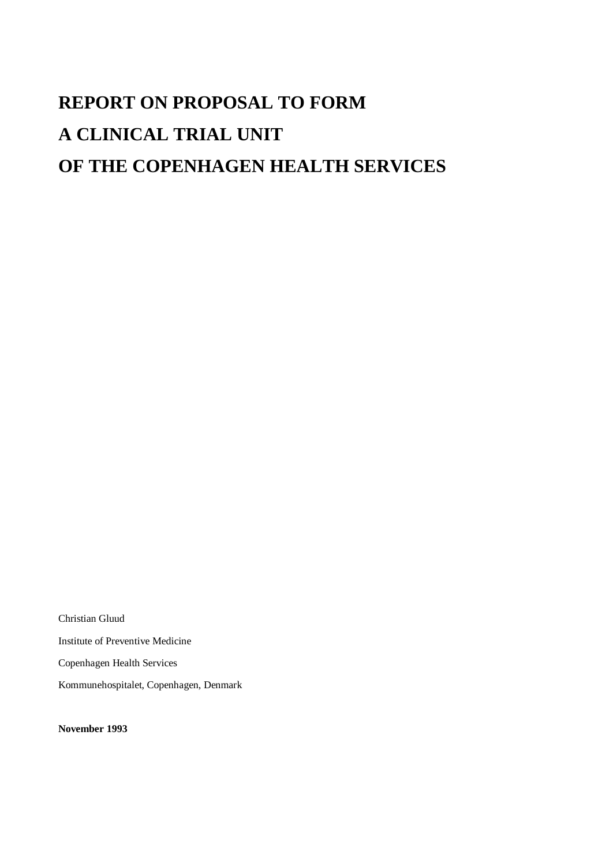# **REPORT ON PROPOSAL TO FORM A CLINICAL TRIAL UNIT OF THE COPENHAGEN HEALTH SERVICES**

Christian Gluud Institute of Preventive Medicine Copenhagen Health Services Kommunehospitalet, Copenhagen, Denmark

**November 1993**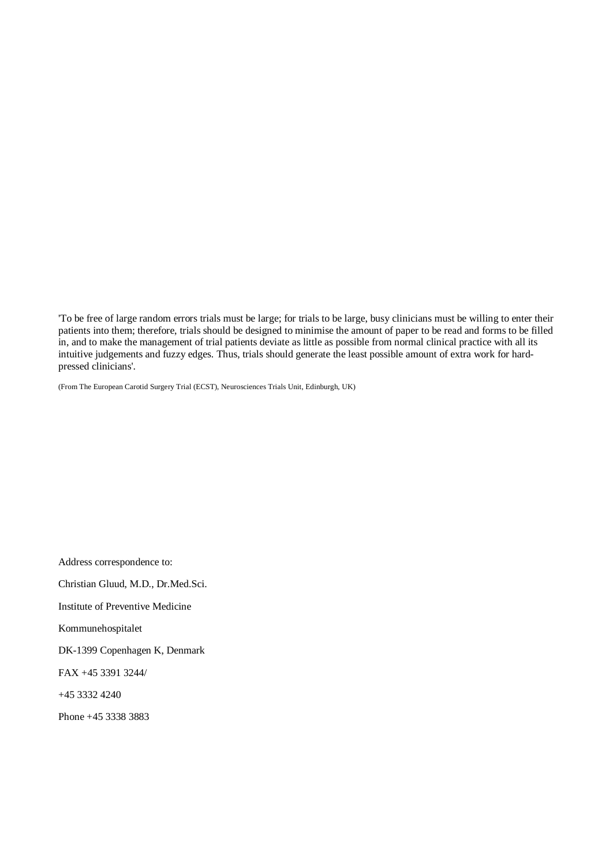'To be free of large random errors trials must be large; for trials to be large, busy clinicians must be willing to enter their patients into them; therefore, trials should be designed to minimise the amount of paper to be read and forms to be filled in, and to make the management of trial patients deviate as little as possible from normal clinical practice with all its intuitive judgements and fuzzy edges. Thus, trials should generate the least possible amount of extra work for hardpressed clinicians'.

(From The European Carotid Surgery Trial (ECST), Neurosciences Trials Unit, Edinburgh, UK)

Address correspondence to: Christian Gluud, M.D., Dr.Med.Sci. Institute of Preventive Medicine Kommunehospitalet DK-1399 Copenhagen K, Denmark FAX +45 3391 3244/ +45 3332 4240 Phone +45 3338 3883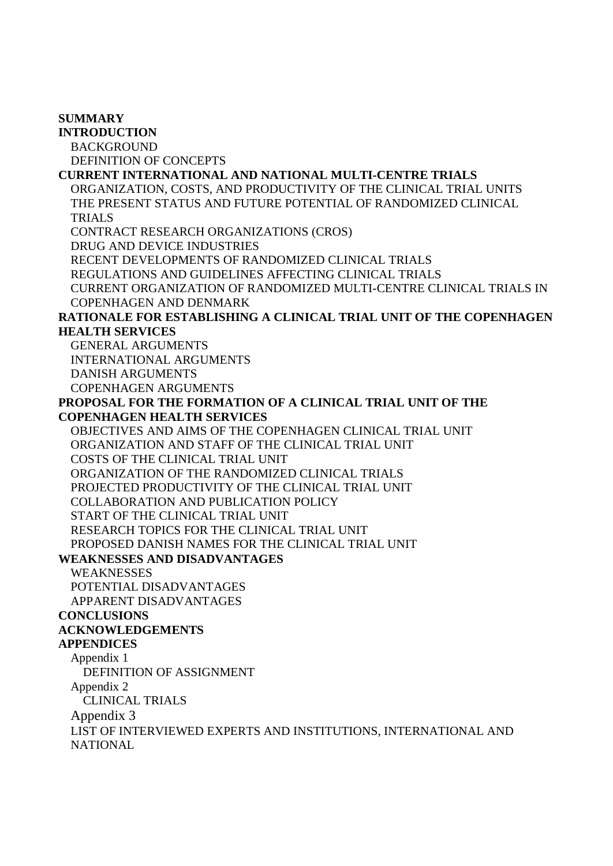**SUMMARY INTRODUCTION** BACKGROUND DEFINITION OF CONCEPTS **CURRENT INTERNATIONAL AND NATIONAL MULTI-CENTRE TRIALS** ORGANIZATION, COSTS, AND PRODUCTIVITY OF THE CLINICAL TRIAL UNITS THE PRESENT STATUS AND FUTURE POTENTIAL OF RANDOMIZED CLINICAL TRIALS CONTRACT RESEARCH ORGANIZATIONS (CROS) DRUG AND DEVICE INDUSTRIES RECENT DEVELOPMENTS OF RANDOMIZED CLINICAL TRIALS REGULATIONS AND GUIDELINES AFFECTING CLINICAL TRIALS CURRENT ORGANIZATION OF RANDOMIZED MULTI-CENTRE CLINICAL TRIALS IN COPENHAGEN AND DENMARK **RATIONALE FOR ESTABLISHING A CLINICAL TRIAL UNIT OF THE COPENHAGEN HEALTH SERVICES** GENERAL ARGUMENTS INTERNATIONAL ARGUMENTS DANISH ARGUMENTS COPENHAGEN ARGUMENTS **PROPOSAL FOR THE FORMATION OF A CLINICAL TRIAL UNIT OF THE COPENHAGEN HEALTH SERVICES** OBJECTIVES AND AIMS OF THE COPENHAGEN CLINICAL TRIAL UNIT ORGANIZATION AND STAFF OF THE CLINICAL TRIAL UNIT COSTS OF THE CLINICAL TRIAL UNIT ORGANIZATION OF THE RANDOMIZED CLINICAL TRIALS PROJECTED PRODUCTIVITY OF THE CLINICAL TRIAL UNIT COLLABORATION AND PUBLICATION POLICY START OF THE CLINICAL TRIAL UNIT RESEARCH TOPICS FOR THE CLINICAL TRIAL UNIT PROPOSED DANISH NAMES FOR THE CLINICAL TRIAL UNIT **WEAKNESSES AND DISADVANTAGES** WEAKNESSES POTENTIAL DISADVANTAGES APPARENT DISADVANTAGES **CONCLUSIONS ACKNOWLEDGEMENTS APPENDICES** Appendix 1 DEFINITION OF ASSIGNMENT Appendix 2 CLINICAL TRIALS Appendix 3 LIST OF INTERVIEWED EXPERTS AND INSTITUTIONS, INTERNATIONAL AND **NATIONAL**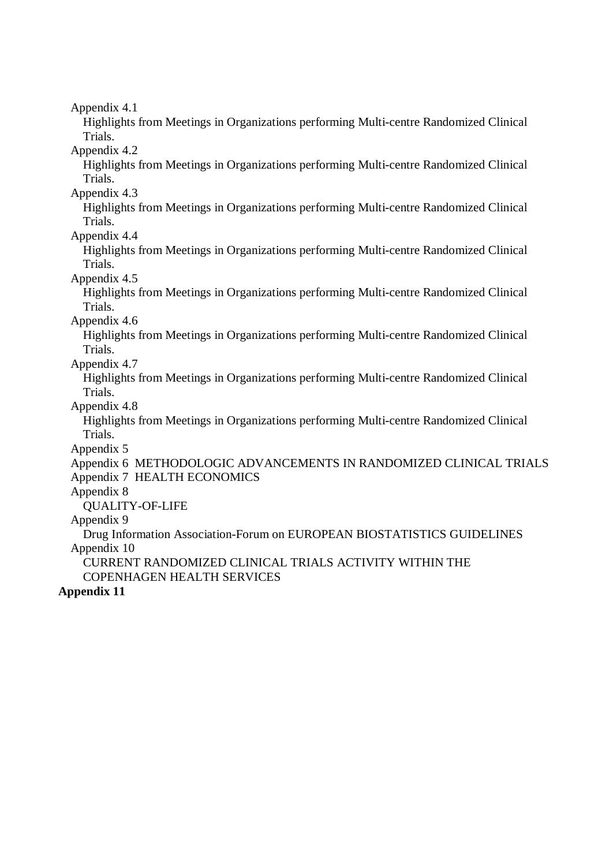Highlights from Meetings in Organizations performing Multi-centre Randomized Clinical Trials.

Appendix 4.2

Highlights from Meetings in Organizations performing Multi-centre Randomized Clinical Trials.

Appendix 4.3

Highlights from Meetings in Organizations performing Multi-centre Randomized Clinical Trials.

Appendix 4.4

Highlights from Meetings in Organizations performing Multi-centre Randomized Clinical Trials.

Appendix 4.5

Highlights from Meetings in Organizations performing Multi-centre Randomized Clinical Trials.

Appendix 4.6

Highlights from Meetings in Organizations performing Multi-centre Randomized Clinical Trials.

Appendix 4.7

Highlights from Meetings in Organizations performing Multi-centre Randomized Clinical Trials.

Appendix 4.8

Highlights from Meetings in Organizations performing Multi-centre Randomized Clinical Trials.

Appendix 5

Appendix 6 METHODOLOGIC ADVANCEMENTS IN RANDOMIZED CLINICAL TRIALS Appendix 7 HEALTH ECONOMICS

Appendix 8

QUALITY-OF-LIFE

Appendix 9

Drug Information Association-Forum on EUROPEAN BIOSTATISTICS GUIDELINES Appendix 10

CURRENT RANDOMIZED CLINICAL TRIALS ACTIVITY WITHIN THE COPENHAGEN HEALTH SERVICES

### **Appendix 11**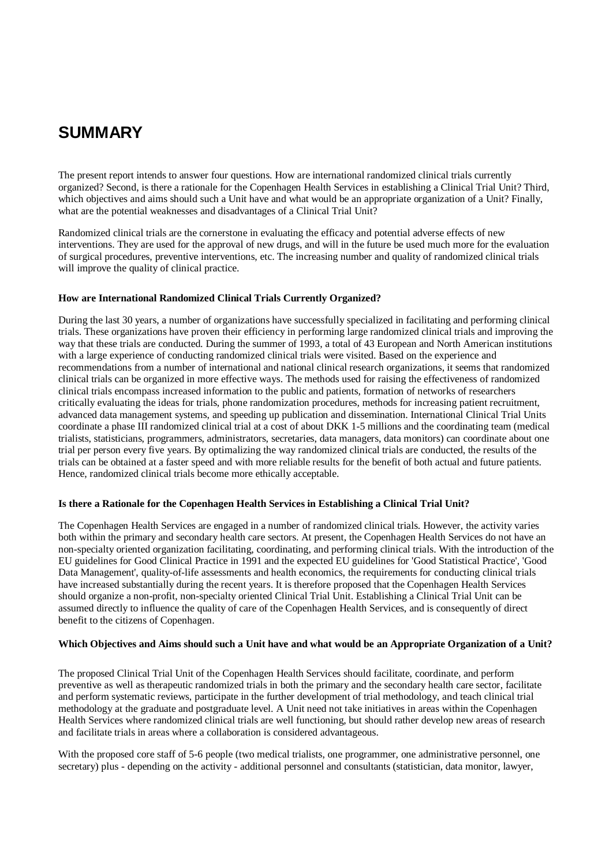# **SUMMARY**

The present report intends to answer four questions. How are international randomized clinical trials currently organized? Second, is there a rationale for the Copenhagen Health Services in establishing a Clinical Trial Unit? Third, which objectives and aims should such a Unit have and what would be an appropriate organization of a Unit? Finally, what are the potential weaknesses and disadvantages of a Clinical Trial Unit?

Randomized clinical trials are the cornerstone in evaluating the efficacy and potential adverse effects of new interventions. They are used for the approval of new drugs, and will in the future be used much more for the evaluation of surgical procedures, preventive interventions, etc. The increasing number and quality of randomized clinical trials will improve the quality of clinical practice.

#### **How are International Randomized Clinical Trials Currently Organized?**

During the last 30 years, a number of organizations have successfully specialized in facilitating and performing clinical trials. These organizations have proven their efficiency in performing large randomized clinical trials and improving the way that these trials are conducted. During the summer of 1993, a total of 43 European and North American institutions with a large experience of conducting randomized clinical trials were visited. Based on the experience and recommendations from a number of international and national clinical research organizations, it seems that randomized clinical trials can be organized in more effective ways. The methods used for raising the effectiveness of randomized clinical trials encompass increased information to the public and patients, formation of networks of researchers critically evaluating the ideas for trials, phone randomization procedures, methods for increasing patient recruitment, advanced data management systems, and speeding up publication and dissemination. International Clinical Trial Units coordinate a phase III randomized clinical trial at a cost of about DKK 1-5 millions and the coordinating team (medical trialists, statisticians, programmers, administrators, secretaries, data managers, data monitors) can coordinate about one trial per person every five years. By optimalizing the way randomized clinical trials are conducted, the results of the trials can be obtained at a faster speed and with more reliable results for the benefit of both actual and future patients. Hence, randomized clinical trials become more ethically acceptable.

#### **Is there a Rationale for the Copenhagen Health Services in Establishing a Clinical Trial Unit?**

The Copenhagen Health Services are engaged in a number of randomized clinical trials. However, the activity varies both within the primary and secondary health care sectors. At present, the Copenhagen Health Services do not have an non-specialty oriented organization facilitating, coordinating, and performing clinical trials. With the introduction of the EU guidelines for Good Clinical Practice in 1991 and the expected EU guidelines for 'Good Statistical Practice', 'Good Data Management', quality-of-life assessments and health economics, the requirements for conducting clinical trials have increased substantially during the recent years. It is therefore proposed that the Copenhagen Health Services should organize a non-profit, non-specialty oriented Clinical Trial Unit. Establishing a Clinical Trial Unit can be assumed directly to influence the quality of care of the Copenhagen Health Services, and is consequently of direct benefit to the citizens of Copenhagen.

#### Which Objectives and Aims should such a Unit have and what would be an Appropriate Organization of a Unit?

The proposed Clinical Trial Unit of the Copenhagen Health Services should facilitate, coordinate, and perform preventive as well as therapeutic randomized trials in both the primary and the secondary health care sector, facilitate and perform systematic reviews, participate in the further development of trial methodology, and teach clinical trial methodology at the graduate and postgraduate level. A Unit need not take initiatives in areas within the Copenhagen Health Services where randomized clinical trials are well functioning, but should rather develop new areas of research and facilitate trials in areas where a collaboration is considered advantageous.

With the proposed core staff of 5-6 people (two medical trialists, one programmer, one administrative personnel, one secretary) plus - depending on the activity - additional personnel and consultants (statistician, data monitor, lawyer,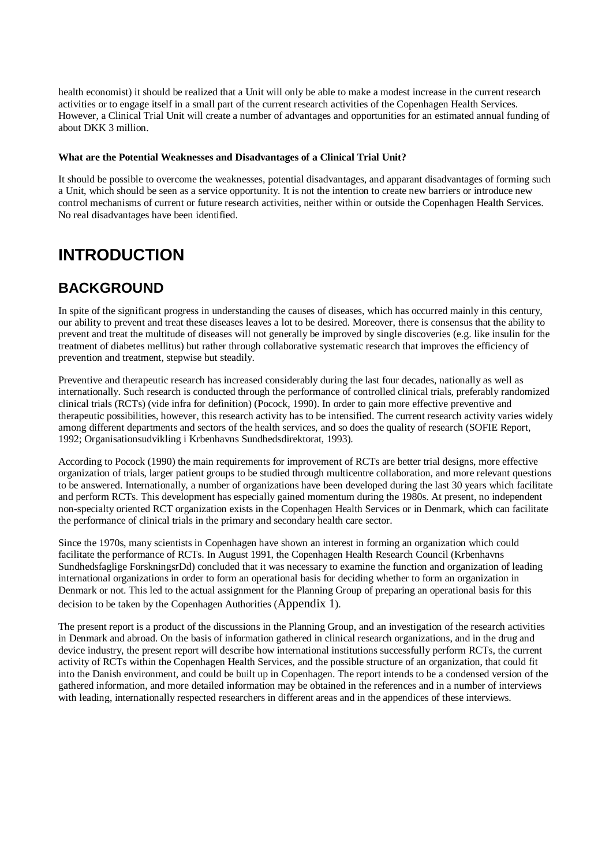health economist) it should be realized that a Unit will only be able to make a modest increase in the current research activities or to engage itself in a small part of the current research activities of the Copenhagen Health Services. However, a Clinical Trial Unit will create a number of advantages and opportunities for an estimated annual funding of about DKK 3 million.

#### **What are the Potential Weaknesses and Disadvantages of a Clinical Trial Unit?**

It should be possible to overcome the weaknesses, potential disadvantages, and apparant disadvantages of forming such a Unit, which should be seen as a service opportunity. It is not the intention to create new barriers or introduce new control mechanisms of current or future research activities, neither within or outside the Copenhagen Health Services. No real disadvantages have been identified.

# **INTRODUCTION**

### **BACKGROUND**

In spite of the significant progress in understanding the causes of diseases, which has occurred mainly in this century, our ability to prevent and treat these diseases leaves a lot to be desired. Moreover, there is consensus that the ability to prevent and treat the multitude of diseases will not generally be improved by single discoveries (e.g. like insulin for the treatment of diabetes mellitus) but rather through collaborative systematic research that improves the efficiency of prevention and treatment, stepwise but steadily.

Preventive and therapeutic research has increased considerably during the last four decades, nationally as well as internationally. Such research is conducted through the performance of controlled clinical trials, preferably randomized clinical trials (RCTs) (vide infra for definition) (Pocock, 1990). In order to gain more effective preventive and therapeutic possibilities, however, this research activity has to be intensified. The current research activity varies widely among different departments and sectors of the health services, and so does the quality of research (SOFIE Report, 1992; Organisationsudvikling i Krbenhavns Sundhedsdirektorat, 1993).

According to Pocock (1990) the main requirements for improvement of RCTs are better trial designs, more effective organization of trials, larger patient groups to be studied through multicentre collaboration, and more relevant questions to be answered. Internationally, a number of organizations have been developed during the last 30 years which facilitate and perform RCTs. This development has especially gained momentum during the 1980s. At present, no independent non-specialty oriented RCT organization exists in the Copenhagen Health Services or in Denmark, which can facilitate the performance of clinical trials in the primary and secondary health care sector.

Since the 1970s, many scientists in Copenhagen have shown an interest in forming an organization which could facilitate the performance of RCTs. In August 1991, the Copenhagen Health Research Council (Krbenhavns Sundhedsfaglige ForskningsrDd) concluded that it was necessary to examine the function and organization of leading international organizations in order to form an operational basis for deciding whether to form an organization in Denmark or not. This led to the actual assignment for the Planning Group of preparing an operational basis for this decision to be taken by the Copenhagen Authorities (Appendix 1).

The present report is a product of the discussions in the Planning Group, and an investigation of the research activities in Denmark and abroad. On the basis of information gathered in clinical research organizations, and in the drug and device industry, the present report will describe how international institutions successfully perform RCTs, the current activity of RCTs within the Copenhagen Health Services, and the possible structure of an organization, that could fit into the Danish environment, and could be built up in Copenhagen. The report intends to be a condensed version of the gathered information, and more detailed information may be obtained in the references and in a number of interviews with leading, internationally respected researchers in different areas and in the appendices of these interviews.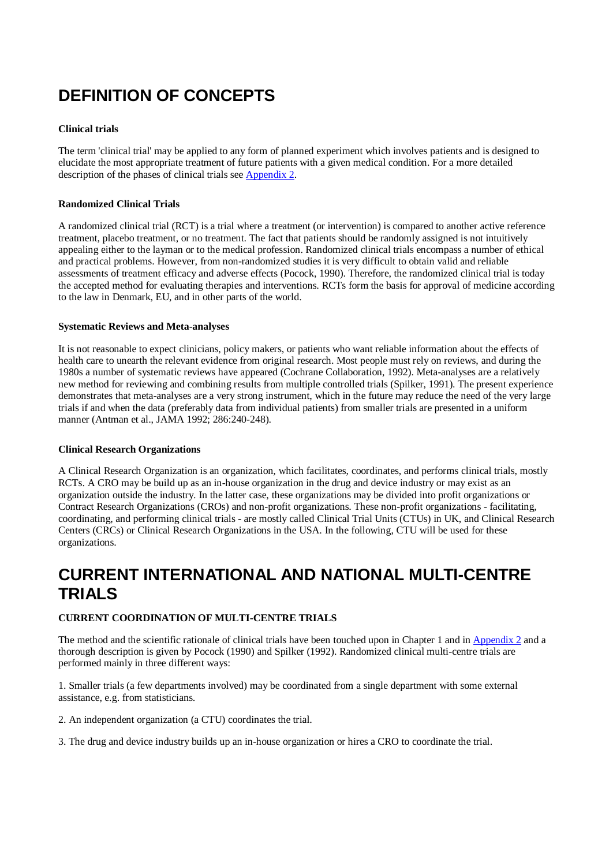# **DEFINITION OF CONCEPTS**

### **Clinical trials**

The term 'clinical trial' may be applied to any form of planned experiment which involves patients and is designed to elucidate the most appropriate treatment of future patients with a given medical condition. For a more detailed description of the phases of clinical trials see Appendix 2.

#### **Randomized Clinical Trials**

A randomized clinical trial (RCT) is a trial where a treatment (or intervention) is compared to another active reference treatment, placebo treatment, or no treatment. The fact that patients should be randomly assigned is not intuitively appealing either to the layman or to the medical profession. Randomized clinical trials encompass a number of ethical and practical problems. However, from non-randomized studies it is very difficult to obtain valid and reliable assessments of treatment efficacy and adverse effects (Pocock, 1990). Therefore, the randomized clinical trial is today the accepted method for evaluating therapies and interventions. RCTs form the basis for approval of medicine according to the law in Denmark, EU, and in other parts of the world.

#### **Systematic Reviews and Meta-analyses**

It is not reasonable to expect clinicians, policy makers, or patients who want reliable information about the effects of health care to unearth the relevant evidence from original research. Most people must rely on reviews, and during the 1980s a number of systematic reviews have appeared (Cochrane Collaboration, 1992). Meta-analyses are a relatively new method for reviewing and combining results from multiple controlled trials (Spilker, 1991). The present experience demonstrates that meta-analyses are a very strong instrument, which in the future may reduce the need of the very large trials if and when the data (preferably data from individual patients) from smaller trials are presented in a uniform manner (Antman et al., JAMA 1992; 286:240-248).

#### **Clinical Research Organizations**

A Clinical Research Organization is an organization, which facilitates, coordinates, and performs clinical trials, mostly RCTs. A CRO may be build up as an in-house organization in the drug and device industry or may exist as an organization outside the industry. In the latter case, these organizations may be divided into profit organizations or Contract Research Organizations (CROs) and non-profit organizations. These non-profit organizations - facilitating, coordinating, and performing clinical trials - are mostly called Clinical Trial Units (CTUs) in UK, and Clinical Research Centers (CRCs) or Clinical Research Organizations in the USA. In the following, CTU will be used for these organizations.

# **CURRENT INTERNATIONAL AND NATIONAL MULTI-CENTRE TRIALS**

### **CURRENT COORDINATION OF MULTI-CENTRE TRIALS**

The method and the scientific rationale of clinical trials have been touched upon in Chapter 1 and in Appendix 2 and a thorough description is given by Pocock (1990) and Spilker (1992). Randomized clinical multi-centre trials are performed mainly in three different ways:

1. Smaller trials (a few departments involved) may be coordinated from a single department with some external assistance, e.g. from statisticians.

2. An independent organization (a CTU) coordinates the trial.

3. The drug and device industry builds up an in-house organization or hires a CRO to coordinate the trial.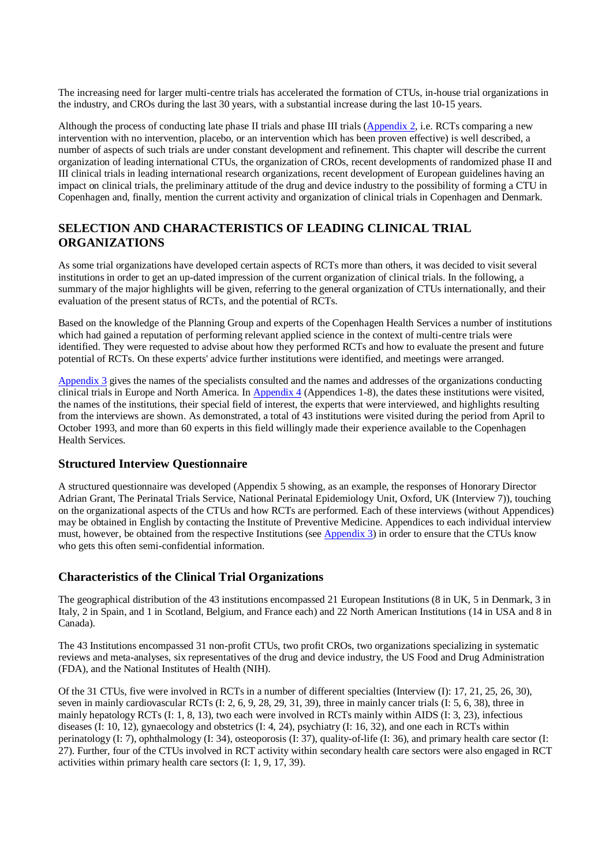The increasing need for larger multi-centre trials has accelerated the formation of CTUs, in-house trial organizations in the industry, and CROs during the last 30 years, with a substantial increase during the last 10-15 years.

Although the process of conducting late phase II trials and phase III trials (Appendix 2, i.e. RCTs comparing a new intervention with no intervention, placebo, or an intervention which has been proven effective) is well described, a number of aspects of such trials are under constant development and refinement. This chapter will describe the current organization of leading international CTUs, the organization of CROs, recent developments of randomized phase II and III clinical trials in leading international research organizations, recent development of European guidelines having an impact on clinical trials, the preliminary attitude of the drug and device industry to the possibility of forming a CTU in Copenhagen and, finally, mention the current activity and organization of clinical trials in Copenhagen and Denmark.

### **SELECTION AND CHARACTERISTICS OF LEADING CLINICAL TRIAL ORGANIZATIONS**

As some trial organizations have developed certain aspects of RCTs more than others, it was decided to visit several institutions in order to get an up-dated impression of the current organization of clinical trials. In the following, a summary of the major highlights will be given, referring to the general organization of CTUs internationally, and their evaluation of the present status of RCTs, and the potential of RCTs.

Based on the knowledge of the Planning Group and experts of the Copenhagen Health Services a number of institutions which had gained a reputation of performing relevant applied science in the context of multi-centre trials were identified. They were requested to advise about how they performed RCTs and how to evaluate the present and future potential of RCTs. On these experts' advice further institutions were identified, and meetings were arranged.

Appendix 3 gives the names of the specialists consulted and the names and addresses of the organizations conducting clinical trials in Europe and North America. In Appendix 4 (Appendices 1-8), the dates these institutions were visited, the names of the institutions, their special field of interest, the experts that were interviewed, and highlights resulting from the interviews are shown. As demonstrated, a total of 43 institutions were visited during the period from April to October 1993, and more than 60 experts in this field willingly made their experience available to the Copenhagen Health Services.

### **Structured Interview Questionnaire**

A structured questionnaire was developed (Appendix 5 showing, as an example, the responses of Honorary Director Adrian Grant, The Perinatal Trials Service, National Perinatal Epidemiology Unit, Oxford, UK (Interview 7)), touching on the organizational aspects of the CTUs and how RCTs are performed. Each of these interviews (without Appendices) may be obtained in English by contacting the Institute of Preventive Medicine. Appendices to each individual interview must, however, be obtained from the respective Institutions (see Appendix 3) in order to ensure that the CTUs know who gets this often semi-confidential information.

### **Characteristics of the Clinical Trial Organizations**

The geographical distribution of the 43 institutions encompassed 21 European Institutions (8 in UK, 5 in Denmark, 3 in Italy, 2 in Spain, and 1 in Scotland, Belgium, and France each) and 22 North American Institutions (14 in USA and 8 in Canada).

The 43 Institutions encompassed 31 non-profit CTUs, two profit CROs, two organizations specializing in systematic reviews and meta-analyses, six representatives of the drug and device industry, the US Food and Drug Administration (FDA), and the National Institutes of Health (NIH).

Of the 31 CTUs, five were involved in RCTs in a number of different specialties (Interview (I): 17, 21, 25, 26, 30), seven in mainly cardiovascular RCTs (I: 2, 6, 9, 28, 29, 31, 39), three in mainly cancer trials (I: 5, 6, 38), three in mainly hepatology RCTs (I: 1, 8, 13), two each were involved in RCTs mainly within AIDS (I: 3, 23), infectious diseases (I: 10, 12), gynaecology and obstetrics (I: 4, 24), psychiatry (I: 16, 32), and one each in RCTs within perinatology (I: 7), ophthalmology (I: 34), osteoporosis (I: 37), quality-of-life (I: 36), and primary health care sector (I: 27). Further, four of the CTUs involved in RCT activity within secondary health care sectors were also engaged in RCT activities within primary health care sectors (I: 1, 9, 17, 39).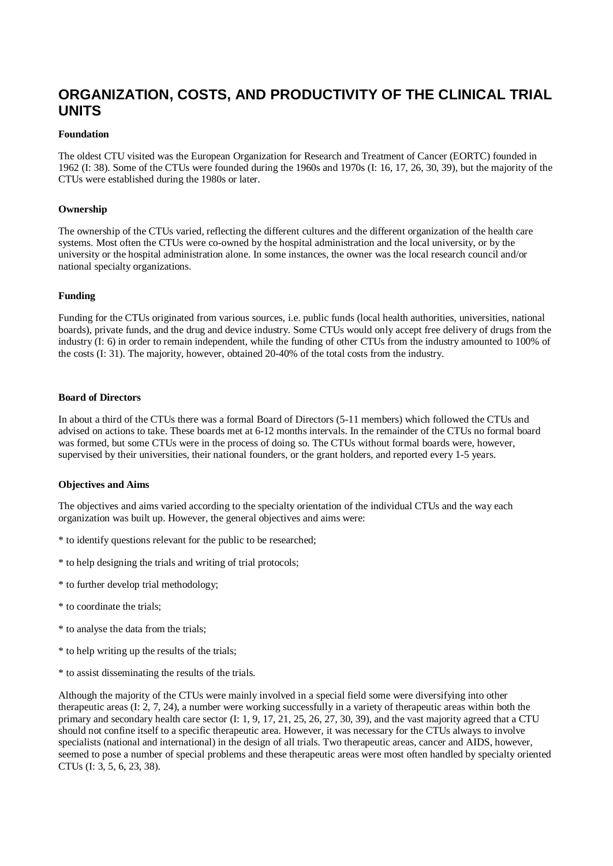# **ORGANIZATION, COSTS, AND PRODUCTIVITY OF THE CLINICAL TRIAL UNITS**

#### **Foundation**

The oldest CTU visited was the European Organization for Research and Treatment of Cancer (EORTC) founded in 1962 (I: 38). Some of the CTUs were founded during the 1960s and 1970s (I: 16, 17, 26, 30, 39), but the majority of the CTUs were established during the 1980s or later.

#### **Ownership**

The ownership of the CTUs varied, reflecting the different cultures and the different organization of the health care systems. Most often the CTUs were co-owned by the hospital administration and the local university, or by the university or the hospital administration alone. In some instances, the owner was the local research council and/or national specialty organizations.

#### **Funding**

Funding for the CTUs originated from various sources, i.e. public funds (local health authorities, universities, national boards), private funds, and the drug and device industry. Some CTUs would only accept free delivery of drugs from the industry (I: 6) in order to remain independent, while the funding of other CTUs from the industry amounted to 100% of the costs (I: 31). The majority, however, obtained 20-40% of the total costs from the industry.

#### **Board of Directors**

In about a third of the CTUs there was a formal Board of Directors (5-11 members) which followed the CTUs and advised on actions to take. These boards met at 6-12 months intervals. In the remainder of the CTUs no formal board was formed, but some CTUs were in the process of doing so. The CTUs without formal boards were, however, supervised by their universities, their national founders, or the grant holders, and reported every 1-5 years.

#### **Objectives and Aims**

The objectives and aims varied according to the specialty orientation of the individual CTUs and the way each organization was built up. However, the general objectives and aims were:

- \* to identify questions relevant for the public to be researched;
- \* to help designing the trials and writing of trial protocols;
- \* to further develop trial methodology;
- \* to coordinate the trials;
- \* to analyse the data from the trials;
- \* to help writing up the results of the trials;
- \* to assist disseminating the results of the trials.

Although the majority of the CTUs were mainly involved in a special field some were diversifying into other therapeutic areas (I: 2, 7, 24), a number were working successfully in a variety of therapeutic areas within both the primary and secondary health care sector (I: 1, 9, 17, 21, 25, 26, 27, 30, 39), and the vast majority agreed that a CTU should not confine itself to a specific therapeutic area. However, it was necessary for the CTUs always to involve specialists (national and international) in the design of all trials. Two therapeutic areas, cancer and AIDS, however, seemed to pose a number of special problems and these therapeutic areas were most often handled by specialty oriented CTUs (I: 3, 5, 6, 23, 38).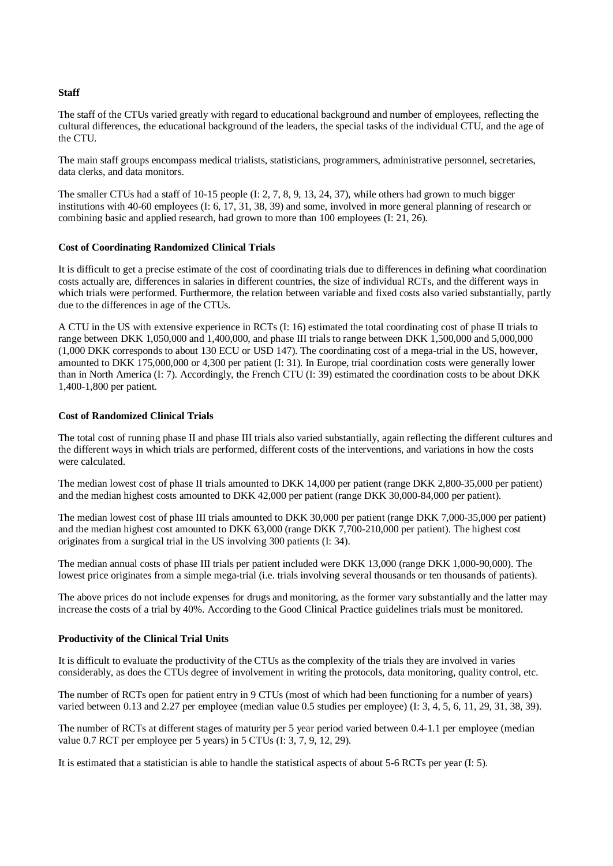#### **Staff**

The staff of the CTUs varied greatly with regard to educational background and number of employees, reflecting the cultural differences, the educational background of the leaders, the special tasks of the individual CTU, and the age of the CTU.

The main staff groups encompass medical trialists, statisticians, programmers, administrative personnel, secretaries, data clerks, and data monitors.

The smaller CTUs had a staff of 10-15 people (I: 2, 7, 8, 9, 13, 24, 37), while others had grown to much bigger institutions with 40-60 employees (I: 6, 17, 31, 38, 39) and some, involved in more general planning of research or combining basic and applied research, had grown to more than 100 employees (I: 21, 26).

#### **Cost of Coordinating Randomized Clinical Trials**

It is difficult to get a precise estimate of the cost of coordinating trials due to differences in defining what coordination costs actually are, differences in salaries in different countries, the size of individual RCTs, and the different ways in which trials were performed. Furthermore, the relation between variable and fixed costs also varied substantially, partly due to the differences in age of the CTUs.

A CTU in the US with extensive experience in RCTs (I: 16) estimated the total coordinating cost of phase II trials to range between DKK 1,050,000 and 1,400,000, and phase III trials to range between DKK 1,500,000 and 5,000,000 (1,000 DKK corresponds to about 130 ECU or USD 147). The coordinating cost of a mega-trial in the US, however, amounted to DKK 175,000,000 or 4,300 per patient (I: 31). In Europe, trial coordination costs were generally lower than in North America (I: 7). Accordingly, the French CTU (I: 39) estimated the coordination costs to be about DKK 1,400-1,800 per patient.

#### **Cost of Randomized Clinical Trials**

The total cost of running phase II and phase III trials also varied substantially, again reflecting the different cultures and the different ways in which trials are performed, different costs of the interventions, and variations in how the costs were calculated.

The median lowest cost of phase II trials amounted to DKK 14,000 per patient (range DKK 2,800-35,000 per patient) and the median highest costs amounted to DKK 42,000 per patient (range DKK 30,000-84,000 per patient).

The median lowest cost of phase III trials amounted to DKK 30,000 per patient (range DKK 7,000-35,000 per patient) and the median highest cost amounted to DKK 63,000 (range DKK 7,700-210,000 per patient). The highest cost originates from a surgical trial in the US involving 300 patients (I: 34).

The median annual costs of phase III trials per patient included were DKK 13,000 (range DKK 1,000-90,000). The lowest price originates from a simple mega-trial (i.e. trials involving several thousands or ten thousands of patients).

The above prices do not include expenses for drugs and monitoring, as the former vary substantially and the latter may increase the costs of a trial by 40%. According to the Good Clinical Practice guidelines trials must be monitored.

#### **Productivity of the Clinical Trial Units**

It is difficult to evaluate the productivity of the CTUs as the complexity of the trials they are involved in varies considerably, as does the CTUs degree of involvement in writing the protocols, data monitoring, quality control, etc.

The number of RCTs open for patient entry in 9 CTUs (most of which had been functioning for a number of years) varied between 0.13 and 2.27 per employee (median value 0.5 studies per employee) (I: 3, 4, 5, 6, 11, 29, 31, 38, 39).

The number of RCTs at different stages of maturity per 5 year period varied between 0.4-1.1 per employee (median value 0.7 RCT per employee per 5 years) in 5 CTUs (I: 3, 7, 9, 12, 29).

It is estimated that a statistician is able to handle the statistical aspects of about 5-6 RCTs per year (I: 5).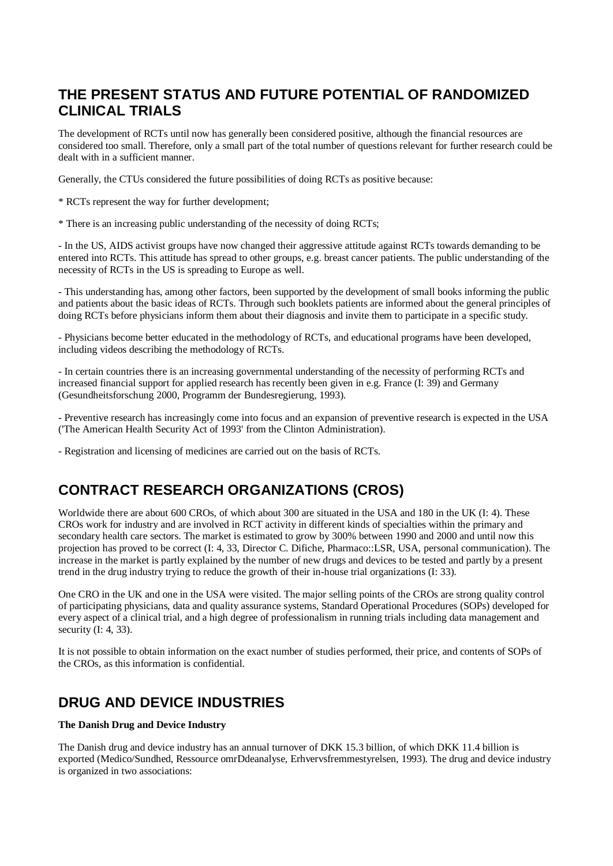# **THE PRESENT STATUS AND FUTURE POTENTIAL OF RANDOMIZED CLINICAL TRIALS**

The development of RCTs until now has generally been considered positive, although the financial resources are considered too small. Therefore, only a small part of the total number of questions relevant for further research could be dealt with in a sufficient manner.

Generally, the CTUs considered the future possibilities of doing RCTs as positive because:

\* RCTs represent the way for further development;

\* There is an increasing public understanding of the necessity of doing RCTs;

- In the US, AIDS activist groups have now changed their aggressive attitude against RCTs towards demanding to be entered into RCTs. This attitude has spread to other groups, e.g. breast cancer patients. The public understanding of the necessity of RCTs in the US is spreading to Europe as well.

- This understanding has, among other factors, been supported by the development of small books informing the public and patients about the basic ideas of RCTs. Through such booklets patients are informed about the general principles of doing RCTs before physicians inform them about their diagnosis and invite them to participate in a specific study.

- Physicians become better educated in the methodology of RCTs, and educational programs have been developed, including videos describing the methodology of RCTs.

- In certain countries there is an increasing governmental understanding of the necessity of performing RCTs and increased financial support for applied research has recently been given in e.g. France (I: 39) and Germany (Gesundheitsforschung 2000, Programm der Bundesregierung, 1993).

- Preventive research has increasingly come into focus and an expansion of preventive research is expected in the USA ('The American Health Security Act of 1993' from the Clinton Administration).

- Registration and licensing of medicines are carried out on the basis of RCTs.

# **CONTRACT RESEARCH ORGANIZATIONS (CROS)**

Worldwide there are about 600 CROs, of which about 300 are situated in the USA and 180 in the UK (I: 4). These CROs work for industry and are involved in RCT activity in different kinds of specialties within the primary and secondary health care sectors. The market is estimated to grow by 300% between 1990 and 2000 and until now this projection has proved to be correct (I: 4, 33, Director C. Difiche, Pharmaco::LSR, USA, personal communication). The increase in the market is partly explained by the number of new drugs and devices to be tested and partly by a present trend in the drug industry trying to reduce the growth of their in-house trial organizations (I: 33).

One CRO in the UK and one in the USA were visited. The major selling points of the CROs are strong quality control of participating physicians, data and quality assurance systems, Standard Operational Procedures (SOPs) developed for every aspect of a clinical trial, and a high degree of professionalism in running trials including data management and security (I: 4, 33).

It is not possible to obtain information on the exact number of studies performed, their price, and contents of SOPs of the CROs, as this information is confidential.

# **DRUG AND DEVICE INDUSTRIES**

#### **The Danish Drug and Device Industry**

The Danish drug and device industry has an annual turnover of DKK 15.3 billion, of which DKK 11.4 billion is exported (Medico/Sundhed, Ressource omrDdeanalyse, Erhvervsfremmestyrelsen, 1993). The drug and device industry is organized in two associations: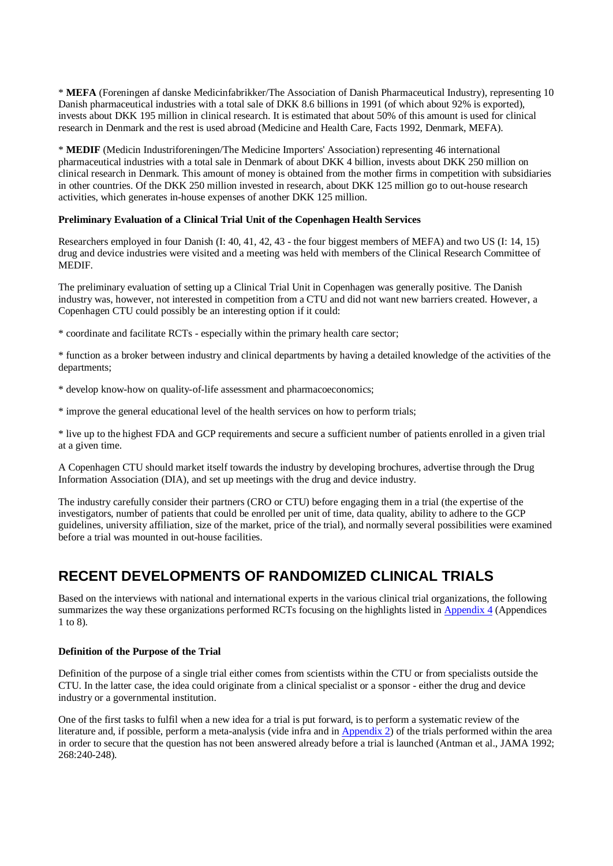\* **MEFA** (Foreningen af danske Medicinfabrikker/The Association of Danish Pharmaceutical Industry), representing 10 Danish pharmaceutical industries with a total sale of DKK 8.6 billions in 1991 (of which about 92% is exported), invests about DKK 195 million in clinical research. It is estimated that about 50% of this amount is used for clinical research in Denmark and the rest is used abroad (Medicine and Health Care, Facts 1992, Denmark, MEFA).

\* **MEDIF** (Medicin Industriforeningen/The Medicine Importers' Association) representing 46 international pharmaceutical industries with a total sale in Denmark of about DKK 4 billion, invests about DKK 250 million on clinical research in Denmark. This amount of money is obtained from the mother firms in competition with subsidiaries in other countries. Of the DKK 250 million invested in research, about DKK 125 million go to out-house research activities, which generates in-house expenses of another DKK 125 million.

#### **Preliminary Evaluation of a Clinical Trial Unit of the Copenhagen Health Services**

Researchers employed in four Danish (I: 40, 41, 42, 43 - the four biggest members of MEFA) and two US (I: 14, 15) drug and device industries were visited and a meeting was held with members of the Clinical Research Committee of MEDIF.

The preliminary evaluation of setting up a Clinical Trial Unit in Copenhagen was generally positive. The Danish industry was, however, not interested in competition from a CTU and did not want new barriers created. However, a Copenhagen CTU could possibly be an interesting option if it could:

\* coordinate and facilitate RCTs - especially within the primary health care sector;

\* function as a broker between industry and clinical departments by having a detailed knowledge of the activities of the departments;

\* develop know-how on quality-of-life assessment and pharmacoeconomics;

\* improve the general educational level of the health services on how to perform trials;

\* live up to the highest FDA and GCP requirements and secure a sufficient number of patients enrolled in a given trial at a given time.

A Copenhagen CTU should market itself towards the industry by developing brochures, advertise through the Drug Information Association (DIA), and set up meetings with the drug and device industry.

The industry carefully consider their partners (CRO or CTU) before engaging them in a trial (the expertise of the investigators, number of patients that could be enrolled per unit of time, data quality, ability to adhere to the GCP guidelines, university affiliation, size of the market, price of the trial), and normally several possibilities were examined before a trial was mounted in out-house facilities.

# **RECENT DEVELOPMENTS OF RANDOMIZED CLINICAL TRIALS**

Based on the interviews with national and international experts in the various clinical trial organizations, the following summarizes the way these organizations performed RCTs focusing on the highlights listed in Appendix 4 (Appendices 1 to 8).

#### **Definition of the Purpose of the Trial**

Definition of the purpose of a single trial either comes from scientists within the CTU or from specialists outside the CTU. In the latter case, the idea could originate from a clinical specialist or a sponsor - either the drug and device industry or a governmental institution.

One of the first tasks to fulfil when a new idea for a trial is put forward, is to perform a systematic review of the literature and, if possible, perform a meta-analysis (vide infra and in Appendix 2) of the trials performed within the area in order to secure that the question has not been answered already before a trial is launched (Antman et al., JAMA 1992; 268:240-248).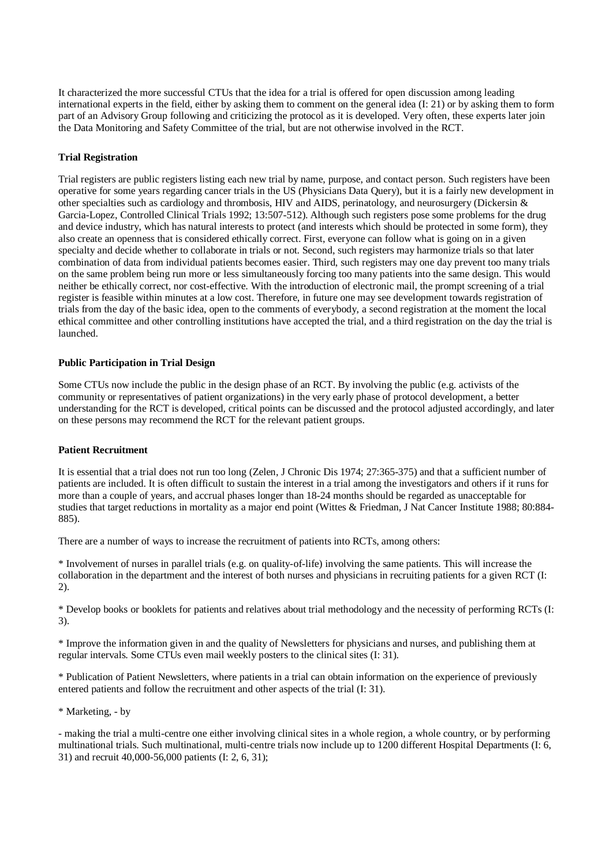It characterized the more successful CTUs that the idea for a trial is offered for open discussion among leading international experts in the field, either by asking them to comment on the general idea (I: 21) or by asking them to form part of an Advisory Group following and criticizing the protocol as it is developed. Very often, these experts later join the Data Monitoring and Safety Committee of the trial, but are not otherwise involved in the RCT.

#### **Trial Registration**

Trial registers are public registers listing each new trial by name, purpose, and contact person. Such registers have been operative for some years regarding cancer trials in the US (Physicians Data Query), but it is a fairly new development in other specialties such as cardiology and thrombosis, HIV and AIDS, perinatology, and neurosurgery (Dickersin & Garcia-Lopez, Controlled Clinical Trials 1992; 13:507-512). Although such registers pose some problems for the drug and device industry, which has natural interests to protect (and interests which should be protected in some form), they also create an openness that is considered ethically correct. First, everyone can follow what is going on in a given specialty and decide whether to collaborate in trials or not. Second, such registers may harmonize trials so that later combination of data from individual patients becomes easier. Third, such registers may one day prevent too many trials on the same problem being run more or less simultaneously forcing too many patients into the same design. This would neither be ethically correct, nor cost-effective. With the introduction of electronic mail, the prompt screening of a trial register is feasible within minutes at a low cost. Therefore, in future one may see development towards registration of trials from the day of the basic idea, open to the comments of everybody, a second registration at the moment the local ethical committee and other controlling institutions have accepted the trial, and a third registration on the day the trial is launched.

#### **Public Participation in Trial Design**

Some CTUs now include the public in the design phase of an RCT. By involving the public (e.g. activists of the community or representatives of patient organizations) in the very early phase of protocol development, a better understanding for the RCT is developed, critical points can be discussed and the protocol adjusted accordingly, and later on these persons may recommend the RCT for the relevant patient groups.

#### **Patient Recruitment**

It is essential that a trial does not run too long (Zelen, J Chronic Dis 1974; 27:365-375) and that a sufficient number of patients are included. It is often difficult to sustain the interest in a trial among the investigators and others if it runs for more than a couple of years, and accrual phases longer than 18-24 months should be regarded as unacceptable for studies that target reductions in mortality as a major end point (Wittes & Friedman, J Nat Cancer Institute 1988; 80:884- 885).

There are a number of ways to increase the recruitment of patients into RCTs, among others:

\* Involvement of nurses in parallel trials (e.g. on quality-of-life) involving the same patients. This will increase the collaboration in the department and the interest of both nurses and physicians in recruiting patients for a given RCT (I: 2).

\* Develop books or booklets for patients and relatives about trial methodology and the necessity of performing RCTs (I: 3).

\* Improve the information given in and the quality of Newsletters for physicians and nurses, and publishing them at regular intervals. Some CTUs even mail weekly posters to the clinical sites (I: 31).

\* Publication of Patient Newsletters, where patients in a trial can obtain information on the experience of previously entered patients and follow the recruitment and other aspects of the trial (I: 31).

\* Marketing, - by

- making the trial a multi-centre one either involving clinical sites in a whole region, a whole country, or by performing multinational trials. Such multinational, multi-centre trials now include up to 1200 different Hospital Departments (I: 6, 31) and recruit 40,000-56,000 patients (I: 2, 6, 31);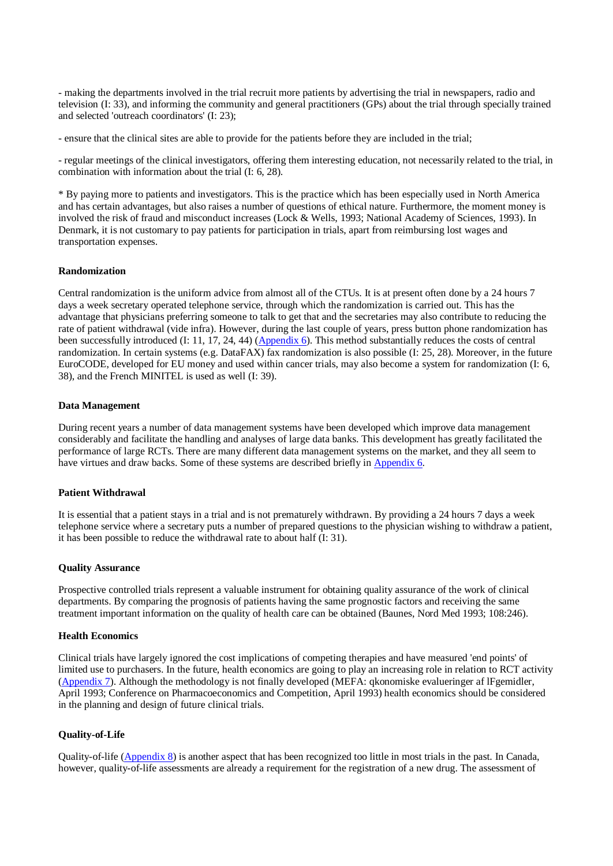- making the departments involved in the trial recruit more patients by advertising the trial in newspapers, radio and television (I: 33), and informing the community and general practitioners (GPs) about the trial through specially trained and selected 'outreach coordinators' (I: 23);

- ensure that the clinical sites are able to provide for the patients before they are included in the trial;

- regular meetings of the clinical investigators, offering them interesting education, not necessarily related to the trial, in combination with information about the trial (I: 6, 28).

\* By paying more to patients and investigators. This is the practice which has been especially used in North America and has certain advantages, but also raises a number of questions of ethical nature. Furthermore, the moment money is involved the risk of fraud and misconduct increases (Lock & Wells, 1993; National Academy of Sciences, 1993). In Denmark, it is not customary to pay patients for participation in trials, apart from reimbursing lost wages and transportation expenses.

#### **Randomization**

Central randomization is the uniform advice from almost all of the CTUs. It is at present often done by a 24 hours 7 days a week secretary operated telephone service, through which the randomization is carried out. This has the advantage that physicians preferring someone to talk to get that and the secretaries may also contribute to reducing the rate of patient withdrawal (vide infra). However, during the last couple of years, press button phone randomization has been successfully introduced (I: 11, 17, 24, 44) (Appendix 6). This method substantially reduces the costs of central randomization. In certain systems (e.g. DataFAX) fax randomization is also possible (I: 25, 28). Moreover, in the future EuroCODE, developed for EU money and used within cancer trials, may also become a system for randomization (I: 6, 38), and the French MINITEL is used as well (I: 39).

#### **Data Management**

During recent years a number of data management systems have been developed which improve data management considerably and facilitate the handling and analyses of large data banks. This development has greatly facilitated the performance of large RCTs. There are many different data management systems on the market, and they all seem to have virtues and draw backs. Some of these systems are described briefly in Appendix 6.

#### **Patient Withdrawal**

It is essential that a patient stays in a trial and is not prematurely withdrawn. By providing a 24 hours 7 days a week telephone service where a secretary puts a number of prepared questions to the physician wishing to withdraw a patient, it has been possible to reduce the withdrawal rate to about half (I: 31).

#### **Quality Assurance**

Prospective controlled trials represent a valuable instrument for obtaining quality assurance of the work of clinical departments. By comparing the prognosis of patients having the same prognostic factors and receiving the same treatment important information on the quality of health care can be obtained (Baunes, Nord Med 1993; 108:246).

#### **Health Economics**

Clinical trials have largely ignored the cost implications of competing therapies and have measured 'end points' of limited use to purchasers. In the future, health economics are going to play an increasing role in relation to RCT activity (Appendix 7). Although the methodology is not finally developed (MEFA: qkonomiske evalueringer af lFgemidler, April 1993; Conference on Pharmacoeconomics and Competition, April 1993) health economics should be considered in the planning and design of future clinical trials.

#### **Quality-of-Life**

Quality-of-life (Appendix 8) is another aspect that has been recognized too little in most trials in the past. In Canada, however, quality-of-life assessments are already a requirement for the registration of a new drug. The assessment of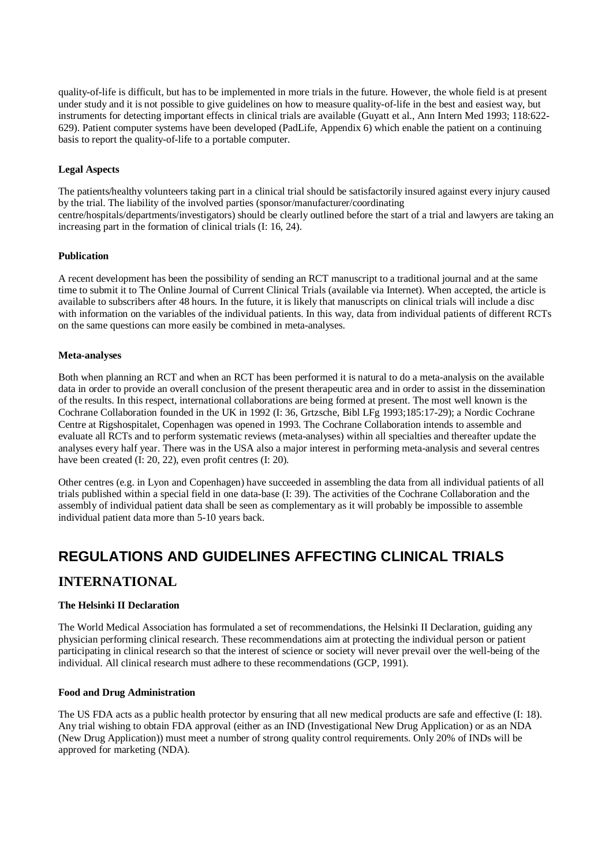quality-of-life is difficult, but has to be implemented in more trials in the future. However, the whole field is at present under study and it is not possible to give guidelines on how to measure quality-of-life in the best and easiest way, but instruments for detecting important effects in clinical trials are available (Guyatt et al., Ann Intern Med 1993; 118:622- 629). Patient computer systems have been developed (PadLife, Appendix 6) which enable the patient on a continuing basis to report the quality-of-life to a portable computer.

#### **Legal Aspects**

The patients/healthy volunteers taking part in a clinical trial should be satisfactorily insured against every injury caused by the trial. The liability of the involved parties (sponsor/manufacturer/coordinating centre/hospitals/departments/investigators) should be clearly outlined before the start of a trial and lawyers are taking an increasing part in the formation of clinical trials (I: 16, 24).

#### **Publication**

A recent development has been the possibility of sending an RCT manuscript to a traditional journal and at the same time to submit it to The Online Journal of Current Clinical Trials (available via Internet). When accepted, the article is available to subscribers after 48 hours. In the future, it is likely that manuscripts on clinical trials will include a disc with information on the variables of the individual patients. In this way, data from individual patients of different RCTs on the same questions can more easily be combined in meta-analyses.

#### **Meta-analyses**

Both when planning an RCT and when an RCT has been performed it is natural to do a meta-analysis on the available data in order to provide an overall conclusion of the present therapeutic area and in order to assist in the dissemination of the results. In this respect, international collaborations are being formed at present. The most well known is the Cochrane Collaboration founded in the UK in 1992 (I: 36, Grtzsche, Bibl LFg 1993;185:17-29); a Nordic Cochrane Centre at Rigshospitalet, Copenhagen was opened in 1993. The Cochrane Collaboration intends to assemble and evaluate all RCTs and to perform systematic reviews (meta-analyses) within all specialties and thereafter update the analyses every half year. There was in the USA also a major interest in performing meta-analysis and several centres have been created (I: 20, 22), even profit centres (I: 20).

Other centres (e.g. in Lyon and Copenhagen) have succeeded in assembling the data from all individual patients of all trials published within a special field in one data-base (I: 39). The activities of the Cochrane Collaboration and the assembly of individual patient data shall be seen as complementary as it will probably be impossible to assemble individual patient data more than 5-10 years back.

### **REGULATIONS AND GUIDELINES AFFECTING CLINICAL TRIALS**

### **INTERNATIONAL**

#### **The Helsinki II Declaration**

The World Medical Association has formulated a set of recommendations, the Helsinki II Declaration, guiding any physician performing clinical research. These recommendations aim at protecting the individual person or patient participating in clinical research so that the interest of science or society will never prevail over the well-being of the individual. All clinical research must adhere to these recommendations (GCP, 1991).

#### **Food and Drug Administration**

The US FDA acts as a public health protector by ensuring that all new medical products are safe and effective (I: 18). Any trial wishing to obtain FDA approval (either as an IND (Investigational New Drug Application) or as an NDA (New Drug Application)) must meet a number of strong quality control requirements. Only 20% of INDs will be approved for marketing (NDA).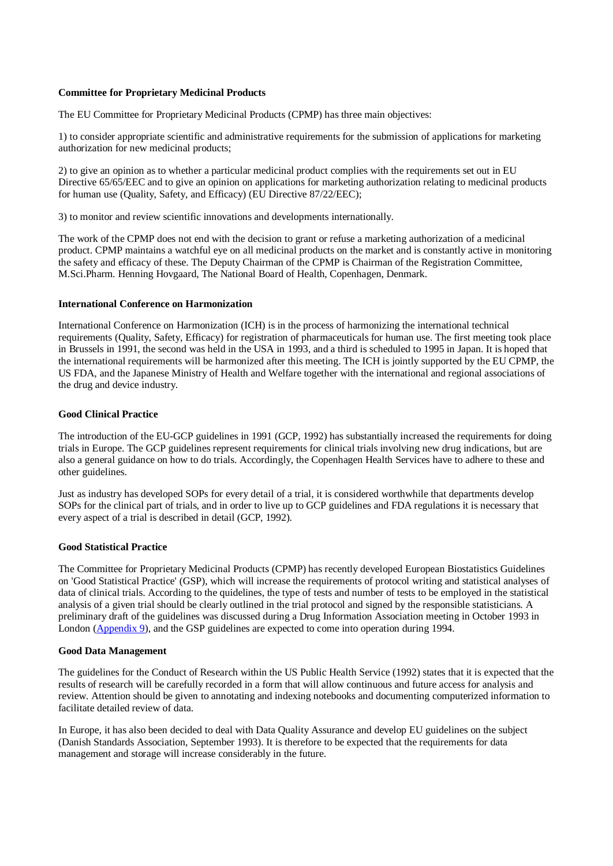#### **Committee for Proprietary Medicinal Products**

The EU Committee for Proprietary Medicinal Products (CPMP) has three main objectives:

1) to consider appropriate scientific and administrative requirements for the submission of applications for marketing authorization for new medicinal products;

2) to give an opinion as to whether a particular medicinal product complies with the requirements set out in EU Directive 65/65/EEC and to give an opinion on applications for marketing authorization relating to medicinal products for human use (Quality, Safety, and Efficacy) (EU Directive 87/22/EEC);

3) to monitor and review scientific innovations and developments internationally.

The work of the CPMP does not end with the decision to grant or refuse a marketing authorization of a medicinal product. CPMP maintains a watchful eye on all medicinal products on the market and is constantly active in monitoring the safety and efficacy of these. The Deputy Chairman of the CPMP is Chairman of the Registration Committee, M.Sci.Pharm. Henning Hovgaard, The National Board of Health, Copenhagen, Denmark.

#### **International Conference on Harmonization**

International Conference on Harmonization (ICH) is in the process of harmonizing the international technical requirements (Quality, Safety, Efficacy) for registration of pharmaceuticals for human use. The first meeting took place in Brussels in 1991, the second was held in the USA in 1993, and a third is scheduled to 1995 in Japan. It is hoped that the international requirements will be harmonized after this meeting. The ICH is jointly supported by the EU CPMP, the US FDA, and the Japanese Ministry of Health and Welfare together with the international and regional associations of the drug and device industry.

#### **Good Clinical Practice**

The introduction of the EU-GCP guidelines in 1991 (GCP, 1992) has substantially increased the requirements for doing trials in Europe. The GCP guidelines represent requirements for clinical trials involving new drug indications, but are also a general guidance on how to do trials. Accordingly, the Copenhagen Health Services have to adhere to these and other guidelines.

Just as industry has developed SOPs for every detail of a trial, it is considered worthwhile that departments develop SOPs for the clinical part of trials, and in order to live up to GCP guidelines and FDA regulations it is necessary that every aspect of a trial is described in detail (GCP, 1992).

#### **Good Statistical Practice**

The Committee for Proprietary Medicinal Products (CPMP) has recently developed European Biostatistics Guidelines on 'Good Statistical Practice' (GSP), which will increase the requirements of protocol writing and statistical analyses of data of clinical trials. According to the quidelines, the type of tests and number of tests to be employed in the statistical analysis of a given trial should be clearly outlined in the trial protocol and signed by the responsible statisticians. A preliminary draft of the guidelines was discussed during a Drug Information Association meeting in October 1993 in London (Appendix 9), and the GSP guidelines are expected to come into operation during 1994.

#### **Good Data Management**

The guidelines for the Conduct of Research within the US Public Health Service (1992) states that it is expected that the results of research will be carefully recorded in a form that will allow continuous and future access for analysis and review. Attention should be given to annotating and indexing notebooks and documenting computerized information to facilitate detailed review of data.

In Europe, it has also been decided to deal with Data Quality Assurance and develop EU guidelines on the subject (Danish Standards Association, September 1993). It is therefore to be expected that the requirements for data management and storage will increase considerably in the future.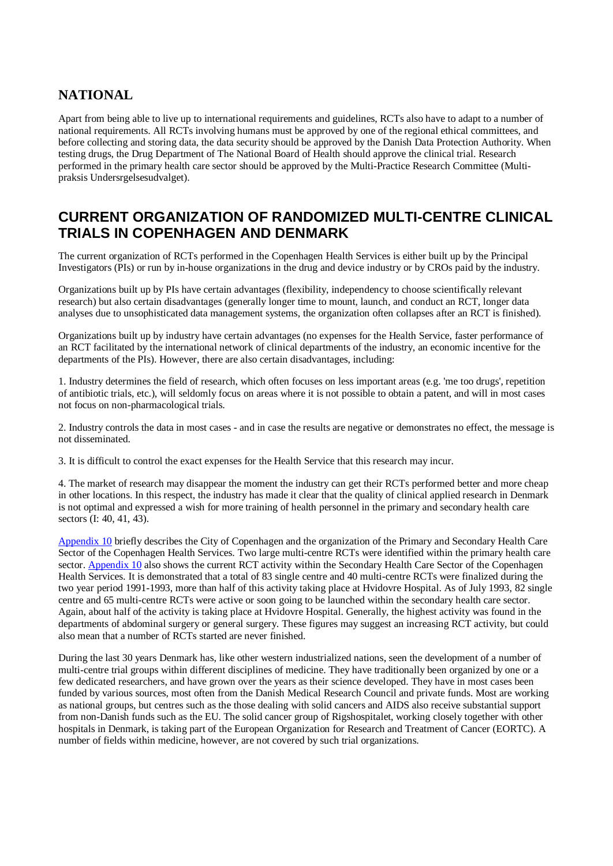### **NATIONAL**

Apart from being able to live up to international requirements and guidelines, RCTs also have to adapt to a number of national requirements. All RCTs involving humans must be approved by one of the regional ethical committees, and before collecting and storing data, the data security should be approved by the Danish Data Protection Authority. When testing drugs, the Drug Department of The National Board of Health should approve the clinical trial. Research performed in the primary health care sector should be approved by the Multi-Practice Research Committee (Multipraksis Undersrgelsesudvalget).

## **CURRENT ORGANIZATION OF RANDOMIZED MULTI-CENTRE CLINICAL TRIALS IN COPENHAGEN AND DENMARK**

The current organization of RCTs performed in the Copenhagen Health Services is either built up by the Principal Investigators (PIs) or run by in-house organizations in the drug and device industry or by CROs paid by the industry.

Organizations built up by PIs have certain advantages (flexibility, independency to choose scientifically relevant research) but also certain disadvantages (generally longer time to mount, launch, and conduct an RCT, longer data analyses due to unsophisticated data management systems, the organization often collapses after an RCT is finished).

Organizations built up by industry have certain advantages (no expenses for the Health Service, faster performance of an RCT facilitated by the international network of clinical departments of the industry, an economic incentive for the departments of the PIs). However, there are also certain disadvantages, including:

1. Industry determines the field of research, which often focuses on less important areas (e.g. 'me too drugs', repetition of antibiotic trials, etc.), will seldomly focus on areas where it is not possible to obtain a patent, and will in most cases not focus on non-pharmacological trials.

2. Industry controls the data in most cases - and in case the results are negative or demonstrates no effect, the message is not disseminated.

3. It is difficult to control the exact expenses for the Health Service that this research may incur.

4. The market of research may disappear the moment the industry can get their RCTs performed better and more cheap in other locations. In this respect, the industry has made it clear that the quality of clinical applied research in Denmark is not optimal and expressed a wish for more training of health personnel in the primary and secondary health care sectors (I: 40, 41, 43).

Appendix 10 briefly describes the City of Copenhagen and the organization of the Primary and Secondary Health Care Sector of the Copenhagen Health Services. Two large multi-centre RCTs were identified within the primary health care sector. Appendix 10 also shows the current RCT activity within the Secondary Health Care Sector of the Copenhagen Health Services. It is demonstrated that a total of 83 single centre and 40 multi-centre RCTs were finalized during the two year period 1991-1993, more than half of this activity taking place at Hvidovre Hospital. As of July 1993, 82 single centre and 65 multi-centre RCTs were active or soon going to be launched within the secondary health care sector. Again, about half of the activity is taking place at Hvidovre Hospital. Generally, the highest activity was found in the departments of abdominal surgery or general surgery. These figures may suggest an increasing RCT activity, but could also mean that a number of RCTs started are never finished.

During the last 30 years Denmark has, like other western industrialized nations, seen the development of a number of multi-centre trial groups within different disciplines of medicine. They have traditionally been organized by one or a few dedicated researchers, and have grown over the years as their science developed. They have in most cases been funded by various sources, most often from the Danish Medical Research Council and private funds. Most are working as national groups, but centres such as the those dealing with solid cancers and AIDS also receive substantial support from non-Danish funds such as the EU. The solid cancer group of Rigshospitalet, working closely together with other hospitals in Denmark, is taking part of the European Organization for Research and Treatment of Cancer (EORTC). A number of fields within medicine, however, are not covered by such trial organizations.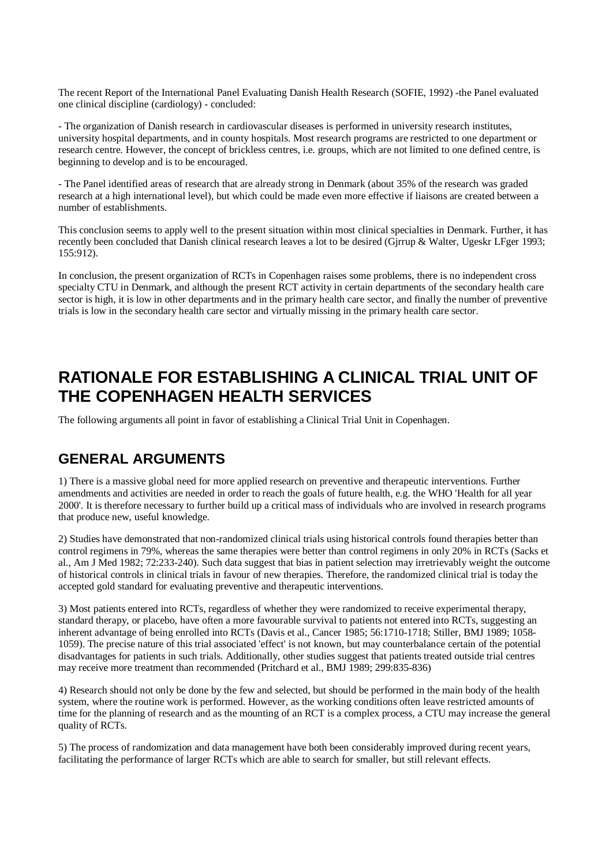The recent Report of the International Panel Evaluating Danish Health Research (SOFIE, 1992) -the Panel evaluated one clinical discipline (cardiology) - concluded:

- The organization of Danish research in cardiovascular diseases is performed in university research institutes, university hospital departments, and in county hospitals. Most research programs are restricted to one department or research centre. However, the concept of brickless centres, i.e. groups, which are not limited to one defined centre, is beginning to develop and is to be encouraged.

- The Panel identified areas of research that are already strong in Denmark (about 35% of the research was graded research at a high international level), but which could be made even more effective if liaisons are created between a number of establishments.

This conclusion seems to apply well to the present situation within most clinical specialties in Denmark. Further, it has recently been concluded that Danish clinical research leaves a lot to be desired (Gjrrup & Walter, Ugeskr LFger 1993; 155:912).

In conclusion, the present organization of RCTs in Copenhagen raises some problems, there is no independent cross specialty CTU in Denmark, and although the present RCT activity in certain departments of the secondary health care sector is high, it is low in other departments and in the primary health care sector, and finally the number of preventive trials is low in the secondary health care sector and virtually missing in the primary health care sector.

# **RATIONALE FOR ESTABLISHING A CLINICAL TRIAL UNIT OF THE COPENHAGEN HEALTH SERVICES**

The following arguments all point in favor of establishing a Clinical Trial Unit in Copenhagen.

### **GENERAL ARGUMENTS**

1) There is a massive global need for more applied research on preventive and therapeutic interventions. Further amendments and activities are needed in order to reach the goals of future health, e.g. the WHO 'Health for all year 2000'. It is therefore necessary to further build up a critical mass of individuals who are involved in research programs that produce new, useful knowledge.

2) Studies have demonstrated that non-randomized clinical trials using historical controls found therapies better than control regimens in 79%, whereas the same therapies were better than control regimens in only 20% in RCTs (Sacks et al., Am J Med 1982; 72:233-240). Such data suggest that bias in patient selection may irretrievably weight the outcome of historical controls in clinical trials in favour of new therapies. Therefore, the randomized clinical trial is today the accepted gold standard for evaluating preventive and therapeutic interventions.

3) Most patients entered into RCTs, regardless of whether they were randomized to receive experimental therapy, standard therapy, or placebo, have often a more favourable survival to patients not entered into RCTs, suggesting an inherent advantage of being enrolled into RCTs (Davis et al., Cancer 1985; 56:1710-1718; Stiller, BMJ 1989; 1058- 1059). The precise nature of this trial associated 'effect' is not known, but may counterbalance certain of the potential disadvantages for patients in such trials. Additionally, other studies suggest that patients treated outside trial centres may receive more treatment than recommended (Pritchard et al., BMJ 1989; 299:835-836)

4) Research should not only be done by the few and selected, but should be performed in the main body of the health system, where the routine work is performed. However, as the working conditions often leave restricted amounts of time for the planning of research and as the mounting of an RCT is a complex process, a CTU may increase the general quality of RCTs.

5) The process of randomization and data management have both been considerably improved during recent years, facilitating the performance of larger RCTs which are able to search for smaller, but still relevant effects.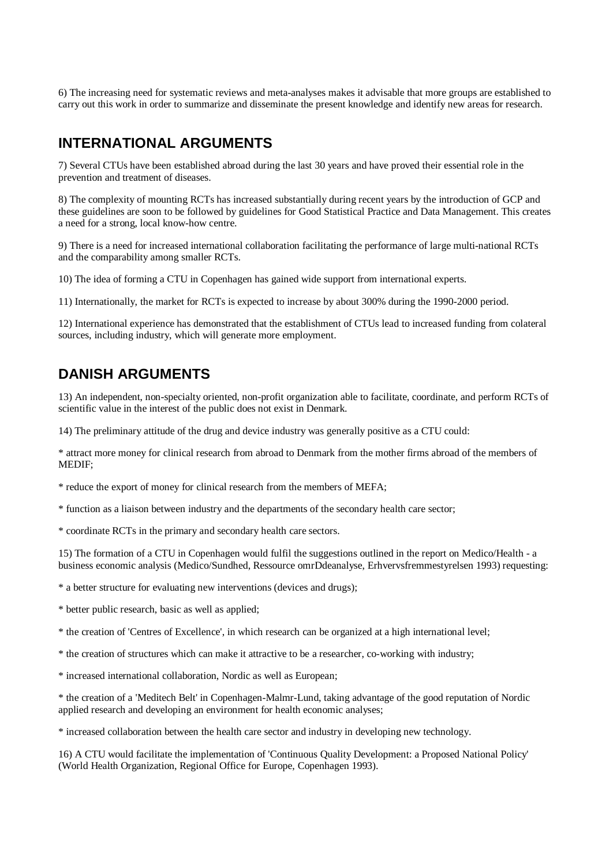6) The increasing need for systematic reviews and meta-analyses makes it advisable that more groups are established to carry out this work in order to summarize and disseminate the present knowledge and identify new areas for research.

## **INTERNATIONAL ARGUMENTS**

7) Several CTUs have been established abroad during the last 30 years and have proved their essential role in the prevention and treatment of diseases.

8) The complexity of mounting RCTs has increased substantially during recent years by the introduction of GCP and these guidelines are soon to be followed by guidelines for Good Statistical Practice and Data Management. This creates a need for a strong, local know-how centre.

9) There is a need for increased international collaboration facilitating the performance of large multi-national RCTs and the comparability among smaller RCTs.

10) The idea of forming a CTU in Copenhagen has gained wide support from international experts.

11) Internationally, the market for RCTs is expected to increase by about 300% during the 1990-2000 period.

12) International experience has demonstrated that the establishment of CTUs lead to increased funding from colateral sources, including industry, which will generate more employment.

### **DANISH ARGUMENTS**

13) An independent, non-specialty oriented, non-profit organization able to facilitate, coordinate, and perform RCTs of scientific value in the interest of the public does not exist in Denmark.

14) The preliminary attitude of the drug and device industry was generally positive as a CTU could:

\* attract more money for clinical research from abroad to Denmark from the mother firms abroad of the members of MEDIF;

\* reduce the export of money for clinical research from the members of MEFA;

\* function as a liaison between industry and the departments of the secondary health care sector;

\* coordinate RCTs in the primary and secondary health care sectors.

15) The formation of a CTU in Copenhagen would fulfil the suggestions outlined in the report on Medico/Health - a business economic analysis (Medico/Sundhed, Ressource omrDdeanalyse, Erhvervsfremmestyrelsen 1993) requesting:

\* a better structure for evaluating new interventions (devices and drugs);

\* better public research, basic as well as applied;

\* the creation of 'Centres of Excellence', in which research can be organized at a high international level;

\* the creation of structures which can make it attractive to be a researcher, co-working with industry;

\* increased international collaboration, Nordic as well as European;

\* the creation of a 'Meditech Belt' in Copenhagen-Malmr-Lund, taking advantage of the good reputation of Nordic applied research and developing an environment for health economic analyses;

\* increased collaboration between the health care sector and industry in developing new technology.

16) A CTU would facilitate the implementation of 'Continuous Quality Development: a Proposed National Policy' (World Health Organization, Regional Office for Europe, Copenhagen 1993).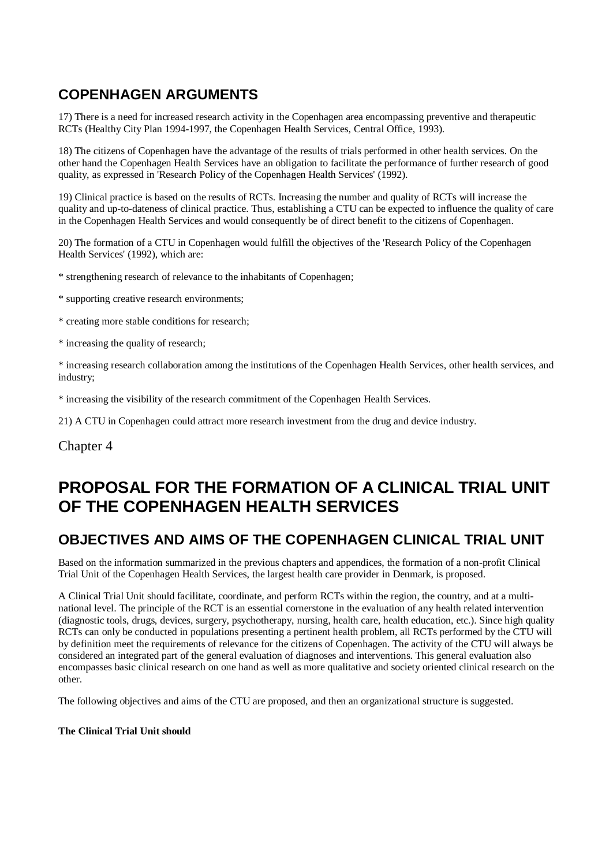# **COPENHAGEN ARGUMENTS**

17) There is a need for increased research activity in the Copenhagen area encompassing preventive and therapeutic RCTs (Healthy City Plan 1994-1997, the Copenhagen Health Services, Central Office, 1993).

18) The citizens of Copenhagen have the advantage of the results of trials performed in other health services. On the other hand the Copenhagen Health Services have an obligation to facilitate the performance of further research of good quality, as expressed in 'Research Policy of the Copenhagen Health Services' (1992).

19) Clinical practice is based on the results of RCTs. Increasing the number and quality of RCTs will increase the quality and up-to-dateness of clinical practice. Thus, establishing a CTU can be expected to influence the quality of care in the Copenhagen Health Services and would consequently be of direct benefit to the citizens of Copenhagen.

20) The formation of a CTU in Copenhagen would fulfill the objectives of the 'Research Policy of the Copenhagen Health Services' (1992), which are:

\* strengthening research of relevance to the inhabitants of Copenhagen;

\* supporting creative research environments;

\* creating more stable conditions for research;

\* increasing the quality of research;

\* increasing research collaboration among the institutions of the Copenhagen Health Services, other health services, and industry;

\* increasing the visibility of the research commitment of the Copenhagen Health Services.

21) A CTU in Copenhagen could attract more research investment from the drug and device industry.

Chapter 4

# **PROPOSAL FOR THE FORMATION OF A CLINICAL TRIAL UNIT OF THE COPENHAGEN HEALTH SERVICES**

### **OBJECTIVES AND AIMS OF THE COPENHAGEN CLINICAL TRIAL UNIT**

Based on the information summarized in the previous chapters and appendices, the formation of a non-profit Clinical Trial Unit of the Copenhagen Health Services, the largest health care provider in Denmark, is proposed.

A Clinical Trial Unit should facilitate, coordinate, and perform RCTs within the region, the country, and at a multinational level. The principle of the RCT is an essential cornerstone in the evaluation of any health related intervention (diagnostic tools, drugs, devices, surgery, psychotherapy, nursing, health care, health education, etc.). Since high quality RCTs can only be conducted in populations presenting a pertinent health problem, all RCTs performed by the CTU will by definition meet the requirements of relevance for the citizens of Copenhagen. The activity of the CTU will always be considered an integrated part of the general evaluation of diagnoses and interventions. This general evaluation also encompasses basic clinical research on one hand as well as more qualitative and society oriented clinical research on the other.

The following objectives and aims of the CTU are proposed, and then an organizational structure is suggested.

#### **The Clinical Trial Unit should**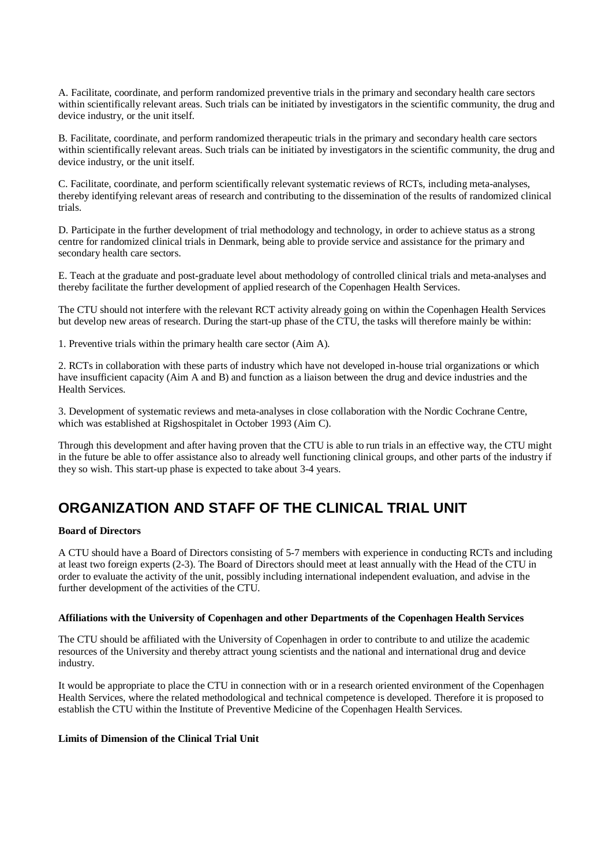A. Facilitate, coordinate, and perform randomized preventive trials in the primary and secondary health care sectors within scientifically relevant areas. Such trials can be initiated by investigators in the scientific community, the drug and device industry, or the unit itself.

B. Facilitate, coordinate, and perform randomized therapeutic trials in the primary and secondary health care sectors within scientifically relevant areas. Such trials can be initiated by investigators in the scientific community, the drug and device industry, or the unit itself.

C. Facilitate, coordinate, and perform scientifically relevant systematic reviews of RCTs, including meta-analyses, thereby identifying relevant areas of research and contributing to the dissemination of the results of randomized clinical trials.

D. Participate in the further development of trial methodology and technology, in order to achieve status as a strong centre for randomized clinical trials in Denmark, being able to provide service and assistance for the primary and secondary health care sectors.

E. Teach at the graduate and post-graduate level about methodology of controlled clinical trials and meta-analyses and thereby facilitate the further development of applied research of the Copenhagen Health Services.

The CTU should not interfere with the relevant RCT activity already going on within the Copenhagen Health Services but develop new areas of research. During the start-up phase of the CTU, the tasks will therefore mainly be within:

1. Preventive trials within the primary health care sector (Aim A).

2. RCTs in collaboration with these parts of industry which have not developed in-house trial organizations or which have insufficient capacity (Aim A and B) and function as a liaison between the drug and device industries and the Health Services.

3. Development of systematic reviews and meta-analyses in close collaboration with the Nordic Cochrane Centre, which was established at Rigshospitalet in October 1993 (Aim C).

Through this development and after having proven that the CTU is able to run trials in an effective way, the CTU might in the future be able to offer assistance also to already well functioning clinical groups, and other parts of the industry if they so wish. This start-up phase is expected to take about 3-4 years.

# **ORGANIZATION AND STAFF OF THE CLINICAL TRIAL UNIT**

#### **Board of Directors**

A CTU should have a Board of Directors consisting of 5-7 members with experience in conducting RCTs and including at least two foreign experts (2-3). The Board of Directors should meet at least annually with the Head of the CTU in order to evaluate the activity of the unit, possibly including international independent evaluation, and advise in the further development of the activities of the CTU.

#### **Affiliations with the University of Copenhagen and other Departments of the Copenhagen Health Services**

The CTU should be affiliated with the University of Copenhagen in order to contribute to and utilize the academic resources of the University and thereby attract young scientists and the national and international drug and device industry.

It would be appropriate to place the CTU in connection with or in a research oriented environment of the Copenhagen Health Services, where the related methodological and technical competence is developed. Therefore it is proposed to establish the CTU within the Institute of Preventive Medicine of the Copenhagen Health Services.

#### **Limits of Dimension of the Clinical Trial Unit**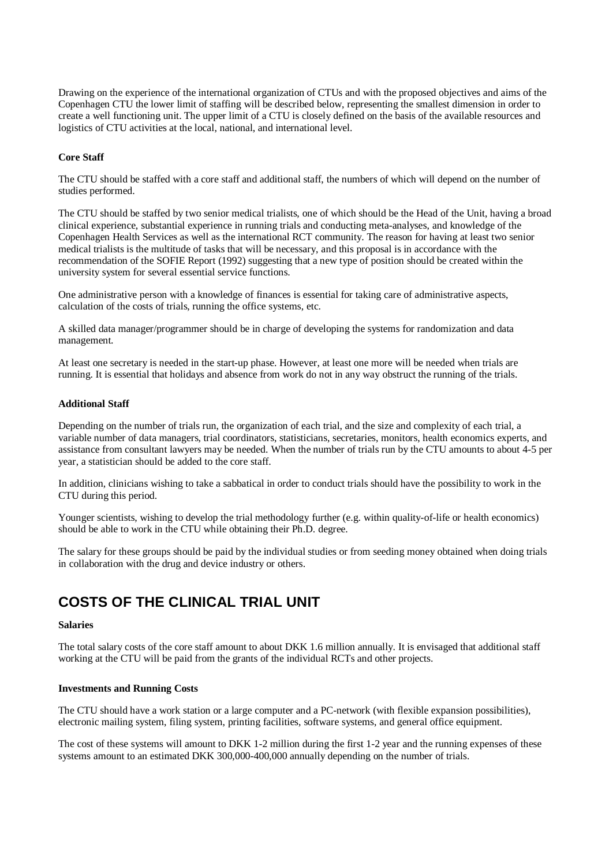Drawing on the experience of the international organization of CTUs and with the proposed objectives and aims of the Copenhagen CTU the lower limit of staffing will be described below, representing the smallest dimension in order to create a well functioning unit. The upper limit of a CTU is closely defined on the basis of the available resources and logistics of CTU activities at the local, national, and international level.

#### **Core Staff**

The CTU should be staffed with a core staff and additional staff, the numbers of which will depend on the number of studies performed.

The CTU should be staffed by two senior medical trialists, one of which should be the Head of the Unit, having a broad clinical experience, substantial experience in running trials and conducting meta-analyses, and knowledge of the Copenhagen Health Services as well as the international RCT community. The reason for having at least two senior medical trialists is the multitude of tasks that will be necessary, and this proposal is in accordance with the recommendation of the SOFIE Report (1992) suggesting that a new type of position should be created within the university system for several essential service functions.

One administrative person with a knowledge of finances is essential for taking care of administrative aspects, calculation of the costs of trials, running the office systems, etc.

A skilled data manager/programmer should be in charge of developing the systems for randomization and data management.

At least one secretary is needed in the start-up phase. However, at least one more will be needed when trials are running. It is essential that holidays and absence from work do not in any way obstruct the running of the trials.

#### **Additional Staff**

Depending on the number of trials run, the organization of each trial, and the size and complexity of each trial, a variable number of data managers, trial coordinators, statisticians, secretaries, monitors, health economics experts, and assistance from consultant lawyers may be needed. When the number of trials run by the CTU amounts to about 4-5 per year, a statistician should be added to the core staff.

In addition, clinicians wishing to take a sabbatical in order to conduct trials should have the possibility to work in the CTU during this period.

Younger scientists, wishing to develop the trial methodology further (e.g. within quality-of-life or health economics) should be able to work in the CTU while obtaining their Ph.D. degree.

The salary for these groups should be paid by the individual studies or from seeding money obtained when doing trials in collaboration with the drug and device industry or others.

### **COSTS OF THE CLINICAL TRIAL UNIT**

#### **Salaries**

The total salary costs of the core staff amount to about DKK 1.6 million annually. It is envisaged that additional staff working at the CTU will be paid from the grants of the individual RCTs and other projects.

#### **Investments and Running Costs**

The CTU should have a work station or a large computer and a PC-network (with flexible expansion possibilities), electronic mailing system, filing system, printing facilities, software systems, and general office equipment.

The cost of these systems will amount to DKK 1-2 million during the first 1-2 year and the running expenses of these systems amount to an estimated DKK 300,000-400,000 annually depending on the number of trials.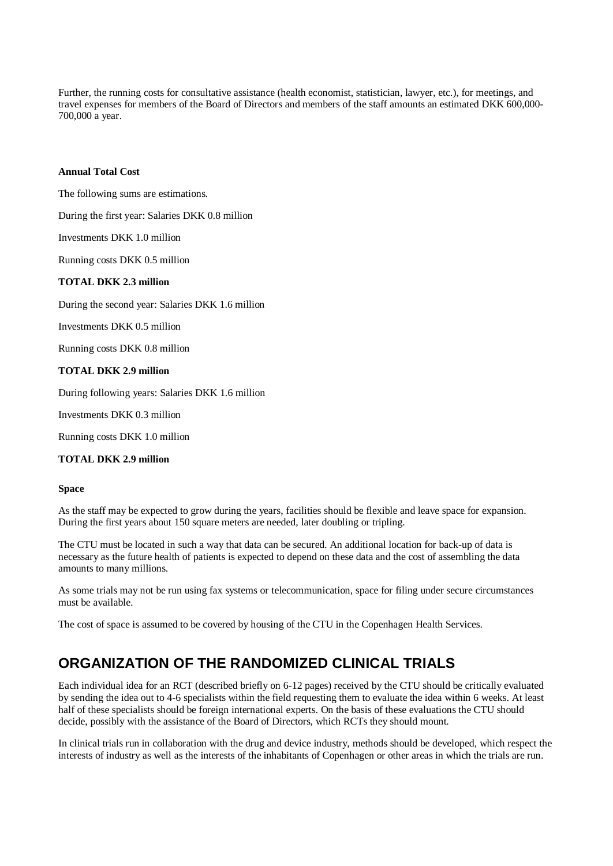Further, the running costs for consultative assistance (health economist, statistician, lawyer, etc.), for meetings, and travel expenses for members of the Board of Directors and members of the staff amounts an estimated DKK 600,000- 700,000 a year.

#### **Annual Total Cost**

The following sums are estimations.

During the first year: Salaries DKK 0.8 million

Investments DKK 1.0 million

Running costs DKK 0.5 million

#### **TOTAL DKK 2.3 million**

During the second year: Salaries DKK 1.6 million

Investments DKK 0.5 million

Running costs DKK 0.8 million

#### **TOTAL DKK 2.9 million**

During following years: Salaries DKK 1.6 million

Investments DKK 0.3 million

Running costs DKK 1.0 million

#### **TOTAL DKK 2.9 million**

#### **Space**

As the staff may be expected to grow during the years, facilities should be flexible and leave space for expansion. During the first years about 150 square meters are needed, later doubling or tripling.

The CTU must be located in such a way that data can be secured. An additional location for back-up of data is necessary as the future health of patients is expected to depend on these data and the cost of assembling the data amounts to many millions.

As some trials may not be run using fax systems or telecommunication, space for filing under secure circumstances must be available.

The cost of space is assumed to be covered by housing of the CTU in the Copenhagen Health Services.

### **ORGANIZATION OF THE RANDOMIZED CLINICAL TRIALS**

Each individual idea for an RCT (described briefly on 6-12 pages) received by the CTU should be critically evaluated by sending the idea out to 4-6 specialists within the field requesting them to evaluate the idea within 6 weeks. At least half of these specialists should be foreign international experts. On the basis of these evaluations the CTU should decide, possibly with the assistance of the Board of Directors, which RCTs they should mount.

In clinical trials run in collaboration with the drug and device industry, methods should be developed, which respect the interests of industry as well as the interests of the inhabitants of Copenhagen or other areas in which the trials are run.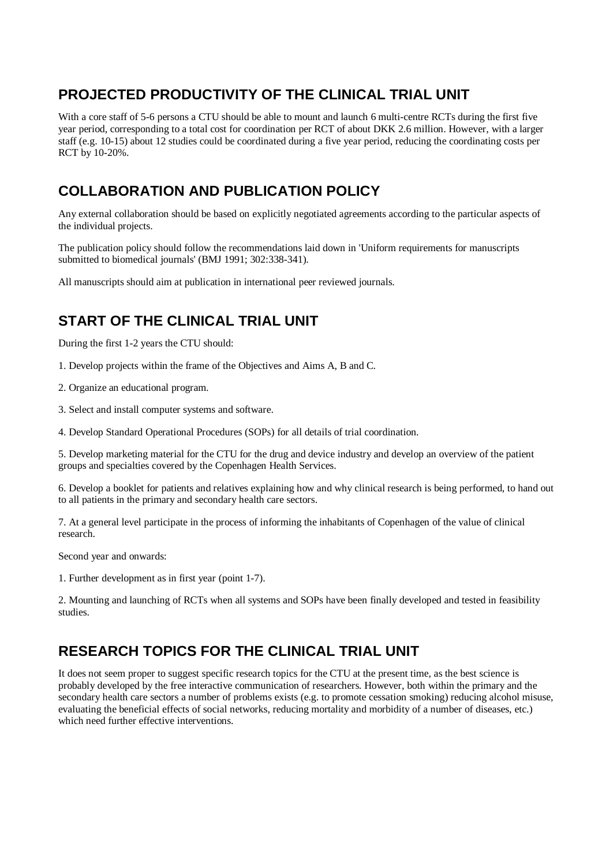# **PROJECTED PRODUCTIVITY OF THE CLINICAL TRIAL UNIT**

With a core staff of 5-6 persons a CTU should be able to mount and launch 6 multi-centre RCTs during the first five year period, corresponding to a total cost for coordination per RCT of about DKK 2.6 million. However, with a larger staff (e.g. 10-15) about 12 studies could be coordinated during a five year period, reducing the coordinating costs per RCT by 10-20%.

# **COLLABORATION AND PUBLICATION POLICY**

Any external collaboration should be based on explicitly negotiated agreements according to the particular aspects of the individual projects.

The publication policy should follow the recommendations laid down in 'Uniform requirements for manuscripts submitted to biomedical journals' (BMJ 1991; 302:338-341).

All manuscripts should aim at publication in international peer reviewed journals.

# **START OF THE CLINICAL TRIAL UNIT**

During the first 1-2 years the CTU should:

- 1. Develop projects within the frame of the Objectives and Aims A, B and C.
- 2. Organize an educational program.
- 3. Select and install computer systems and software.
- 4. Develop Standard Operational Procedures (SOPs) for all details of trial coordination.

5. Develop marketing material for the CTU for the drug and device industry and develop an overview of the patient groups and specialties covered by the Copenhagen Health Services.

6. Develop a booklet for patients and relatives explaining how and why clinical research is being performed, to hand out to all patients in the primary and secondary health care sectors.

7. At a general level participate in the process of informing the inhabitants of Copenhagen of the value of clinical research.

Second year and onwards:

1. Further development as in first year (point 1-7).

2. Mounting and launching of RCTs when all systems and SOPs have been finally developed and tested in feasibility studies.

# **RESEARCH TOPICS FOR THE CLINICAL TRIAL UNIT**

It does not seem proper to suggest specific research topics for the CTU at the present time, as the best science is probably developed by the free interactive communication of researchers. However, both within the primary and the secondary health care sectors a number of problems exists (e.g. to promote cessation smoking) reducing alcohol misuse, evaluating the beneficial effects of social networks, reducing mortality and morbidity of a number of diseases, etc.) which need further effective interventions.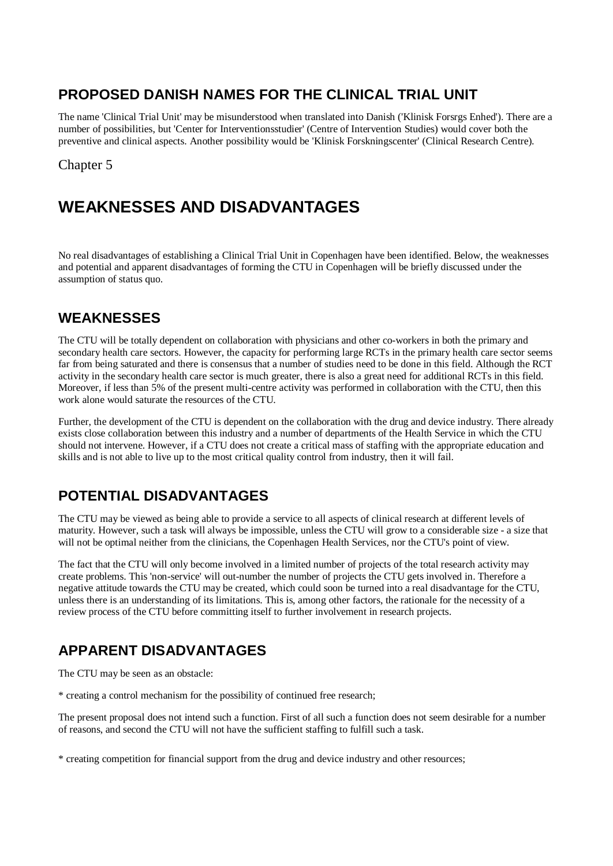# **PROPOSED DANISH NAMES FOR THE CLINICAL TRIAL UNIT**

The name 'Clinical Trial Unit' may be misunderstood when translated into Danish ('Klinisk Forsrgs Enhed'). There are a number of possibilities, but 'Center for Interventionsstudier' (Centre of Intervention Studies) would cover both the preventive and clinical aspects. Another possibility would be 'Klinisk Forskningscenter' (Clinical Research Centre).

### Chapter 5

# **WEAKNESSES AND DISADVANTAGES**

No real disadvantages of establishing a Clinical Trial Unit in Copenhagen have been identified. Below, the weaknesses and potential and apparent disadvantages of forming the CTU in Copenhagen will be briefly discussed under the assumption of status quo.

## **WEAKNESSES**

The CTU will be totally dependent on collaboration with physicians and other co-workers in both the primary and secondary health care sectors. However, the capacity for performing large RCTs in the primary health care sector seems far from being saturated and there is consensus that a number of studies need to be done in this field. Although the RCT activity in the secondary health care sector is much greater, there is also a great need for additional RCTs in this field. Moreover, if less than 5% of the present multi-centre activity was performed in collaboration with the CTU, then this work alone would saturate the resources of the CTU.

Further, the development of the CTU is dependent on the collaboration with the drug and device industry. There already exists close collaboration between this industry and a number of departments of the Health Service in which the CTU should not intervene. However, if a CTU does not create a critical mass of staffing with the appropriate education and skills and is not able to live up to the most critical quality control from industry, then it will fail.

# **POTENTIAL DISADVANTAGES**

The CTU may be viewed as being able to provide a service to all aspects of clinical research at different levels of maturity. However, such a task will always be impossible, unless the CTU will grow to a considerable size - a size that will not be optimal neither from the clinicians, the Copenhagen Health Services, nor the CTU's point of view.

The fact that the CTU will only become involved in a limited number of projects of the total research activity may create problems. This 'non-service' will out-number the number of projects the CTU gets involved in. Therefore a negative attitude towards the CTU may be created, which could soon be turned into a real disadvantage for the CTU, unless there is an understanding of its limitations. This is, among other factors, the rationale for the necessity of a review process of the CTU before committing itself to further involvement in research projects.

# **APPARENT DISADVANTAGES**

The CTU may be seen as an obstacle:

\* creating a control mechanism for the possibility of continued free research;

The present proposal does not intend such a function. First of all such a function does not seem desirable for a number of reasons, and second the CTU will not have the sufficient staffing to fulfill such a task.

\* creating competition for financial support from the drug and device industry and other resources;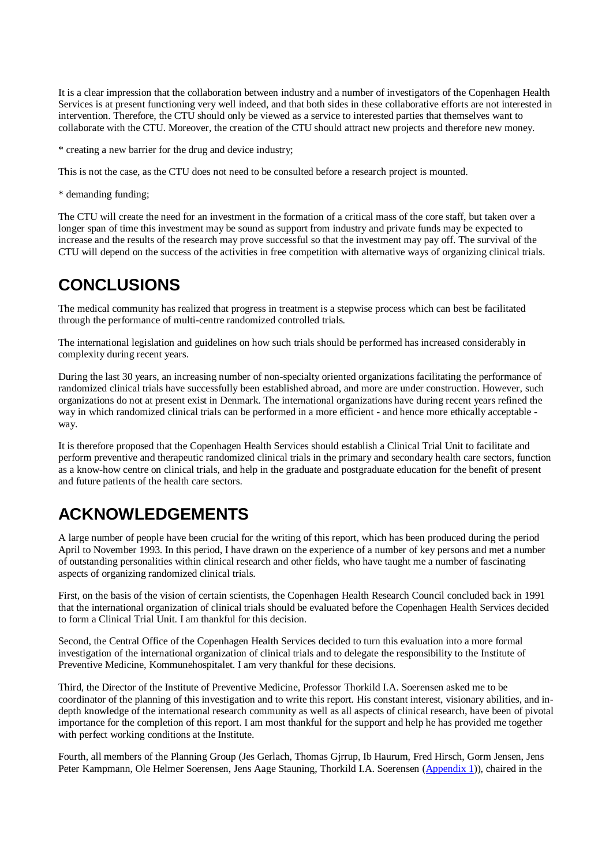It is a clear impression that the collaboration between industry and a number of investigators of the Copenhagen Health Services is at present functioning very well indeed, and that both sides in these collaborative efforts are not interested in intervention. Therefore, the CTU should only be viewed as a service to interested parties that themselves want to collaborate with the CTU. Moreover, the creation of the CTU should attract new projects and therefore new money.

\* creating a new barrier for the drug and device industry;

This is not the case, as the CTU does not need to be consulted before a research project is mounted.

\* demanding funding;

The CTU will create the need for an investment in the formation of a critical mass of the core staff, but taken over a longer span of time this investment may be sound as support from industry and private funds may be expected to increase and the results of the research may prove successful so that the investment may pay off. The survival of the CTU will depend on the success of the activities in free competition with alternative ways of organizing clinical trials.

# **CONCLUSIONS**

The medical community has realized that progress in treatment is a stepwise process which can best be facilitated through the performance of multi-centre randomized controlled trials.

The international legislation and guidelines on how such trials should be performed has increased considerably in complexity during recent years.

During the last 30 years, an increasing number of non-specialty oriented organizations facilitating the performance of randomized clinical trials have successfully been established abroad, and more are under construction. However, such organizations do not at present exist in Denmark. The international organizations have during recent years refined the way in which randomized clinical trials can be performed in a more efficient - and hence more ethically acceptable way.

It is therefore proposed that the Copenhagen Health Services should establish a Clinical Trial Unit to facilitate and perform preventive and therapeutic randomized clinical trials in the primary and secondary health care sectors, function as a know-how centre on clinical trials, and help in the graduate and postgraduate education for the benefit of present and future patients of the health care sectors.

# **ACKNOWLEDGEMENTS**

A large number of people have been crucial for the writing of this report, which has been produced during the period April to November 1993. In this period, I have drawn on the experience of a number of key persons and met a number of outstanding personalities within clinical research and other fields, who have taught me a number of fascinating aspects of organizing randomized clinical trials.

First, on the basis of the vision of certain scientists, the Copenhagen Health Research Council concluded back in 1991 that the international organization of clinical trials should be evaluated before the Copenhagen Health Services decided to form a Clinical Trial Unit. I am thankful for this decision.

Second, the Central Office of the Copenhagen Health Services decided to turn this evaluation into a more formal investigation of the international organization of clinical trials and to delegate the responsibility to the Institute of Preventive Medicine, Kommunehospitalet. I am very thankful for these decisions.

Third, the Director of the Institute of Preventive Medicine, Professor Thorkild I.A. Soerensen asked me to be coordinator of the planning of this investigation and to write this report. His constant interest, visionary abilities, and indepth knowledge of the international research community as well as all aspects of clinical research, have been of pivotal importance for the completion of this report. I am most thankful for the support and help he has provided me together with perfect working conditions at the Institute.

Fourth, all members of the Planning Group (Jes Gerlach, Thomas Gjrrup, Ib Haurum, Fred Hirsch, Gorm Jensen, Jens Peter Kampmann, Ole Helmer Soerensen, Jens Aage Stauning, Thorkild I.A. Soerensen (Appendix 1)), chaired in the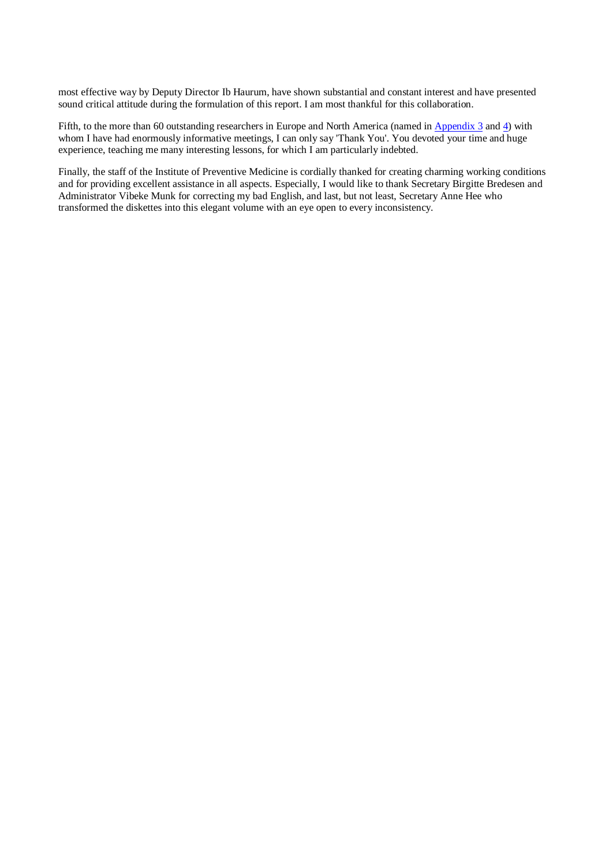most effective way by Deputy Director Ib Haurum, have shown substantial and constant interest and have presented sound critical attitude during the formulation of this report. I am most thankful for this collaboration.

Fifth, to the more than 60 outstanding researchers in Europe and North America (named in Appendix 3 and 4) with whom I have had enormously informative meetings, I can only say 'Thank You'. You devoted your time and huge experience, teaching me many interesting lessons, for which I am particularly indebted.

Finally, the staff of the Institute of Preventive Medicine is cordially thanked for creating charming working conditions and for providing excellent assistance in all aspects. Especially, I would like to thank Secretary Birgitte Bredesen and Administrator Vibeke Munk for correcting my bad English, and last, but not least, Secretary Anne Hee who transformed the diskettes into this elegant volume with an eye open to every inconsistency.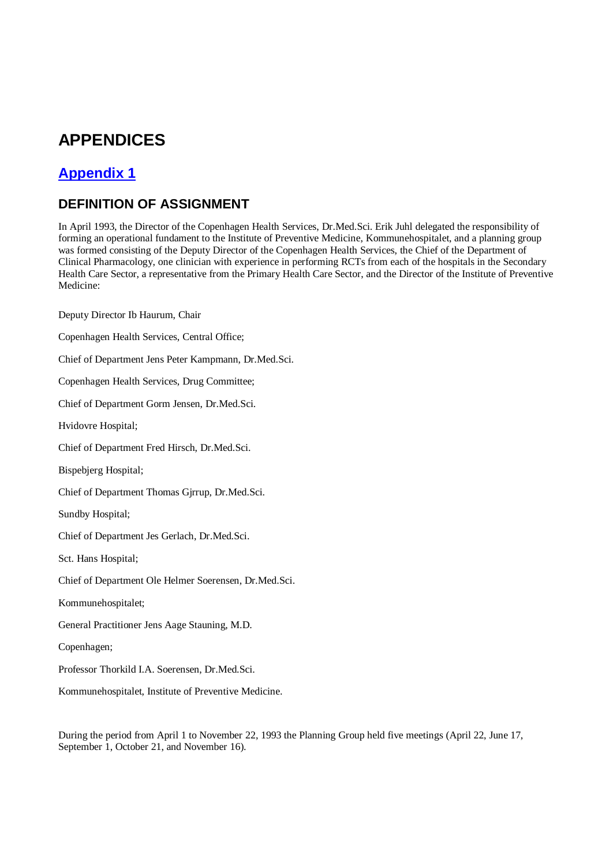# **APPENDICES**

# **Appendix 1**

# **DEFINITION OF ASSIGNMENT**

In April 1993, the Director of the Copenhagen Health Services, Dr.Med.Sci. Erik Juhl delegated the responsibility of forming an operational fundament to the Institute of Preventive Medicine, Kommunehospitalet, and a planning group was formed consisting of the Deputy Director of the Copenhagen Health Services, the Chief of the Department of Clinical Pharmacology, one clinician with experience in performing RCTs from each of the hospitals in the Secondary Health Care Sector, a representative from the Primary Health Care Sector, and the Director of the Institute of Preventive Medicine:

Deputy Director Ib Haurum, Chair

Copenhagen Health Services, Central Office;

Chief of Department Jens Peter Kampmann, Dr.Med.Sci.

Copenhagen Health Services, Drug Committee;

Chief of Department Gorm Jensen, Dr.Med.Sci.

Hvidovre Hospital;

Chief of Department Fred Hirsch, Dr.Med.Sci.

Bispebjerg Hospital;

Chief of Department Thomas Gjrrup, Dr.Med.Sci.

Sundby Hospital;

Chief of Department Jes Gerlach, Dr.Med.Sci.

Sct. Hans Hospital;

Chief of Department Ole Helmer Soerensen, Dr.Med.Sci.

Kommunehospitalet;

General Practitioner Jens Aage Stauning, M.D.

Copenhagen;

Professor Thorkild I.A. Soerensen, Dr.Med.Sci.

Kommunehospitalet, Institute of Preventive Medicine.

During the period from April 1 to November 22, 1993 the Planning Group held five meetings (April 22, June 17, September 1, October 21, and November 16).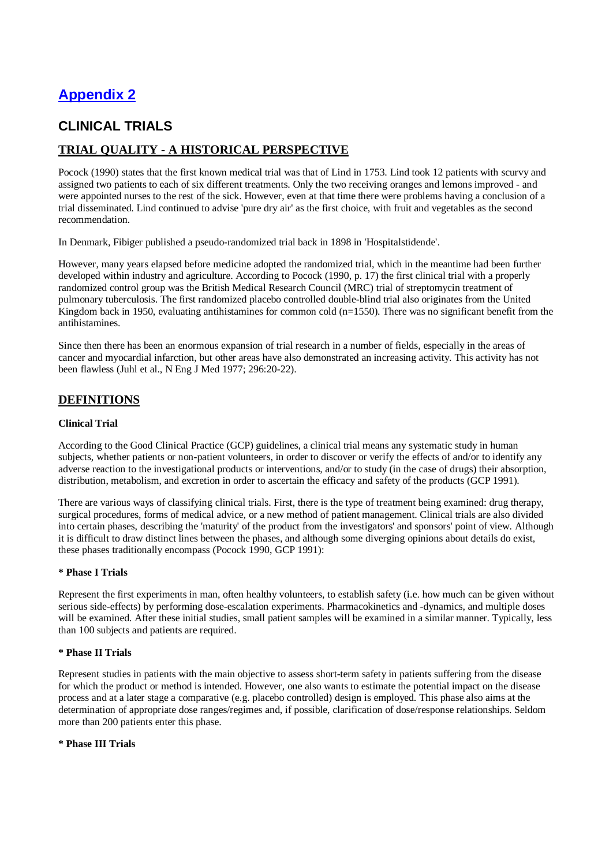# **Appendix 2**

## **CLINICAL TRIALS**

### **TRIAL QUALITY - A HISTORICAL PERSPECTIVE**

Pocock (1990) states that the first known medical trial was that of Lind in 1753. Lind took 12 patients with scurvy and assigned two patients to each of six different treatments. Only the two receiving oranges and lemons improved - and were appointed nurses to the rest of the sick. However, even at that time there were problems having a conclusion of a trial disseminated. Lind continued to advise 'pure dry air' as the first choice, with fruit and vegetables as the second recommendation.

In Denmark, Fibiger published a pseudo-randomized trial back in 1898 in 'Hospitalstidende'.

However, many years elapsed before medicine adopted the randomized trial, which in the meantime had been further developed within industry and agriculture. According to Pocock (1990, p. 17) the first clinical trial with a properly randomized control group was the British Medical Research Council (MRC) trial of streptomycin treatment of pulmonary tuberculosis. The first randomized placebo controlled double-blind trial also originates from the United Kingdom back in 1950, evaluating antihistamines for common cold ( $n=1550$ ). There was no significant benefit from the antihistamines.

Since then there has been an enormous expansion of trial research in a number of fields, especially in the areas of cancer and myocardial infarction, but other areas have also demonstrated an increasing activity. This activity has not been flawless (Juhl et al., N Eng J Med 1977; 296:20-22).

### **DEFINITIONS**

#### **Clinical Trial**

According to the Good Clinical Practice (GCP) guidelines, a clinical trial means any systematic study in human subjects, whether patients or non-patient volunteers, in order to discover or verify the effects of and/or to identify any adverse reaction to the investigational products or interventions, and/or to study (in the case of drugs) their absorption, distribution, metabolism, and excretion in order to ascertain the efficacy and safety of the products (GCP 1991).

There are various ways of classifying clinical trials. First, there is the type of treatment being examined: drug therapy, surgical procedures, forms of medical advice, or a new method of patient management. Clinical trials are also divided into certain phases, describing the 'maturity' of the product from the investigators' and sponsors' point of view. Although it is difficult to draw distinct lines between the phases, and although some diverging opinions about details do exist, these phases traditionally encompass (Pocock 1990, GCP 1991):

#### **\* Phase I Trials**

Represent the first experiments in man, often healthy volunteers, to establish safety (i.e. how much can be given without serious side-effects) by performing dose-escalation experiments. Pharmacokinetics and -dynamics, and multiple doses will be examined. After these initial studies, small patient samples will be examined in a similar manner. Typically, less than 100 subjects and patients are required.

#### **\* Phase II Trials**

Represent studies in patients with the main objective to assess short-term safety in patients suffering from the disease for which the product or method is intended. However, one also wants to estimate the potential impact on the disease process and at a later stage a comparative (e.g. placebo controlled) design is employed. This phase also aims at the determination of appropriate dose ranges/regimes and, if possible, clarification of dose/response relationships. Seldom more than 200 patients enter this phase.

#### **\* Phase III Trials**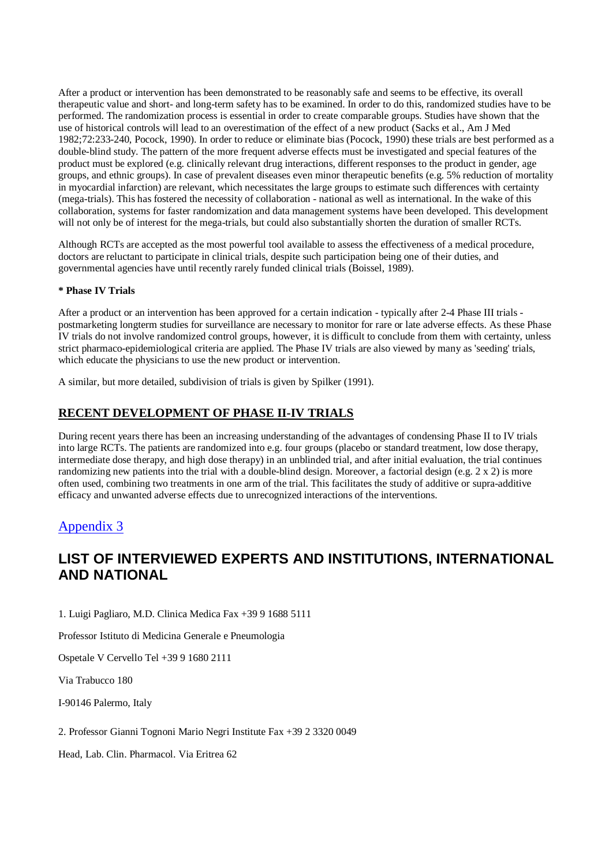After a product or intervention has been demonstrated to be reasonably safe and seems to be effective, its overall therapeutic value and short- and long-term safety has to be examined. In order to do this, randomized studies have to be performed. The randomization process is essential in order to create comparable groups. Studies have shown that the use of historical controls will lead to an overestimation of the effect of a new product (Sacks et al., Am J Med 1982;72:233-240, Pocock, 1990). In order to reduce or eliminate bias (Pocock, 1990) these trials are best performed as a double-blind study. The pattern of the more frequent adverse effects must be investigated and special features of the product must be explored (e.g. clinically relevant drug interactions, different responses to the product in gender, age groups, and ethnic groups). In case of prevalent diseases even minor therapeutic benefits (e.g. 5% reduction of mortality in myocardial infarction) are relevant, which necessitates the large groups to estimate such differences with certainty (mega-trials). This has fostered the necessity of collaboration - national as well as international. In the wake of this collaboration, systems for faster randomization and data management systems have been developed. This development will not only be of interest for the mega-trials, but could also substantially shorten the duration of smaller RCTs.

Although RCTs are accepted as the most powerful tool available to assess the effectiveness of a medical procedure, doctors are reluctant to participate in clinical trials, despite such participation being one of their duties, and governmental agencies have until recently rarely funded clinical trials (Boissel, 1989).

#### **\* Phase IV Trials**

After a product or an intervention has been approved for a certain indication - typically after 2-4 Phase III trials postmarketing longterm studies for surveillance are necessary to monitor for rare or late adverse effects. As these Phase IV trials do not involve randomized control groups, however, it is difficult to conclude from them with certainty, unless strict pharmaco-epidemiological criteria are applied. The Phase IV trials are also viewed by many as 'seeding' trials, which educate the physicians to use the new product or intervention.

A similar, but more detailed, subdivision of trials is given by Spilker (1991).

### **RECENT DEVELOPMENT OF PHASE II-IV TRIALS**

During recent years there has been an increasing understanding of the advantages of condensing Phase II to IV trials into large RCTs. The patients are randomized into e.g. four groups (placebo or standard treatment, low dose therapy, intermediate dose therapy, and high dose therapy) in an unblinded trial, and after initial evaluation, the trial continues randomizing new patients into the trial with a double-blind design. Moreover, a factorial design (e.g. 2 x 2) is more often used, combining two treatments in one arm of the trial. This facilitates the study of additive or supra-additive efficacy and unwanted adverse effects due to unrecognized interactions of the interventions.

### Appendix 3

# **LIST OF INTERVIEWED EXPERTS AND INSTITUTIONS, INTERNATIONAL AND NATIONAL**

1. Luigi Pagliaro, M.D. Clinica Medica Fax +39 9 1688 5111

Professor Istituto di Medicina Generale e Pneumologia

Ospetale V Cervello Tel +39 9 1680 2111

Via Trabucco 180

I-90146 Palermo, Italy

2. Professor Gianni Tognoni Mario Negri Institute Fax +39 2 3320 0049

Head, Lab. Clin. Pharmacol. Via Eritrea 62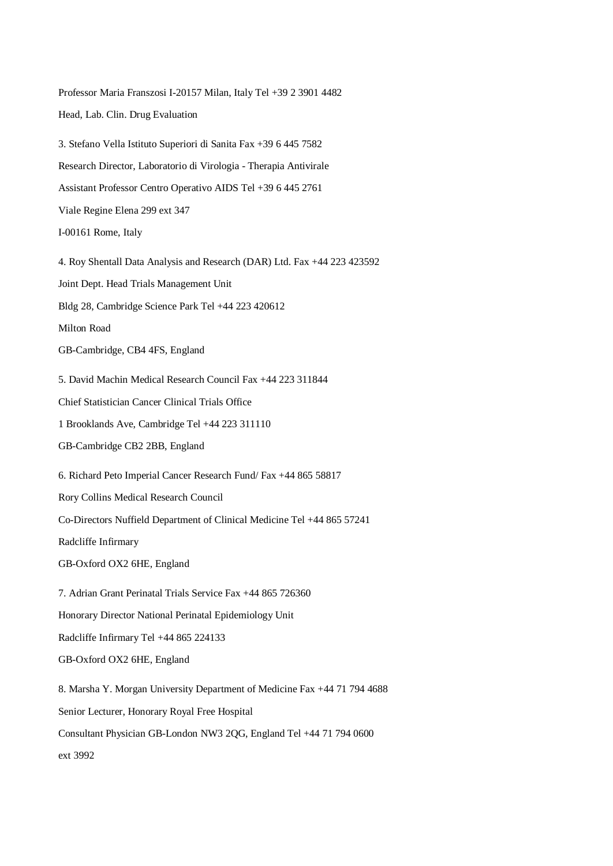Professor Maria Franszosi I-20157 Milan, Italy Tel +39 2 3901 4482 Head, Lab. Clin. Drug Evaluation 3. Stefano Vella Istituto Superiori di Sanita Fax +39 6 445 7582 Research Director, Laboratorio di Virologia - Therapia Antivirale Assistant Professor Centro Operativo AIDS Tel +39 6 445 2761 Viale Regine Elena 299 ext 347 I-00161 Rome, Italy 4. Roy Shentall Data Analysis and Research (DAR) Ltd. Fax +44 223 423592 Joint Dept. Head Trials Management Unit Bldg 28, Cambridge Science Park Tel +44 223 420612 Milton Road GB-Cambridge, CB4 4FS, England 5. David Machin Medical Research Council Fax +44 223 311844 Chief Statistician Cancer Clinical Trials Office 1 Brooklands Ave, Cambridge Tel +44 223 311110 GB-Cambridge CB2 2BB, England 6. Richard Peto Imperial Cancer Research Fund/ Fax +44 865 58817 Rory Collins Medical Research Council Co-Directors Nuffield Department of Clinical Medicine Tel +44 865 57241 Radcliffe Infirmary GB-Oxford OX2 6HE, England 7. Adrian Grant Perinatal Trials Service Fax +44 865 726360 Honorary Director National Perinatal Epidemiology Unit Radcliffe Infirmary Tel +44 865 224133 GB-Oxford OX2 6HE, England 8. Marsha Y. Morgan University Department of Medicine Fax +44 71 794 4688 Senior Lecturer, Honorary Royal Free Hospital Consultant Physician GB-London NW3 2QG, England Tel +44 71 794 0600 ext 3992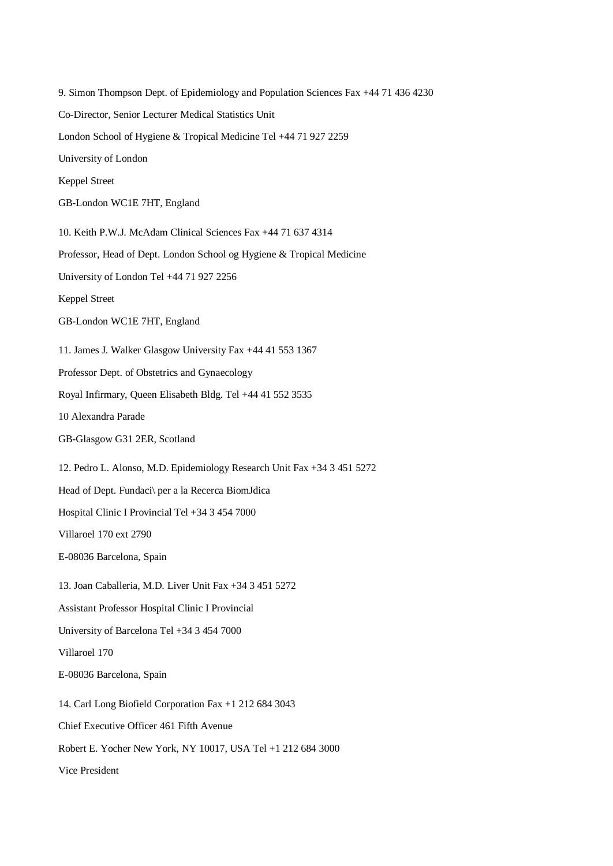9. Simon Thompson Dept. of Epidemiology and Population Sciences Fax +44 71 436 4230 Co-Director, Senior Lecturer Medical Statistics Unit London School of Hygiene & Tropical Medicine Tel +44 71 927 2259 University of London Keppel Street GB-London WC1E 7HT, England 10. Keith P.W.J. McAdam Clinical Sciences Fax +44 71 637 4314 Professor, Head of Dept. London School og Hygiene & Tropical Medicine University of London Tel +44 71 927 2256 Keppel Street GB-London WC1E 7HT, England 11. James J. Walker Glasgow University Fax +44 41 553 1367 Professor Dept. of Obstetrics and Gynaecology Royal Infirmary, Queen Elisabeth Bldg. Tel +44 41 552 3535 10 Alexandra Parade GB-Glasgow G31 2ER, Scotland 12. Pedro L. Alonso, M.D. Epidemiology Research Unit Fax +34 3 451 5272 Head of Dept. Fundaci\ per a la Recerca BiomJdica Hospital Clinic I Provincial Tel +34 3 454 7000 Villaroel 170 ext 2790 E-08036 Barcelona, Spain 13. Joan Caballeria, M.D. Liver Unit Fax +34 3 451 5272 Assistant Professor Hospital Clinic I Provincial University of Barcelona Tel +34 3 454 7000 Villaroel 170 E-08036 Barcelona, Spain 14. Carl Long Biofield Corporation Fax +1 212 684 3043 Chief Executive Officer 461 Fifth Avenue Robert E. Yocher New York, NY 10017, USA Tel +1 212 684 3000 Vice President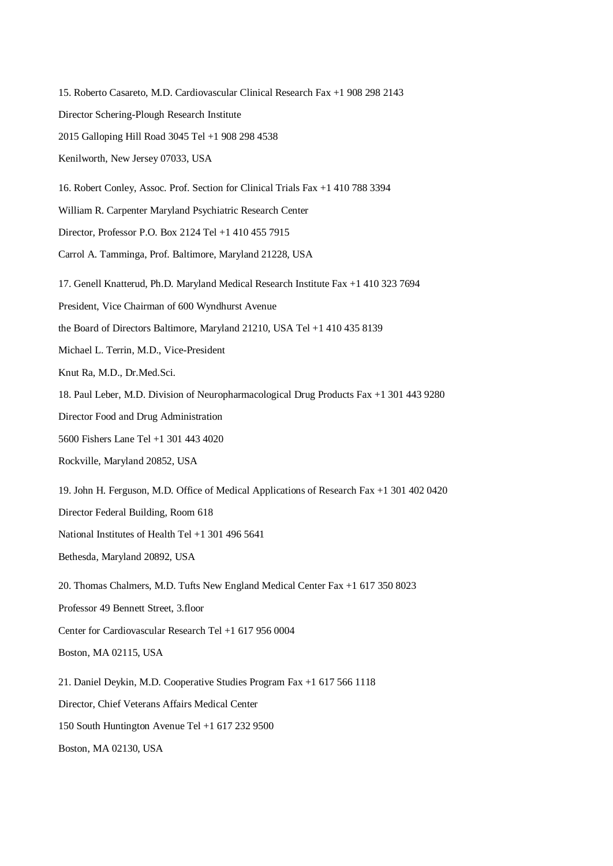15. Roberto Casareto, M.D. Cardiovascular Clinical Research Fax +1 908 298 2143 Director Schering-Plough Research Institute 2015 Galloping Hill Road 3045 Tel +1 908 298 4538 Kenilworth, New Jersey 07033, USA 16. Robert Conley, Assoc. Prof. Section for Clinical Trials Fax +1 410 788 3394 William R. Carpenter Maryland Psychiatric Research Center Director, Professor P.O. Box 2124 Tel +1 410 455 7915 Carrol A. Tamminga, Prof. Baltimore, Maryland 21228, USA 17. Genell Knatterud, Ph.D. Maryland Medical Research Institute Fax +1 410 323 7694 President, Vice Chairman of 600 Wyndhurst Avenue the Board of Directors Baltimore, Maryland 21210, USA Tel +1 410 435 8139 Michael L. Terrin, M.D., Vice-President Knut Ra, M.D., Dr.Med.Sci. 18. Paul Leber, M.D. Division of Neuropharmacological Drug Products Fax +1 301 443 9280 Director Food and Drug Administration 5600 Fishers Lane Tel +1 301 443 4020 Rockville, Maryland 20852, USA 19. John H. Ferguson, M.D. Office of Medical Applications of Research Fax +1 301 402 0420 Director Federal Building, Room 618 National Institutes of Health Tel +1 301 496 5641 Bethesda, Maryland 20892, USA 20. Thomas Chalmers, M.D. Tufts New England Medical Center Fax +1 617 350 8023 Professor 49 Bennett Street, 3.floor Center for Cardiovascular Research Tel +1 617 956 0004 Boston, MA 02115, USA 21. Daniel Deykin, M.D. Cooperative Studies Program Fax +1 617 566 1118 Director, Chief Veterans Affairs Medical Center 150 South Huntington Avenue Tel +1 617 232 9500 Boston, MA 02130, USA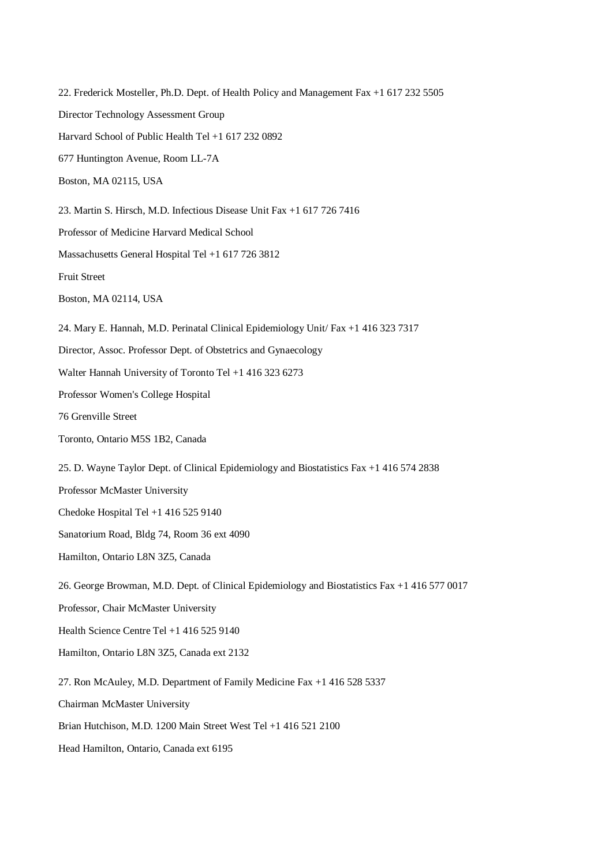22. Frederick Mosteller, Ph.D. Dept. of Health Policy and Management Fax +1 617 232 5505 Director Technology Assessment Group Harvard School of Public Health Tel +1 617 232 0892 677 Huntington Avenue, Room LL-7A Boston, MA 02115, USA 23. Martin S. Hirsch, M.D. Infectious Disease Unit Fax +1 617 726 7416 Professor of Medicine Harvard Medical School Massachusetts General Hospital Tel +1 617 726 3812 Fruit Street Boston, MA 02114, USA 24. Mary E. Hannah, M.D. Perinatal Clinical Epidemiology Unit/ Fax +1 416 323 7317 Director, Assoc. Professor Dept. of Obstetrics and Gynaecology Walter Hannah University of Toronto Tel +1 416 323 6273 Professor Women's College Hospital 76 Grenville Street Toronto, Ontario M5S 1B2, Canada 25. D. Wayne Taylor Dept. of Clinical Epidemiology and Biostatistics Fax +1 416 574 2838 Professor McMaster University Chedoke Hospital Tel +1 416 525 9140 Sanatorium Road, Bldg 74, Room 36 ext 4090 Hamilton, Ontario L8N 3Z5, Canada 26. George Browman, M.D. Dept. of Clinical Epidemiology and Biostatistics Fax +1 416 577 0017 Professor, Chair McMaster University Health Science Centre Tel +1 416 525 9140 Hamilton, Ontario L8N 3Z5, Canada ext 2132 27. Ron McAuley, M.D. Department of Family Medicine Fax +1 416 528 5337 Chairman McMaster University Brian Hutchison, M.D. 1200 Main Street West Tel +1 416 521 2100 Head Hamilton, Ontario, Canada ext 6195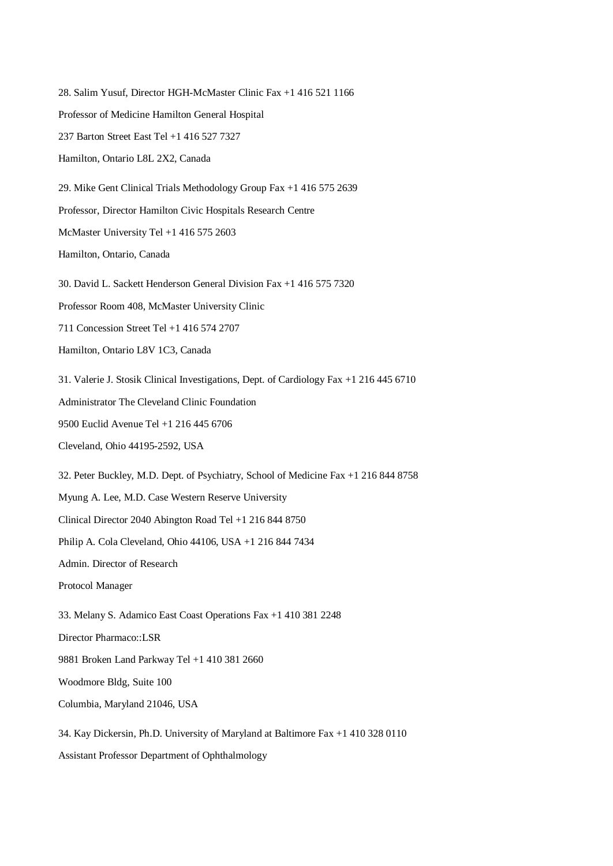28. Salim Yusuf, Director HGH-McMaster Clinic Fax +1 416 521 1166 Professor of Medicine Hamilton General Hospital 237 Barton Street East Tel +1 416 527 7327 Hamilton, Ontario L8L 2X2, Canada 29. Mike Gent Clinical Trials Methodology Group Fax +1 416 575 2639 Professor, Director Hamilton Civic Hospitals Research Centre McMaster University Tel +1 416 575 2603 Hamilton, Ontario, Canada 30. David L. Sackett Henderson General Division Fax +1 416 575 7320 Professor Room 408, McMaster University Clinic 711 Concession Street Tel +1 416 574 2707 Hamilton, Ontario L8V 1C3, Canada 31. Valerie J. Stosik Clinical Investigations, Dept. of Cardiology Fax +1 216 445 6710 Administrator The Cleveland Clinic Foundation 9500 Euclid Avenue Tel +1 216 445 6706 Cleveland, Ohio 44195-2592, USA 32. Peter Buckley, M.D. Dept. of Psychiatry, School of Medicine Fax +1 216 844 8758 Myung A. Lee, M.D. Case Western Reserve University Clinical Director 2040 Abington Road Tel +1 216 844 8750 Philip A. Cola Cleveland, Ohio 44106, USA +1 216 844 7434 Admin. Director of Research Protocol Manager 33. Melany S. Adamico East Coast Operations Fax +1 410 381 2248 Director Pharmaco::LSR 9881 Broken Land Parkway Tel +1 410 381 2660 Woodmore Bldg, Suite 100 Columbia, Maryland 21046, USA 34. Kay Dickersin, Ph.D. University of Maryland at Baltimore Fax +1 410 328 0110 Assistant Professor Department of Ophthalmology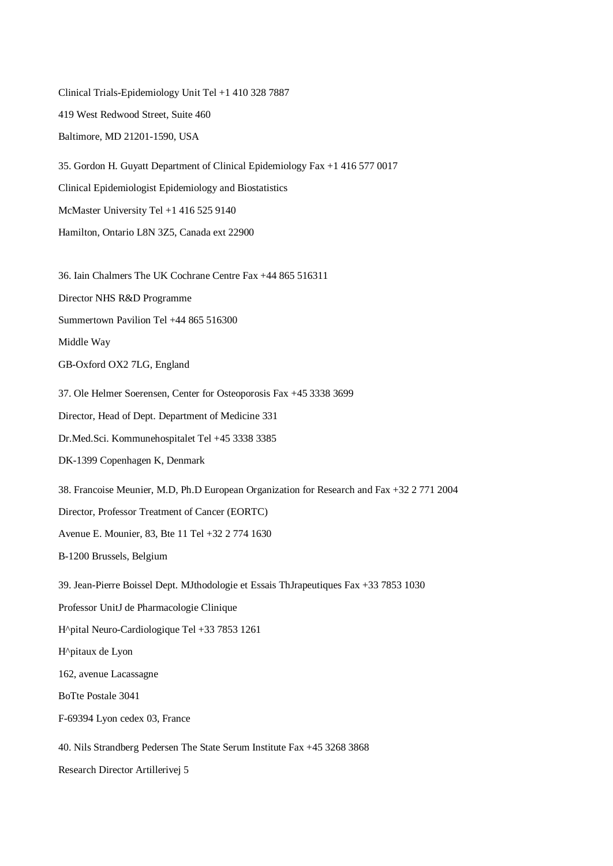Clinical Trials-Epidemiology Unit Tel +1 410 328 7887 419 West Redwood Street, Suite 460 Baltimore, MD 21201-1590, USA 35. Gordon H. Guyatt Department of Clinical Epidemiology Fax +1 416 577 0017 Clinical Epidemiologist Epidemiology and Biostatistics McMaster University Tel +1 416 525 9140 Hamilton, Ontario L8N 3Z5, Canada ext 22900 36. Iain Chalmers The UK Cochrane Centre Fax +44 865 516311 Director NHS R&D Programme Summertown Pavilion Tel +44 865 516300 Middle Way GB-Oxford OX2 7LG, England 37. Ole Helmer Soerensen, Center for Osteoporosis Fax +45 3338 3699 Director, Head of Dept. Department of Medicine 331 Dr.Med.Sci. Kommunehospitalet Tel +45 3338 3385 DK-1399 Copenhagen K, Denmark 38. Francoise Meunier, M.D, Ph.D European Organization for Research and Fax +32 2 771 2004 Director, Professor Treatment of Cancer (EORTC) Avenue E. Mounier, 83, Bte 11 Tel +32 2 774 1630 B-1200 Brussels, Belgium 39. Jean-Pierre Boissel Dept. MJthodologie et Essais ThJrapeutiques Fax +33 7853 1030 Professor UnitJ de Pharmacologie Clinique H^pital Neuro-Cardiologique Tel +33 7853 1261 H^pitaux de Lyon 162, avenue Lacassagne BoTte Postale 3041 F-69394 Lyon cedex 03, France 40. Nils Strandberg Pedersen The State Serum Institute Fax +45 3268 3868

Research Director Artillerivej 5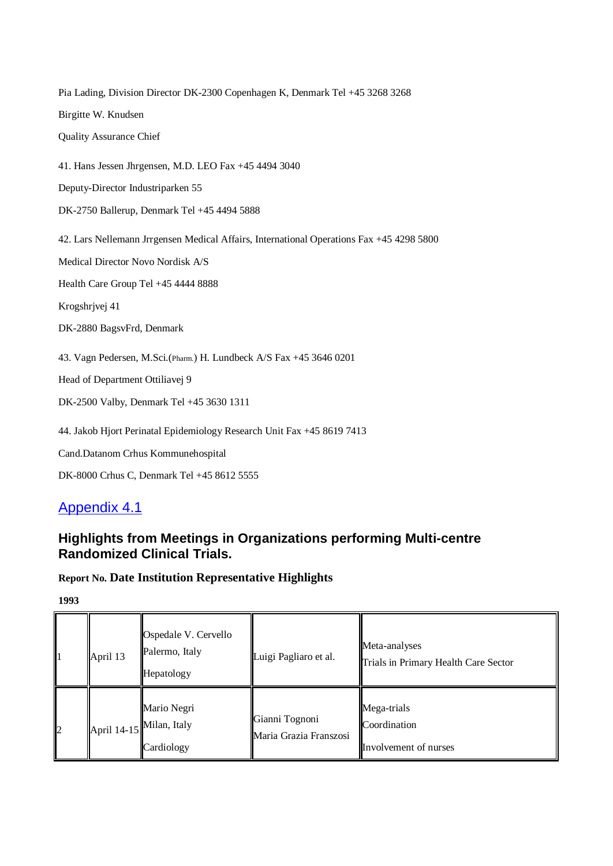Pia Lading, Division Director DK-2300 Copenhagen K, Denmark Tel +45 3268 3268 Birgitte W. Knudsen Quality Assurance Chief 41. Hans Jessen Jhrgensen, M.D. LEO Fax +45 4494 3040 Deputy-Director Industriparken 55 DK-2750 Ballerup, Denmark Tel +45 4494 5888 42. Lars Nellemann Jrrgensen Medical Affairs, International Operations Fax +45 4298 5800 Medical Director Novo Nordisk A/S Health Care Group Tel +45 4444 8888 Krogshrjvej 41 DK-2880 BagsvFrd, Denmark 43. Vagn Pedersen, M.Sci.(Pharm.) H. Lundbeck A/S Fax +45 3646 0201 Head of Department Ottiliavej 9 DK-2500 Valby, Denmark Tel +45 3630 1311 44. Jakob Hjort Perinatal Epidemiology Research Unit Fax +45 8619 7413 Cand.Datanom Crhus Kommunehospital

DK-8000 Crhus C, Denmark Tel +45 8612 5555

# Appendix 4.1

### **Highlights from Meetings in Organizations performing Multi-centre Randomized Clinical Trials.**

### **Report No. Date Institution Representative Highlights**

| 11           | April 13 | Ospedale V. Cervello<br>Palermo, Italy<br>Hepatology               | Luigi Pagliaro et al.                    | Meta-analyses<br>Trials in Primary Health Care Sector |
|--------------|----------|--------------------------------------------------------------------|------------------------------------------|-------------------------------------------------------|
| $\mathbf{z}$ |          | Mario Negri<br>April $14-15$ <sup>Milan, Italy</sup><br>Cardiology | Gianni Tognoni<br>Maria Grazia Franszosi | Mega-trials<br>Coordination<br>Involvement of nurses  |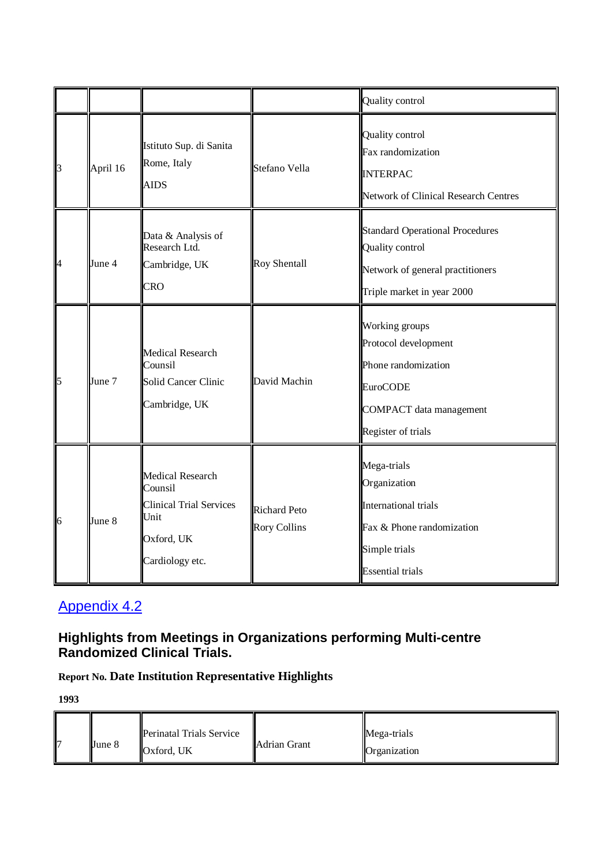|                                                                  |          |                                                                                                               |                                            | Quality control                                                                                                                          |
|------------------------------------------------------------------|----------|---------------------------------------------------------------------------------------------------------------|--------------------------------------------|------------------------------------------------------------------------------------------------------------------------------------------|
| $\begin{array}{c} \boxed{3} \end{array}$                         | April 16 | Istituto Sup. di Sanita<br>Rome, Italy<br><b>AIDS</b>                                                         | Stefano Vella                              | Quality control<br>Fax randomization<br><b>INTERPAC</b><br><b>Network of Clinical Research Centres</b>                                   |
| $\begin{array}{c} \n \downarrow \\ \n \downarrow \n \end{array}$ | June 4   | Data & Analysis of<br>Research Ltd.<br>Cambridge, UK<br><b>CRO</b>                                            | <b>Roy Shentall</b>                        | <b>Standard Operational Procedures</b><br><b>Quality control</b><br>Network of general practitioners<br>Triple market in year 2000       |
| $\frac{1}{5}$                                                    | June 7   | <b>Medical Research</b><br>Counsil<br>Solid Cancer Clinic<br>Cambridge, UK                                    | David Machin                               | Working groups<br>Protocol development<br>Phone randomization<br><b>EuroCODE</b><br><b>COMPACT</b> data management<br>Register of trials |
| $\begin{bmatrix} 1 \\ 6 \end{bmatrix}$                           | June 8   | <b>Medical Research</b><br>Counsil<br><b>Clinical Trial Services</b><br>Unit<br>Oxford, UK<br>Cardiology etc. | <b>Richard Peto</b><br><b>Rory Collins</b> | Mega-trials<br>Organization<br><b>International trials</b><br>Fax & Phone randomization<br>Simple trials<br><b>Essential trials</b>      |

### **Highlights from Meetings in Organizations performing Multi-centre Randomized Clinical Trials.**

# **Report No. Date Institution Representative Highlights**

|  | June 8 | <b>Perinatal Trials Service</b><br>Oxford, UK | <b>Adrian Grant</b> | Mega-trials<br>Organization |
|--|--------|-----------------------------------------------|---------------------|-----------------------------|
|--|--------|-----------------------------------------------|---------------------|-----------------------------|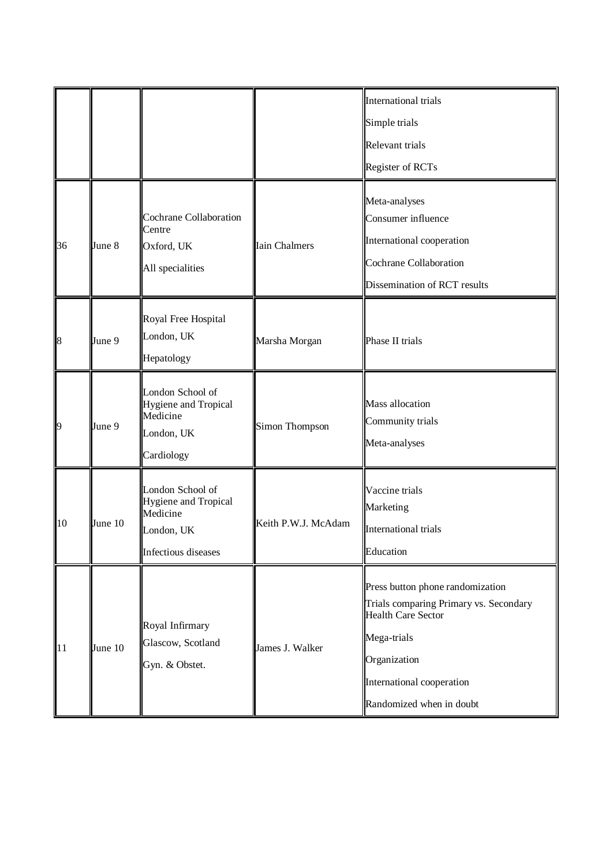|           |         |                                                                                                  |                      | <b>International trials</b>                                                                                                                                                                     |
|-----------|---------|--------------------------------------------------------------------------------------------------|----------------------|-------------------------------------------------------------------------------------------------------------------------------------------------------------------------------------------------|
|           |         |                                                                                                  |                      | Simple trials                                                                                                                                                                                   |
|           |         |                                                                                                  |                      | Relevant trials                                                                                                                                                                                 |
|           |         |                                                                                                  |                      | Register of RCTs                                                                                                                                                                                |
| 36        | June 8  | <b>Cochrane Collaboration</b><br>Centre<br>Oxford, UK<br>All specialities                        | <b>Iain Chalmers</b> | Meta-analyses<br>Consumer influence<br>International cooperation<br><b>Cochrane Collaboration</b><br>Dissemination of RCT results                                                               |
| $\vert 8$ | June 9  | Royal Free Hospital<br>London, UK<br>Hepatology                                                  | Marsha Morgan        | Phase II trials                                                                                                                                                                                 |
| <b>p</b>  | June 9  | London School of<br>Hygiene and Tropical<br>Medicine<br>London, UK<br>Cardiology                 | Simon Thompson       | <b>Mass allocation</b><br>Community trials<br>Meta-analyses                                                                                                                                     |
| 10        | June 10 | London School of<br>Hygiene and Tropical<br>Medicine<br>London, UK<br><b>Infectious</b> diseases | Keith P.W.J. McAdam  | Vaccine trials<br>Marketing<br><b>International trials</b><br>Education                                                                                                                         |
| 11        | June 10 | Royal Infirmary<br>Glascow, Scotland<br>Gyn. & Obstet.                                           | James J. Walker      | Press button phone randomization<br>Trials comparing Primary vs. Secondary<br><b>Health Care Sector</b><br>Mega-trials<br>Organization<br>International cooperation<br>Randomized when in doubt |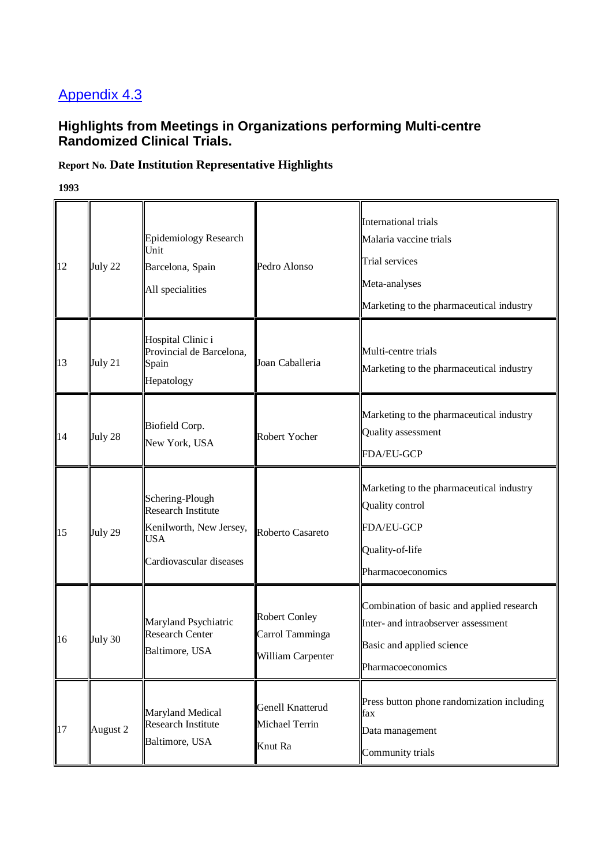### **Highlights from Meetings in Organizations performing Multi-centre Randomized Clinical Trials.**

### **Report No. Date Institution Representative Highlights**

| 12 | July 22  | <b>Epidemiology Research</b><br>Unit<br>Barcelona, Spain<br>All specialities                              | Pedro Alonso                                                 | International trials<br>Malaria vaccine trials<br>Trial services<br>Meta-analyses<br>Marketing to the pharmaceutical industry      |
|----|----------|-----------------------------------------------------------------------------------------------------------|--------------------------------------------------------------|------------------------------------------------------------------------------------------------------------------------------------|
| 13 | July 21  | Hospital Clinic i<br>Provincial de Barcelona,<br>Spain<br>Hepatology                                      | Joan Caballeria                                              | Multi-centre trials<br>Marketing to the pharmaceutical industry                                                                    |
| 14 | July 28  | Biofield Corp.<br>New York, USA                                                                           | Robert Yocher                                                | Marketing to the pharmaceutical industry<br>Quality assessment<br>FDA/EU-GCP                                                       |
| 15 | July 29  | Schering-Plough<br><b>Research Institute</b><br>Kenilworth, New Jersey,<br>USA<br>Cardiovascular diseases | Roberto Casareto                                             | Marketing to the pharmaceutical industry<br>Quality control<br>FDA/EU-GCP<br>Quality-of-life<br>Pharmacoeconomics                  |
| 16 | July 30  | Maryland Psychiatric<br><b>Research Center</b><br>Baltimore, USA                                          | <b>Robert Conley</b><br>Carrol Tamminga<br>William Carpenter | Combination of basic and applied research<br>Inter- and intraobserver assessment<br>Basic and applied science<br>Pharmacoeconomics |
| 17 | August 2 | Maryland Medical<br><b>Research Institute</b><br>Baltimore, USA                                           | Genell Knatterud<br>Michael Terrin<br>Knut Ra                | Press button phone randomization including<br>fax<br>Data management<br>Community trials                                           |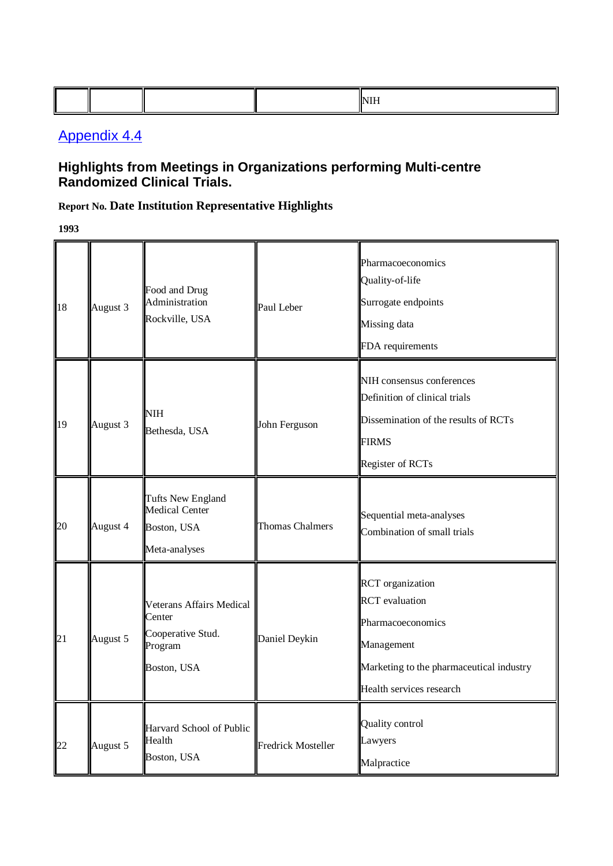### **Highlights from Meetings in Organizations performing Multi-centre Randomized Clinical Trials.**

### **Report No. Date Institution Representative Highlights**

| 18 | August 3 | Food and Drug<br>Administration<br>Rockville, USA                                        | Paul Leber                | Pharmacoeconomics<br>Quality-of-life<br>Surrogate endpoints<br>Missing data<br>FDA requirements                                                             |
|----|----------|------------------------------------------------------------------------------------------|---------------------------|-------------------------------------------------------------------------------------------------------------------------------------------------------------|
| 19 | August 3 | NIH<br>Bethesda, USA                                                                     | John Ferguson             | NIH consensus conferences<br>Definition of clinical trials<br>Dissemination of the results of RCTs<br><b>FIRMS</b><br>Register of RCTs                      |
| 20 | August 4 | <b>Tufts New England</b><br><b>Medical Center</b><br>Boston, USA<br>Meta-analyses        | <b>Thomas Chalmers</b>    | Sequential meta-analyses<br>Combination of small trials                                                                                                     |
| 21 | August 5 | <b>Veterans Affairs Medical</b><br>Center<br>Cooperative Stud.<br>Program<br>Boston, USA | Daniel Deykin             | <b>RCT</b> organization<br><b>RCT</b> evaluation<br>Pharmacoeconomics<br>Management<br>Marketing to the pharmaceutical industry<br>Health services research |
| 22 | August 5 | Harvard School of Public<br>Health<br>Boston, USA                                        | <b>Fredrick Mosteller</b> | <b>Quality control</b><br>Lawyers<br>Malpractice                                                                                                            |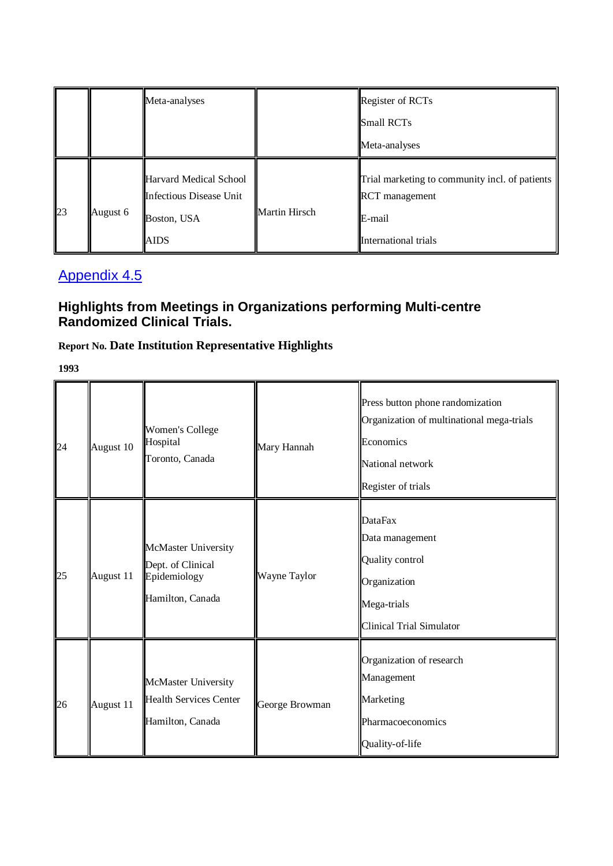|    |          | Meta-analyses                                                                   |                      | Register of RCTs                                                                                          |
|----|----------|---------------------------------------------------------------------------------|----------------------|-----------------------------------------------------------------------------------------------------------|
|    |          |                                                                                 |                      | Small RCTs                                                                                                |
|    |          |                                                                                 |                      | Meta-analyses                                                                                             |
| 23 | August 6 | Harvard Medical School<br>Infectious Disease Unit<br>Boston, USA<br><b>AIDS</b> | <b>Martin Hirsch</b> | Trial marketing to community incl. of patients<br><b>RCT</b> management<br>E-mail<br>International trials |

## **Highlights from Meetings in Organizations performing Multi-centre Randomized Clinical Trials.**

# **Report No. Date Institution Representative Highlights**

| 24 | August 10 | <b>Women's College</b><br>Hospital<br>Toronto, Canada                        | Mary Hannah    | Press button phone randomization<br>Organization of multinational mega-trials<br>Economics<br>National network<br>Register of trials |
|----|-----------|------------------------------------------------------------------------------|----------------|--------------------------------------------------------------------------------------------------------------------------------------|
| 25 | August 11 | McMaster University<br>Dept. of Clinical<br>Epidemiology<br>Hamilton, Canada | Wayne Taylor   | <b>DataFax</b><br>Data management<br>Quality control<br>Organization<br>Mega-trials<br><b>Clinical Trial Simulator</b>               |
| 26 | August 11 | McMaster University<br><b>Health Services Center</b><br>Hamilton, Canada     | George Browman | Organization of research<br>Management<br>Marketing<br>Pharmacoeconomics<br>Quality-of-life                                          |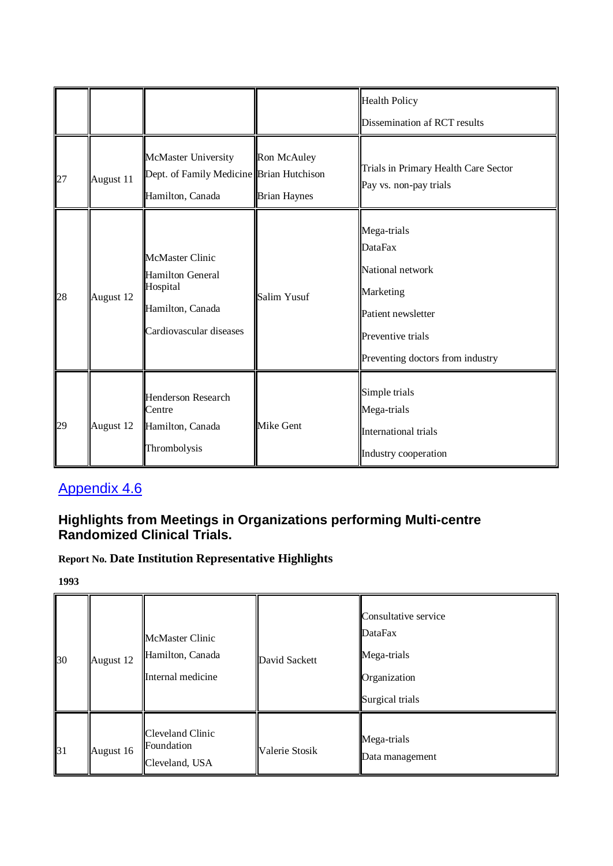|    |           |                                                                                                              |                                    | <b>Health Policy</b><br>Dissemination af RCT results                                                                                          |
|----|-----------|--------------------------------------------------------------------------------------------------------------|------------------------------------|-----------------------------------------------------------------------------------------------------------------------------------------------|
| 27 | August 11 | McMaster University<br>Dept. of Family Medicine Brian Hutchison<br>Hamilton, Canada                          | Ron McAuley<br><b>Brian Haynes</b> | Trials in Primary Health Care Sector<br>Pay vs. non-pay trials                                                                                |
| 28 | August 12 | <b>McMaster Clinic</b><br><b>Hamilton General</b><br>Hospital<br>Hamilton, Canada<br>Cardiovascular diseases | Salim Yusuf                        | Mega-trials<br><b>DataFax</b><br>National network<br>Marketing<br>Patient newsletter<br>Preventive trials<br>Preventing doctors from industry |
| 29 | August 12 | <b>Henderson Research</b><br>Centre<br>Hamilton, Canada<br>Thrombolysis                                      | <b>Mike Gent</b>                   | Simple trials<br>Mega-trials<br>International trials<br>Industry cooperation                                                                  |

## **Highlights from Meetings in Organizations performing Multi-centre Randomized Clinical Trials.**

# **Report No. Date Institution Representative Highlights**

| 30 | August 12 | <b>McMaster Clinic</b><br>Hamilton, Canada<br>Internal medicine | David Sackett  | Consultative service<br><b>DataFax</b><br>Mega-trials<br>Organization<br>Surgical trials |
|----|-----------|-----------------------------------------------------------------|----------------|------------------------------------------------------------------------------------------|
| 31 | August 16 | Cleveland Clinic<br>Foundation<br>Cleveland, USA                | Valerie Stosik | Mega-trials<br>Data management                                                           |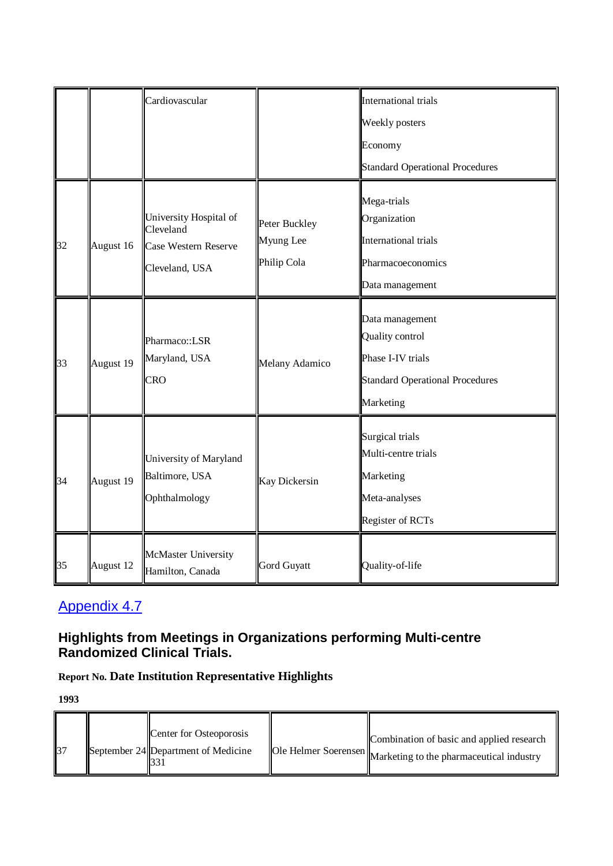|    |           | Cardiovascular                                                                       |                                           | International trials                                                                                           |
|----|-----------|--------------------------------------------------------------------------------------|-------------------------------------------|----------------------------------------------------------------------------------------------------------------|
|    |           |                                                                                      |                                           | Weekly posters                                                                                                 |
|    |           |                                                                                      |                                           | Economy                                                                                                        |
|    |           |                                                                                      |                                           | Standard Operational Procedures                                                                                |
| 32 | August 16 | University Hospital of<br>Cleveland<br><b>Case Western Reserve</b><br>Cleveland, USA | Peter Buckley<br>Myung Lee<br>Philip Cola | Mega-trials<br>Organization<br><b>International trials</b><br>Pharmacoeconomics<br>Data management             |
| 33 | August 19 | Pharmaco::LSR<br>Maryland, USA<br><b>CRO</b>                                         | Melany Adamico                            | Data management<br>Quality control<br>Phase I-IV trials<br><b>Standard Operational Procedures</b><br>Marketing |
| 34 | August 19 | University of Maryland<br>Baltimore, USA<br>Ophthalmology                            | <b>Kay Dickersin</b>                      | Surgical trials<br>Multi-centre trials<br>Marketing<br>Meta-analyses<br>Register of RCTs                       |
| 35 | August 12 | McMaster University<br>Hamilton, Canada                                              | Gord Guyatt                               | Quality-of-life                                                                                                |

### **Highlights from Meetings in Organizations performing Multi-centre Randomized Clinical Trials.**

# **Report No. Date Institution Representative Highlights**

| 37 |  | Center for Osteoporosis<br>September 24 Department of Medicine |  | Combination of basic and applied research<br>Ole Helmer Soerensen Marketing to the pharmaceutical industry |
|----|--|----------------------------------------------------------------|--|------------------------------------------------------------------------------------------------------------|
|----|--|----------------------------------------------------------------|--|------------------------------------------------------------------------------------------------------------|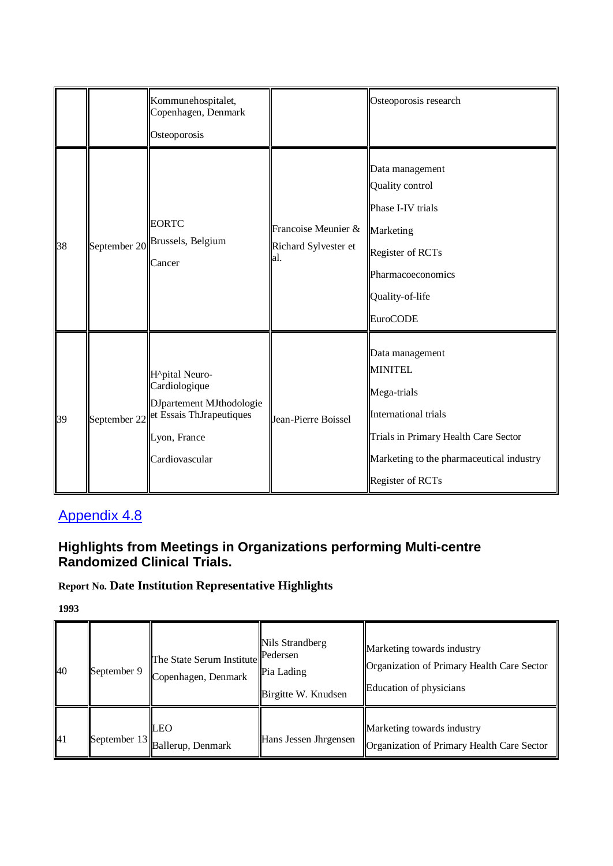|    | Kommunehospitalet,<br>Copenhagen, Denmark<br>Osteoporosis                                                                              |                                                    | Osteoporosis research                                                                                                                                                                   |
|----|----------------------------------------------------------------------------------------------------------------------------------------|----------------------------------------------------|-----------------------------------------------------------------------------------------------------------------------------------------------------------------------------------------|
| 38 | <b>EORTC</b><br>September 20 Brussels, Belgium<br>Cancer                                                                               | Francoise Meunier &<br>Richard Sylvester et<br>al. | Data management<br>Quality control<br>Phase I-IV trials<br>Marketing<br>Register of RCTs<br>Pharmacoeconomics<br>Quality-of-life<br><b>EuroCODE</b>                                     |
| 39 | H^pital Neuro-<br>Cardiologique<br>DJpartement MJthodologie<br>September 22 et Essais ThJrapeutiques<br>Lyon, France<br>Cardiovascular | Jean-Pierre Boissel                                | Data management<br><b>MINITEL</b><br>Mega-trials<br><b>International trials</b><br>Trials in Primary Health Care Sector<br>Marketing to the pharmaceutical industry<br>Register of RCTs |

## **Highlights from Meetings in Organizations performing Multi-centre Randomized Clinical Trials.**

# **Report No. Date Institution Representative Highlights**

| 40 | September 9  | The State Serum Institute<br>Copenhagen, Denmark | Nils Strandberg<br>Pedersen<br>Pia Lading<br>Birgitte W. Knudsen | Marketing towards industry<br>Organization of Primary Health Care Sector<br>Education of physicians |
|----|--------------|--------------------------------------------------|------------------------------------------------------------------|-----------------------------------------------------------------------------------------------------|
| 41 | September 13 | <b>LEO</b><br>Ballerup, Denmark                  | Hans Jessen Jhrgensen                                            | Marketing towards industry<br>Organization of Primary Health Care Sector                            |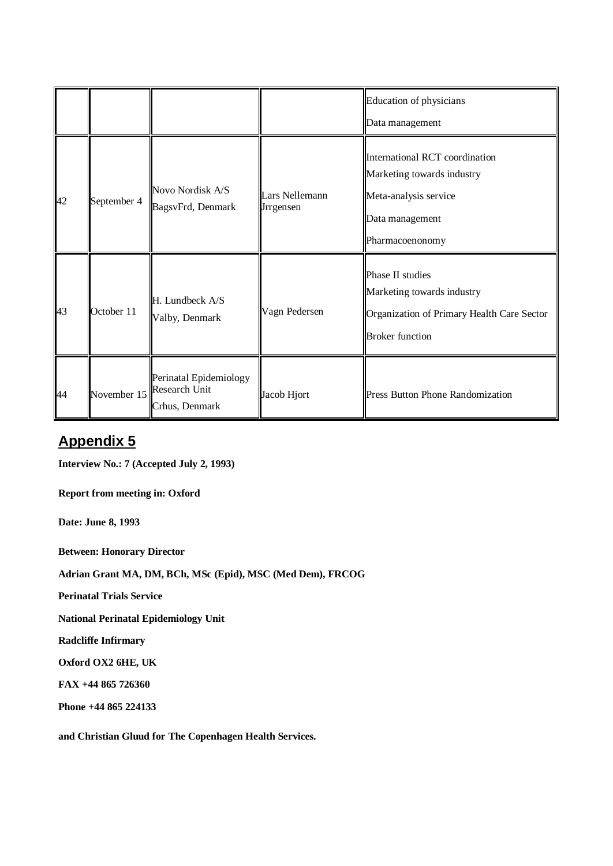|    |             |                                                           |                                    | Education of physicians<br>Data management                                                                                  |
|----|-------------|-----------------------------------------------------------|------------------------------------|-----------------------------------------------------------------------------------------------------------------------------|
| 42 | September 4 | Novo Nordisk A/S<br>BagsvFrd, Denmark                     | Lars Nellemann<br><b>Jrrgensen</b> | International RCT coordination<br>Marketing towards industry<br>Meta-analysis service<br>Data management<br>Pharmacoenonomy |
| 43 | October 11  | H. Lundbeck A/S<br>Valby, Denmark                         | Vagn Pedersen                      | Phase II studies<br>Marketing towards industry<br>Organization of Primary Health Care Sector<br><b>Broker</b> function      |
| 44 | November 15 | Perinatal Epidemiology<br>Research Unit<br>Crhus, Denmark | Jacob Hjort                        | <b>Press Button Phone Randomization</b>                                                                                     |

# **Appendix 5**

**Interview No.: 7 (Accepted July 2, 1993)**

**Report from meeting in: Oxford** 

**Date: June 8, 1993**

**Between: Honorary Director** 

**Adrian Grant MA, DM, BCh, MSc (Epid), MSC (Med Dem), FRCOG**

**Perinatal Trials Service**

**National Perinatal Epidemiology Unit**

**Radcliffe Infirmary**

**Oxford OX2 6HE, UK**

**FAX +44 865 726360**

**Phone +44 865 224133**

**and Christian Gluud for The Copenhagen Health Services.**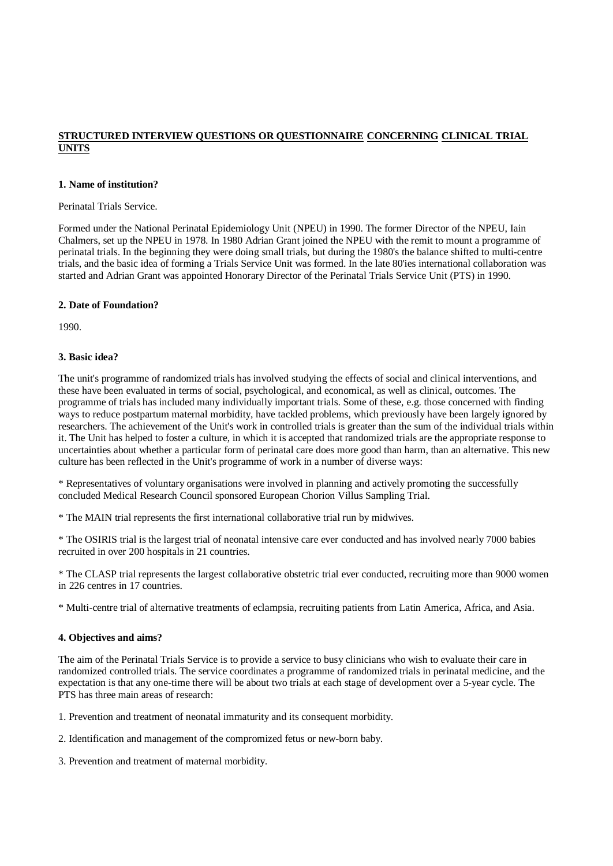#### **STRUCTURED INTERVIEW QUESTIONS OR QUESTIONNAIRE CONCERNING CLINICAL TRIAL UNITS**

#### **1. Name of institution?**

#### Perinatal Trials Service.

Formed under the National Perinatal Epidemiology Unit (NPEU) in 1990. The former Director of the NPEU, Iain Chalmers, set up the NPEU in 1978. In 1980 Adrian Grant joined the NPEU with the remit to mount a programme of perinatal trials. In the beginning they were doing small trials, but during the 1980's the balance shifted to multi-centre trials, and the basic idea of forming a Trials Service Unit was formed. In the late 80'ies international collaboration was started and Adrian Grant was appointed Honorary Director of the Perinatal Trials Service Unit (PTS) in 1990.

#### **2. Date of Foundation?**

1990.

#### **3. Basic idea?**

The unit's programme of randomized trials has involved studying the effects of social and clinical interventions, and these have been evaluated in terms of social, psychological, and economical, as well as clinical, outcomes. The programme of trials has included many individually important trials. Some of these, e.g. those concerned with finding ways to reduce postpartum maternal morbidity, have tackled problems, which previously have been largely ignored by researchers. The achievement of the Unit's work in controlled trials is greater than the sum of the individual trials within it. The Unit has helped to foster a culture, in which it is accepted that randomized trials are the appropriate response to uncertainties about whether a particular form of perinatal care does more good than harm, than an alternative. This new culture has been reflected in the Unit's programme of work in a number of diverse ways:

\* Representatives of voluntary organisations were involved in planning and actively promoting the successfully concluded Medical Research Council sponsored European Chorion Villus Sampling Trial.

\* The MAIN trial represents the first international collaborative trial run by midwives.

\* The OSIRIS trial is the largest trial of neonatal intensive care ever conducted and has involved nearly 7000 babies recruited in over 200 hospitals in 21 countries.

\* The CLASP trial represents the largest collaborative obstetric trial ever conducted, recruiting more than 9000 women in 226 centres in 17 countries.

\* Multi-centre trial of alternative treatments of eclampsia, recruiting patients from Latin America, Africa, and Asia.

#### **4. Objectives and aims?**

The aim of the Perinatal Trials Service is to provide a service to busy clinicians who wish to evaluate their care in randomized controlled trials. The service coordinates a programme of randomized trials in perinatal medicine, and the expectation is that any one-time there will be about two trials at each stage of development over a 5-year cycle. The PTS has three main areas of research:

1. Prevention and treatment of neonatal immaturity and its consequent morbidity.

2. Identification and management of the compromized fetus or new-born baby.

3. Prevention and treatment of maternal morbidity.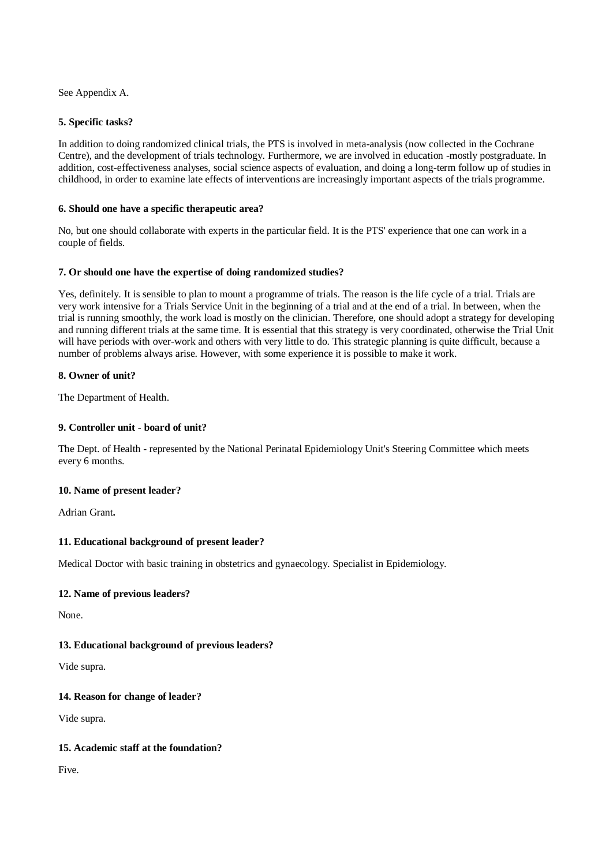See Appendix A.

#### **5. Specific tasks?**

In addition to doing randomized clinical trials, the PTS is involved in meta-analysis (now collected in the Cochrane Centre), and the development of trials technology. Furthermore, we are involved in education -mostly postgraduate. In addition, cost-effectiveness analyses, social science aspects of evaluation, and doing a long-term follow up of studies in childhood, in order to examine late effects of interventions are increasingly important aspects of the trials programme.

#### **6. Should one have a specific therapeutic area?**

No, but one should collaborate with experts in the particular field. It is the PTS' experience that one can work in a couple of fields.

#### **7. Or should one have the expertise of doing randomized studies?**

Yes, definitely. It is sensible to plan to mount a programme of trials. The reason is the life cycle of a trial. Trials are very work intensive for a Trials Service Unit in the beginning of a trial and at the end of a trial. In between, when the trial is running smoothly, the work load is mostly on the clinician. Therefore, one should adopt a strategy for developing and running different trials at the same time. It is essential that this strategy is very coordinated, otherwise the Trial Unit will have periods with over-work and others with very little to do. This strategic planning is quite difficult, because a number of problems always arise. However, with some experience it is possible to make it work.

#### **8. Owner of unit?**

The Department of Health.

#### **9. Controller unit - board of unit?**

The Dept. of Health - represented by the National Perinatal Epidemiology Unit's Steering Committee which meets every 6 months.

#### **10. Name of present leader?**

Adrian Grant**.**

#### **11. Educational background of present leader?**

Medical Doctor with basic training in obstetrics and gynaecology. Specialist in Epidemiology.

#### **12. Name of previous leaders?**

None.

#### **13. Educational background of previous leaders?**

Vide supra.

### **14. Reason for change of leader?**

Vide supra.

#### **15. Academic staff at the foundation?**

Five.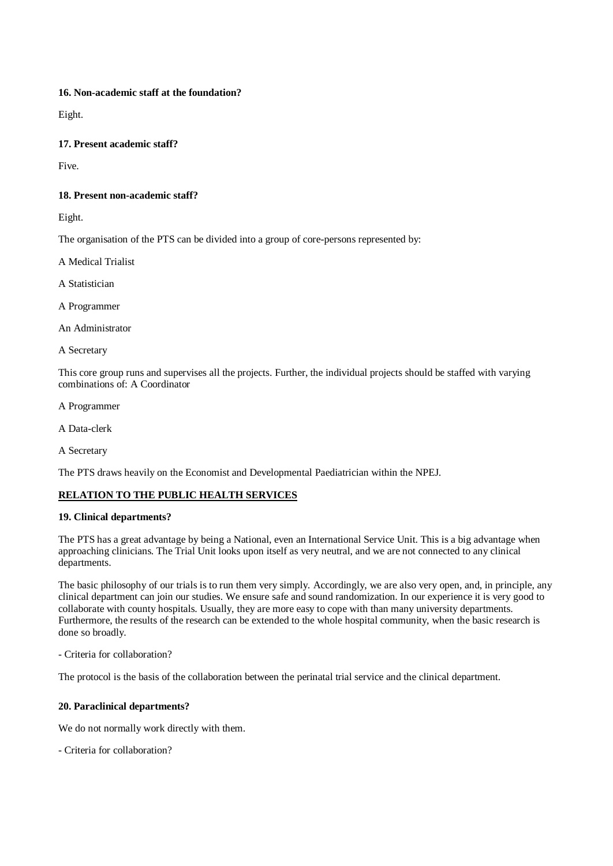### **16. Non-academic staff at the foundation?**

Eight.

### **17. Present academic staff?**

Five.

### **18. Present non-academic staff?**

Eight.

The organisation of the PTS can be divided into a group of core-persons represented by:

A Medical Trialist

A Statistician

A Programmer

An Administrator

A Secretary

This core group runs and supervises all the projects. Further, the individual projects should be staffed with varying combinations of: A Coordinator

A Programmer

A Data-clerk

A Secretary

The PTS draws heavily on the Economist and Developmental Paediatrician within the NPEJ.

### **RELATION TO THE PUBLIC HEALTH SERVICES**

#### **19. Clinical departments?**

The PTS has a great advantage by being a National, even an International Service Unit. This is a big advantage when approaching clinicians. The Trial Unit looks upon itself as very neutral, and we are not connected to any clinical departments.

The basic philosophy of our trials is to run them very simply. Accordingly, we are also very open, and, in principle, any clinical department can join our studies. We ensure safe and sound randomization. In our experience it is very good to collaborate with county hospitals. Usually, they are more easy to cope with than many university departments. Furthermore, the results of the research can be extended to the whole hospital community, when the basic research is done so broadly.

- Criteria for collaboration?

The protocol is the basis of the collaboration between the perinatal trial service and the clinical department.

### **20. Paraclinical departments?**

We do not normally work directly with them.

- Criteria for collaboration?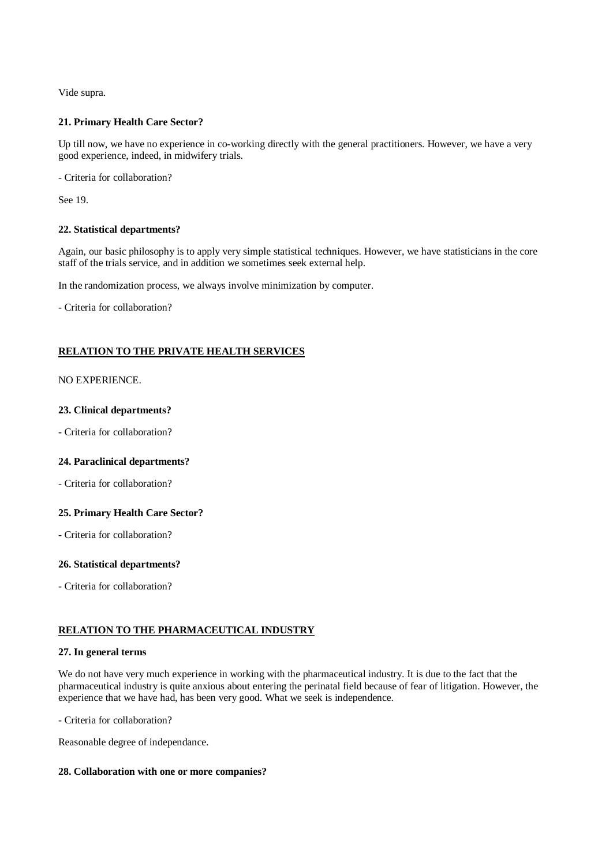Vide supra.

#### **21. Primary Health Care Sector?**

Up till now, we have no experience in co-working directly with the general practitioners. However, we have a very good experience, indeed, in midwifery trials.

- Criteria for collaboration?

See 19.

#### **22. Statistical departments?**

Again, our basic philosophy is to apply very simple statistical techniques. However, we have statisticians in the core staff of the trials service, and in addition we sometimes seek external help.

In the randomization process, we always involve minimization by computer.

- Criteria for collaboration?

#### **RELATION TO THE PRIVATE HEALTH SERVICES**

#### NO EXPERIENCE.

#### **23. Clinical departments?**

- Criteria for collaboration?

#### **24. Paraclinical departments?**

- Criteria for collaboration?

#### **25. Primary Health Care Sector?**

- Criteria for collaboration?

#### **26. Statistical departments?**

- Criteria for collaboration?

#### **RELATION TO THE PHARMACEUTICAL INDUSTRY**

#### **27. In general terms**

We do not have very much experience in working with the pharmaceutical industry. It is due to the fact that the pharmaceutical industry is quite anxious about entering the perinatal field because of fear of litigation. However, the experience that we have had, has been very good. What we seek is independence.

- Criteria for collaboration?

Reasonable degree of independance.

#### **28. Collaboration with one or more companies?**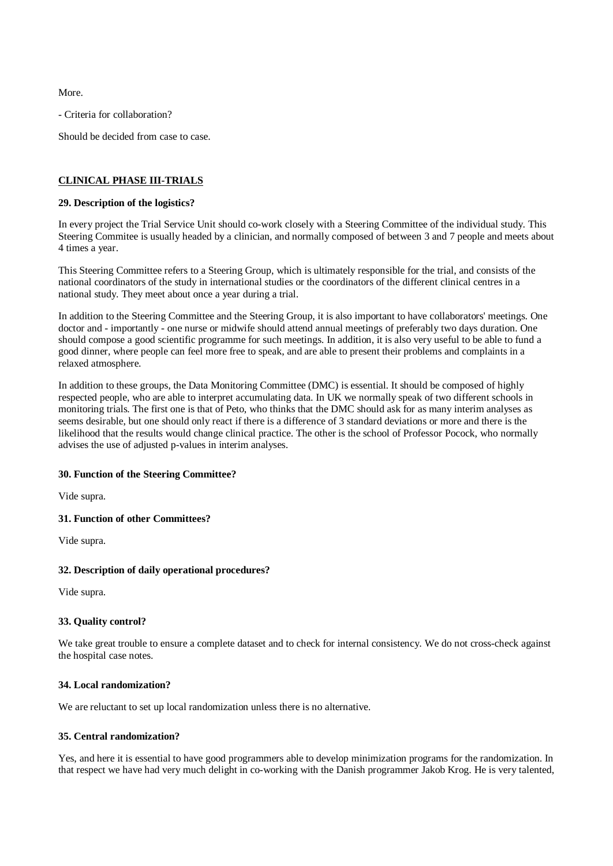More.

- Criteria for collaboration?

Should be decided from case to case.

#### **CLINICAL PHASE III-TRIALS**

#### **29. Description of the logistics?**

In every project the Trial Service Unit should co-work closely with a Steering Committee of the individual study. This Steering Commitee is usually headed by a clinician, and normally composed of between 3 and 7 people and meets about 4 times a year.

This Steering Committee refers to a Steering Group, which is ultimately responsible for the trial, and consists of the national coordinators of the study in international studies or the coordinators of the different clinical centres in a national study. They meet about once a year during a trial.

In addition to the Steering Committee and the Steering Group, it is also important to have collaborators' meetings. One doctor and - importantly - one nurse or midwife should attend annual meetings of preferably two days duration. One should compose a good scientific programme for such meetings. In addition, it is also very useful to be able to fund a good dinner, where people can feel more free to speak, and are able to present their problems and complaints in a relaxed atmosphere.

In addition to these groups, the Data Monitoring Committee (DMC) is essential. It should be composed of highly respected people, who are able to interpret accumulating data. In UK we normally speak of two different schools in monitoring trials. The first one is that of Peto, who thinks that the DMC should ask for as many interim analyses as seems desirable, but one should only react if there is a difference of 3 standard deviations or more and there is the likelihood that the results would change clinical practice. The other is the school of Professor Pocock, who normally advises the use of adjusted p-values in interim analyses.

#### **30. Function of the Steering Committee?**

Vide supra.

#### **31. Function of other Committees?**

Vide supra.

#### **32. Description of daily operational procedures?**

Vide supra.

#### **33. Quality control?**

We take great trouble to ensure a complete dataset and to check for internal consistency. We do not cross-check against the hospital case notes.

#### **34. Local randomization?**

We are reluctant to set up local randomization unless there is no alternative.

#### **35. Central randomization?**

Yes, and here it is essential to have good programmers able to develop minimization programs for the randomization. In that respect we have had very much delight in co-working with the Danish programmer Jakob Krog. He is very talented,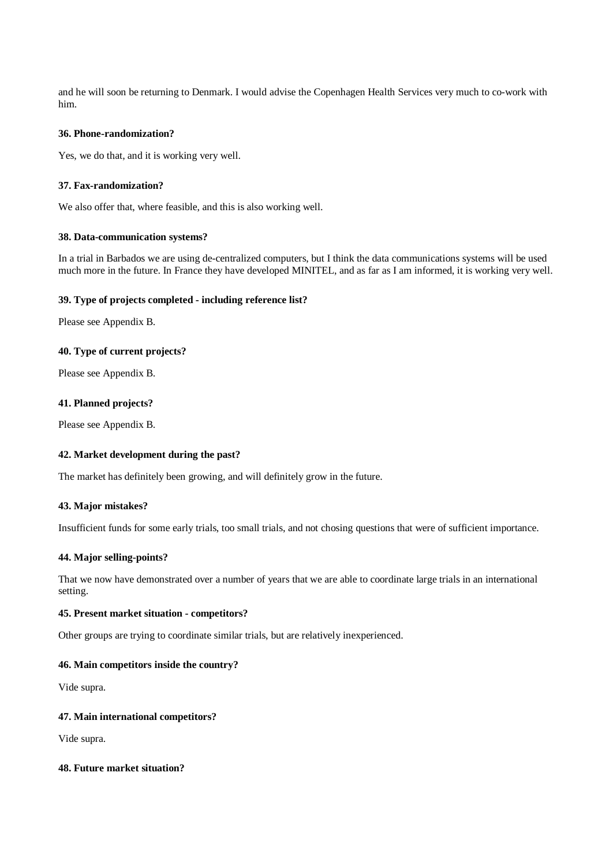and he will soon be returning to Denmark. I would advise the Copenhagen Health Services very much to co-work with him.

#### **36. Phone-randomization?**

Yes, we do that, and it is working very well.

#### **37. Fax-randomization?**

We also offer that, where feasible, and this is also working well.

#### **38. Data-communication systems?**

In a trial in Barbados we are using de-centralized computers, but I think the data communications systems will be used much more in the future. In France they have developed MINITEL, and as far as I am informed, it is working very well.

#### **39. Type of projects completed - including reference list?**

Please see Appendix B.

#### **40. Type of current projects?**

Please see Appendix B.

#### **41. Planned projects?**

Please see Appendix B.

#### **42. Market development during the past?**

The market has definitely been growing, and will definitely grow in the future.

#### **43. Major mistakes?**

Insufficient funds for some early trials, too small trials, and not chosing questions that were of sufficient importance.

#### **44. Major selling-points?**

That we now have demonstrated over a number of years that we are able to coordinate large trials in an international setting.

#### **45. Present market situation - competitors?**

Other groups are trying to coordinate similar trials, but are relatively inexperienced.

#### **46. Main competitors inside the country?**

Vide supra.

#### **47. Main international competitors?**

Vide supra.

#### **48. Future market situation?**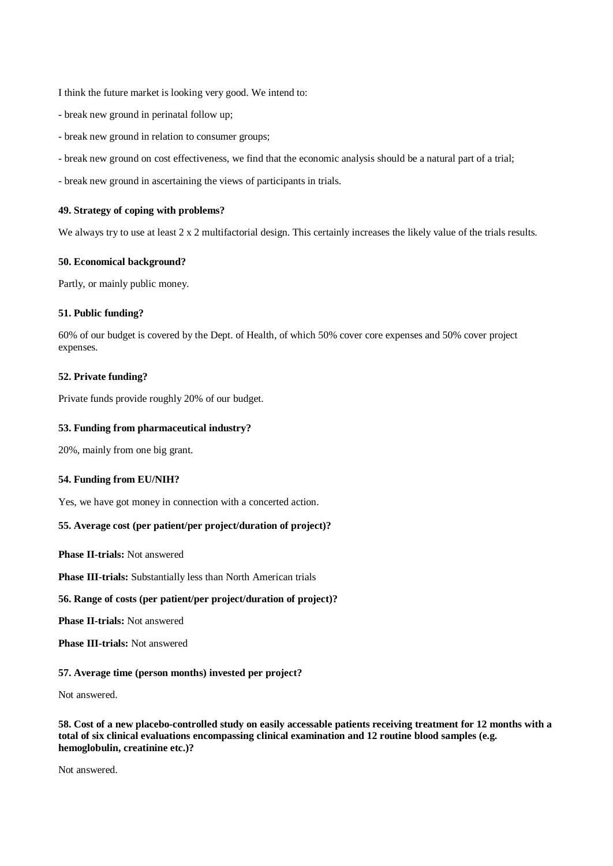I think the future market is looking very good. We intend to:

- break new ground in perinatal follow up;
- break new ground in relation to consumer groups;
- break new ground on cost effectiveness, we find that the economic analysis should be a natural part of a trial;
- break new ground in ascertaining the views of participants in trials.

#### **49. Strategy of coping with problems?**

We always try to use at least  $2 \times 2$  multifactorial design. This certainly increases the likely value of the trials results.

#### **50. Economical background?**

Partly, or mainly public money.

#### **51. Public funding?**

60% of our budget is covered by the Dept. of Health, of which 50% cover core expenses and 50% cover project expenses.

#### **52. Private funding?**

Private funds provide roughly 20% of our budget.

#### **53. Funding from pharmaceutical industry?**

20%, mainly from one big grant.

#### **54. Funding from EU/NIH?**

Yes, we have got money in connection with a concerted action.

#### **55. Average cost (per patient/per project/duration of project)?**

**Phase II-trials:** Not answered

**Phase III-trials:** Substantially less than North American trials

#### **56. Range of costs (per patient/per project/duration of project)?**

**Phase II-trials:** Not answered

**Phase III-trials:** Not answered

#### **57. Average time (person months) invested per project?**

Not answered.

58. Cost of a new placebo-controlled study on easily accessable patients receiving treatment for 12 months with a **total of six clinical evaluations encompassing clinical examination and 12 routine blood samples (e.g. hemoglobulin, creatinine etc.)?**

Not answered.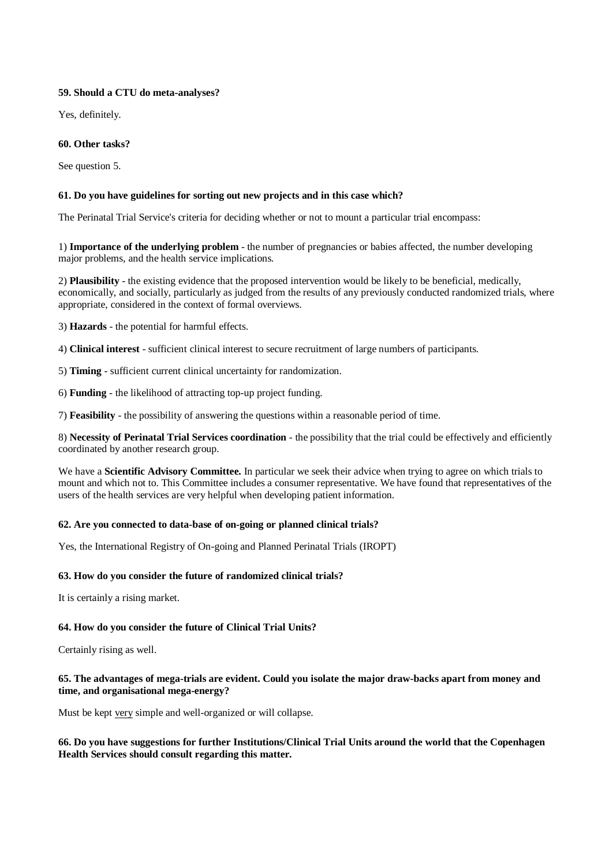#### **59. Should a CTU do meta-analyses?**

Yes, definitely.

#### **60. Other tasks?**

See question 5.

#### **61. Do you have guidelines for sorting out new projects and in this case which?**

The Perinatal Trial Service's criteria for deciding whether or not to mount a particular trial encompass:

1) **Importance of the underlying problem** - the number of pregnancies or babies affected, the number developing major problems, and the health service implications.

2) **Plausibility** - the existing evidence that the proposed intervention would be likely to be beneficial, medically, economically, and socially, particularly as judged from the results of any previously conducted randomized trials, where appropriate, considered in the context of formal overviews.

3) **Hazards** - the potential for harmful effects.

4) **Clinical interest** - sufficient clinical interest to secure recruitment of large numbers of participants.

5) **Timing** - sufficient current clinical uncertainty for randomization.

6) **Funding** - the likelihood of attracting top-up project funding.

7) **Feasibility** - the possibility of answering the questions within a reasonable period of time.

8) **Necessity of Perinatal Trial Services coordination** - the possibility that the trial could be effectively and efficiently coordinated by another research group.

We have a **Scientific Advisory Committee.** In particular we seek their advice when trying to agree on which trials to mount and which not to. This Committee includes a consumer representative. We have found that representatives of the users of the health services are very helpful when developing patient information.

### **62. Are you connected to data-base of on-going or planned clinical trials?**

Yes, the International Registry of On-going and Planned Perinatal Trials (IROPT)

### **63. How do you consider the future of randomized clinical trials?**

It is certainly a rising market.

### **64. How do you consider the future of Clinical Trial Units?**

Certainly rising as well.

#### 65. The advantages of mega-trials are evident. Could you isolate the major draw-backs apart from money and **time, and organisational mega-energy?**

Must be kept very simple and well-organized or will collapse.

#### **66. Do you have suggestions for further Institutions/Clinical Trial Units around the world that the Copenhagen Health Services should consult regarding this matter.**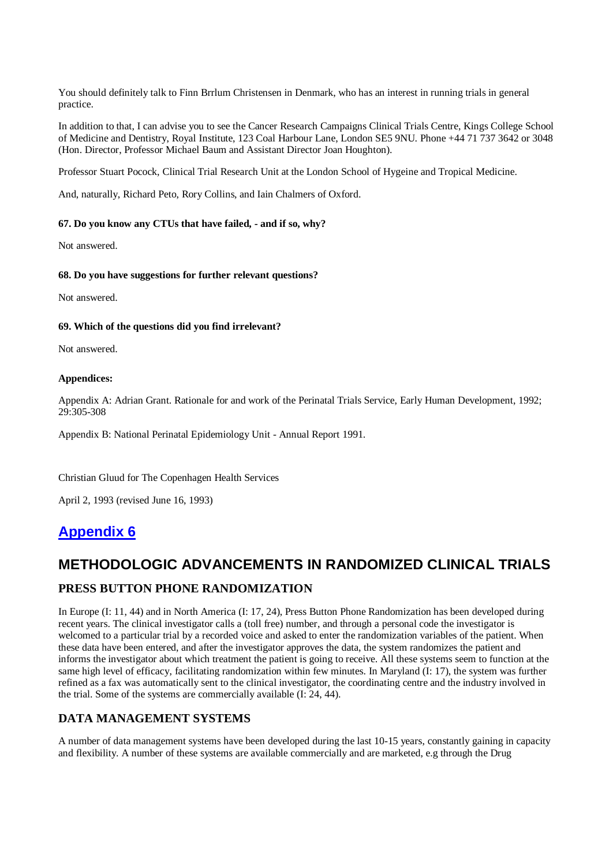You should definitely talk to Finn Brrlum Christensen in Denmark, who has an interest in running trials in general practice.

In addition to that, I can advise you to see the Cancer Research Campaigns Clinical Trials Centre, Kings College School of Medicine and Dentistry, Royal Institute, 123 Coal Harbour Lane, London SE5 9NU. Phone +44 71 737 3642 or 3048 (Hon. Director, Professor Michael Baum and Assistant Director Joan Houghton).

Professor Stuart Pocock, Clinical Trial Research Unit at the London School of Hygeine and Tropical Medicine.

And, naturally, Richard Peto, Rory Collins, and Iain Chalmers of Oxford.

#### **67. Do you know any CTUs that have failed, - and if so, why?**

Not answered.

#### **68. Do you have suggestions for further relevant questions?**

Not answered.

#### **69. Which of the questions did you find irrelevant?**

Not answered.

#### **Appendices:**

Appendix A: Adrian Grant. Rationale for and work of the Perinatal Trials Service, Early Human Development, 1992; 29:305-308

Appendix B: National Perinatal Epidemiology Unit - Annual Report 1991.

Christian Gluud for The Copenhagen Health Services

April 2, 1993 (revised June 16, 1993)

### **Appendix 6**

### **METHODOLOGIC ADVANCEMENTS IN RANDOMIZED CLINICAL TRIALS**

### **PRESS BUTTON PHONE RANDOMIZATION**

In Europe (I: 11, 44) and in North America (I: 17, 24), Press Button Phone Randomization has been developed during recent years. The clinical investigator calls a (toll free) number, and through a personal code the investigator is welcomed to a particular trial by a recorded voice and asked to enter the randomization variables of the patient. When these data have been entered, and after the investigator approves the data, the system randomizes the patient and informs the investigator about which treatment the patient is going to receive. All these systems seem to function at the same high level of efficacy, facilitating randomization within few minutes. In Maryland (I: 17), the system was further refined as a fax was automatically sent to the clinical investigator, the coordinating centre and the industry involved in the trial. Some of the systems are commercially available (I: 24, 44).

### **DATA MANAGEMENT SYSTEMS**

A number of data management systems have been developed during the last 10-15 years, constantly gaining in capacity and flexibility. A number of these systems are available commercially and are marketed, e.g through the Drug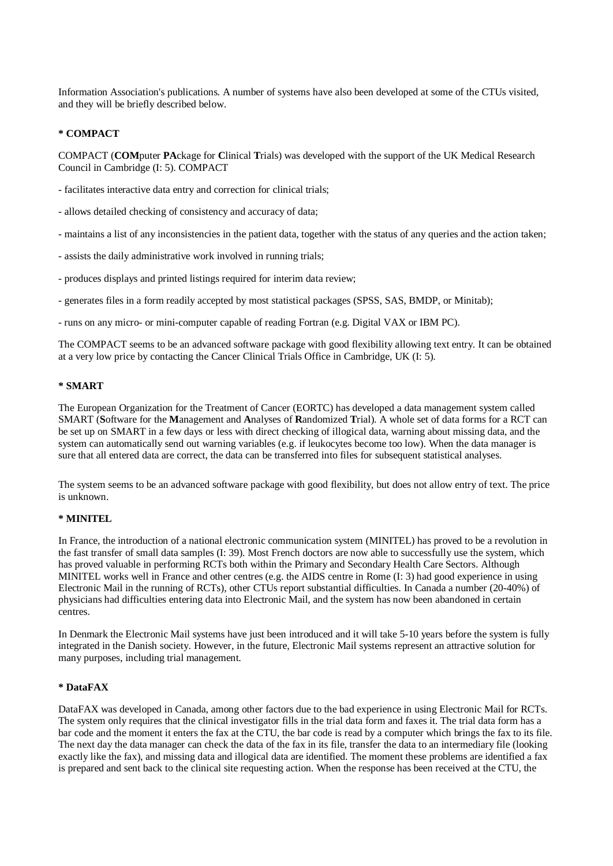Information Association's publications. A number of systems have also been developed at some of the CTUs visited, and they will be briefly described below.

#### **\* COMPACT**

COMPACT (**COM**puter **PA**ckage for **C**linical **T**rials) was developed with the support of the UK Medical Research Council in Cambridge (I: 5). COMPACT

- facilitates interactive data entry and correction for clinical trials;

- allows detailed checking of consistency and accuracy of data;

- maintains a list of any inconsistencies in the patient data, together with the status of any queries and the action taken;

- assists the daily administrative work involved in running trials;

- produces displays and printed listings required for interim data review;

- generates files in a form readily accepted by most statistical packages (SPSS, SAS, BMDP, or Minitab);

- runs on any micro- or mini-computer capable of reading Fortran (e.g. Digital VAX or IBM PC).

The COMPACT seems to be an advanced software package with good flexibility allowing text entry. It can be obtained at a very low price by contacting the Cancer Clinical Trials Office in Cambridge, UK (I: 5).

#### **\* SMART**

The European Organization for the Treatment of Cancer (EORTC) has developed a data management system called SMART (**S**oftware for the **M**anagement and **A**nalyses of **R**andomized **T**rial). A whole set of data forms for a RCT can be set up on SMART in a few days or less with direct checking of illogical data, warning about missing data, and the system can automatically send out warning variables (e.g. if leukocytes become too low). When the data manager is sure that all entered data are correct, the data can be transferred into files for subsequent statistical analyses.

The system seems to be an advanced software package with good flexibility, but does not allow entry of text. The price is unknown.

#### **\* MINITEL**

In France, the introduction of a national electronic communication system (MINITEL) has proved to be a revolution in the fast transfer of small data samples (I: 39). Most French doctors are now able to successfully use the system, which has proved valuable in performing RCTs both within the Primary and Secondary Health Care Sectors. Although MINITEL works well in France and other centres (e.g. the AIDS centre in Rome (I: 3) had good experience in using Electronic Mail in the running of RCTs), other CTUs report substantial difficulties. In Canada a number (20-40%) of physicians had difficulties entering data into Electronic Mail, and the system has now been abandoned in certain centres.

In Denmark the Electronic Mail systems have just been introduced and it will take 5-10 years before the system is fully integrated in the Danish society. However, in the future, Electronic Mail systems represent an attractive solution for many purposes, including trial management.

### **\* DataFAX**

DataFAX was developed in Canada, among other factors due to the bad experience in using Electronic Mail for RCTs. The system only requires that the clinical investigator fills in the trial data form and faxes it. The trial data form has a bar code and the moment it enters the fax at the CTU, the bar code is read by a computer which brings the fax to its file. The next day the data manager can check the data of the fax in its file, transfer the data to an intermediary file (looking exactly like the fax), and missing data and illogical data are identified. The moment these problems are identified a fax is prepared and sent back to the clinical site requesting action. When the response has been received at the CTU, the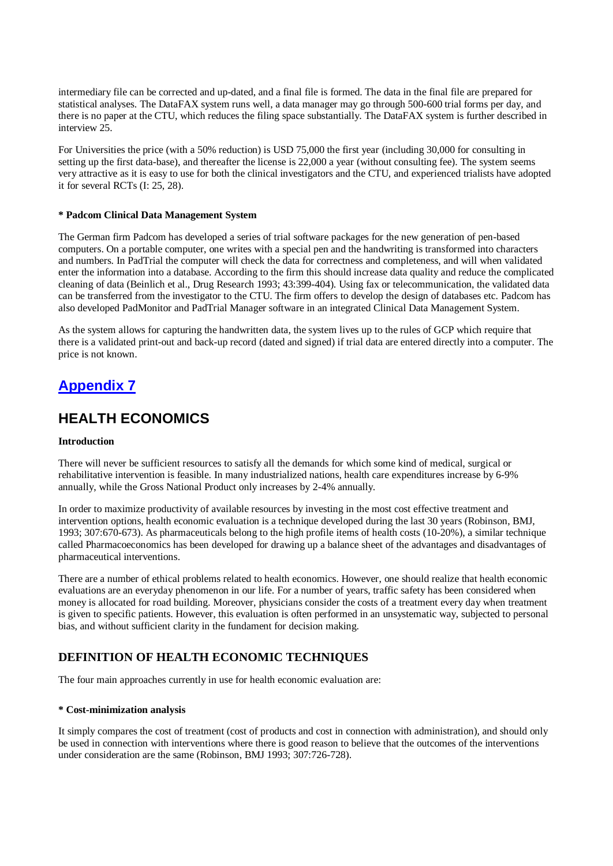intermediary file can be corrected and up-dated, and a final file is formed. The data in the final file are prepared for statistical analyses. The DataFAX system runs well, a data manager may go through 500-600 trial forms per day, and there is no paper at the CTU, which reduces the filing space substantially. The DataFAX system is further described in interview 25.

For Universities the price (with a 50% reduction) is USD 75,000 the first year (including 30,000 for consulting in setting up the first data-base), and thereafter the license is 22,000 a year (without consulting fee). The system seems very attractive as it is easy to use for both the clinical investigators and the CTU, and experienced trialists have adopted it for several RCTs (I: 25, 28).

#### **\* Padcom Clinical Data Management System**

The German firm Padcom has developed a series of trial software packages for the new generation of pen-based computers. On a portable computer, one writes with a special pen and the handwriting is transformed into characters and numbers. In PadTrial the computer will check the data for correctness and completeness, and will when validated enter the information into a database. According to the firm this should increase data quality and reduce the complicated cleaning of data (Beinlich et al., Drug Research 1993; 43:399-404). Using fax or telecommunication, the validated data can be transferred from the investigator to the CTU. The firm offers to develop the design of databases etc. Padcom has also developed PadMonitor and PadTrial Manager software in an integrated Clinical Data Management System.

As the system allows for capturing the handwritten data, the system lives up to the rules of GCP which require that there is a validated print-out and back-up record (dated and signed) if trial data are entered directly into a computer. The price is not known.

# **Appendix 7**

## **HEALTH ECONOMICS**

#### **Introduction**

There will never be sufficient resources to satisfy all the demands for which some kind of medical, surgical or rehabilitative intervention is feasible. In many industrialized nations, health care expenditures increase by 6-9% annually, while the Gross National Product only increases by 2-4% annually.

In order to maximize productivity of available resources by investing in the most cost effective treatment and intervention options, health economic evaluation is a technique developed during the last 30 years (Robinson, BMJ, 1993; 307:670-673). As pharmaceuticals belong to the high profile items of health costs (10-20%), a similar technique called Pharmacoeconomics has been developed for drawing up a balance sheet of the advantages and disadvantages of pharmaceutical interventions.

There are a number of ethical problems related to health economics. However, one should realize that health economic evaluations are an everyday phenomenon in our life. For a number of years, traffic safety has been considered when money is allocated for road building. Moreover, physicians consider the costs of a treatment every day when treatment is given to specific patients. However, this evaluation is often performed in an unsystematic way, subjected to personal bias, and without sufficient clarity in the fundament for decision making.

### **DEFINITION OF HEALTH ECONOMIC TECHNIQUES**

The four main approaches currently in use for health economic evaluation are:

#### **\* Cost-minimization analysis**

It simply compares the cost of treatment (cost of products and cost in connection with administration), and should only be used in connection with interventions where there is good reason to believe that the outcomes of the interventions under consideration are the same (Robinson, BMJ 1993; 307:726-728).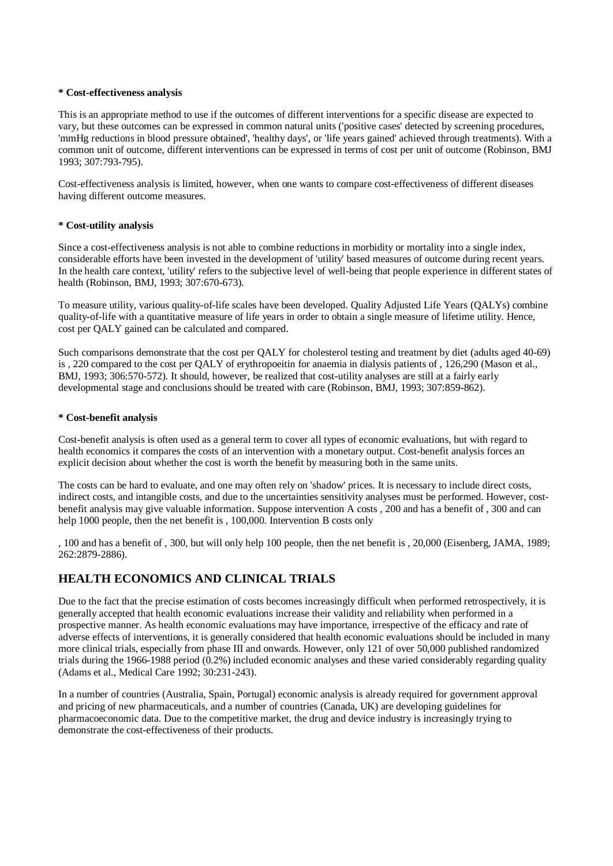#### **\* Cost-effectiveness analysis**

This is an appropriate method to use if the outcomes of different interventions for a specific disease are expected to vary, but these outcomes can be expressed in common natural units ('positive cases' detected by screening procedures, 'mmHg reductions in blood pressure obtained', 'healthy days', or 'life years gained' achieved through treatments). With a common unit of outcome, different interventions can be expressed in terms of cost per unit of outcome (Robinson, BMJ 1993; 307:793-795).

Cost-effectiveness analysis is limited, however, when one wants to compare cost-effectiveness of different diseases having different outcome measures.

#### **\* Cost-utility analysis**

Since a cost-effectiveness analysis is not able to combine reductions in morbidity or mortality into a single index, considerable efforts have been invested in the development of 'utility' based measures of outcome during recent years. In the health care context, 'utility' refers to the subjective level of well-being that people experience in different states of health (Robinson, BMJ, 1993; 307:670-673).

To measure utility, various quality-of-life scales have been developed. Quality Adjusted Life Years (QALYs) combine quality-of-life with a quantitative measure of life years in order to obtain a single measure of lifetime utility. Hence, cost per QALY gained can be calculated and compared.

Such comparisons demonstrate that the cost per QALY for cholesterol testing and treatment by diet (adults aged 40-69) is , 220 compared to the cost per QALY of erythropoeitin for anaemia in dialysis patients of , 126,290 (Mason et al., BMJ, 1993; 306:570-572). It should, however, be realized that cost-utility analyses are still at a fairly early developmental stage and conclusions should be treated with care (Robinson, BMJ, 1993; 307:859-862).

#### **\* Cost-benefit analysis**

Cost-benefit analysis is often used as a general term to cover all types of economic evaluations, but with regard to health economics it compares the costs of an intervention with a monetary output. Cost-benefit analysis forces an explicit decision about whether the cost is worth the benefit by measuring both in the same units.

The costs can be hard to evaluate, and one may often rely on 'shadow' prices. It is necessary to include direct costs, indirect costs, and intangible costs, and due to the uncertainties sensitivity analyses must be performed. However, costbenefit analysis may give valuable information. Suppose intervention A costs , 200 and has a benefit of , 300 and can help 1000 people, then the net benefit is , 100,000. Intervention B costs only

, 100 and has a benefit of , 300, but will only help 100 people, then the net benefit is , 20,000 (Eisenberg, JAMA, 1989; 262:2879-2886).

### **HEALTH ECONOMICS AND CLINICAL TRIALS**

Due to the fact that the precise estimation of costs becomes increasingly difficult when performed retrospectively, it is generally accepted that health economic evaluations increase their validity and reliability when performed in a prospective manner. As health economic evaluations may have importance, irrespective of the efficacy and rate of adverse effects of interventions, it is generally considered that health economic evaluations should be included in many more clinical trials, especially from phase III and onwards. However, only 121 of over 50,000 published randomized trials during the 1966-1988 period (0.2%) included economic analyses and these varied considerably regarding quality (Adams et al., Medical Care 1992; 30:231-243).

In a number of countries (Australia, Spain, Portugal) economic analysis is already required for government approval and pricing of new pharmaceuticals, and a number of countries (Canada, UK) are developing guidelines for pharmacoeconomic data. Due to the competitive market, the drug and device industry is increasingly trying to demonstrate the cost-effectiveness of their products.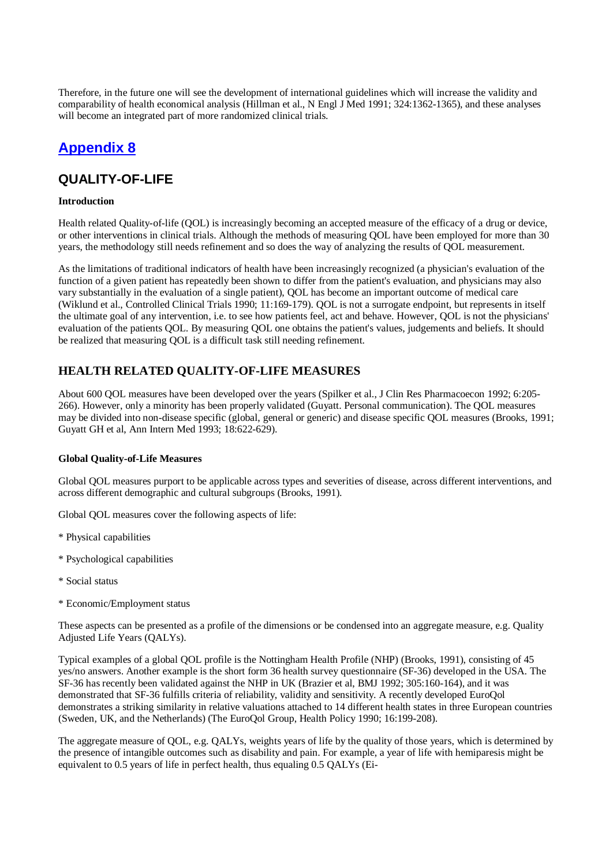Therefore, in the future one will see the development of international guidelines which will increase the validity and comparability of health economical analysis (Hillman et al., N Engl J Med 1991; 324:1362-1365), and these analyses will become an integrated part of more randomized clinical trials.

# **Appendix 8**

### **QUALITY-OF-LIFE**

#### **Introduction**

Health related Quality-of-life (QOL) is increasingly becoming an accepted measure of the efficacy of a drug or device, or other interventions in clinical trials. Although the methods of measuring QOL have been employed for more than 30 years, the methodology still needs refinement and so does the way of analyzing the results of QOL measurement.

As the limitations of traditional indicators of health have been increasingly recognized (a physician's evaluation of the function of a given patient has repeatedly been shown to differ from the patient's evaluation, and physicians may also vary substantially in the evaluation of a single patient), QOL has become an important outcome of medical care (Wiklund et al., Controlled Clinical Trials 1990; 11:169-179). QOL is not a surrogate endpoint, but represents in itself the ultimate goal of any intervention, i.e. to see how patients feel, act and behave. However, QOL is not the physicians' evaluation of the patients QOL. By measuring QOL one obtains the patient's values, judgements and beliefs. It should be realized that measuring QOL is a difficult task still needing refinement.

### **HEALTH RELATED QUALITY-OF-LIFE MEASURES**

About 600 QOL measures have been developed over the years (Spilker et al., J Clin Res Pharmacoecon 1992; 6:205- 266). However, only a minority has been properly validated (Guyatt. Personal communication). The QOL measures may be divided into non-disease specific (global, general or generic) and disease specific QOL measures (Brooks, 1991; Guyatt GH et al, Ann Intern Med 1993; 18:622-629).

### **Global Quality-of-Life Measures**

Global QOL measures purport to be applicable across types and severities of disease, across different interventions, and across different demographic and cultural subgroups (Brooks, 1991).

Global QOL measures cover the following aspects of life:

- \* Physical capabilities
- \* Psychological capabilities
- \* Social status
- \* Economic/Employment status

These aspects can be presented as a profile of the dimensions or be condensed into an aggregate measure, e.g. Quality Adjusted Life Years (QALYs).

Typical examples of a global QOL profile is the Nottingham Health Profile (NHP) (Brooks, 1991), consisting of 45 yes/no answers. Another example is the short form 36 health survey questionnaire (SF-36) developed in the USA. The SF-36 has recently been validated against the NHP in UK (Brazier et al, BMJ 1992; 305:160-164), and it was demonstrated that SF-36 fulfills criteria of reliability, validity and sensitivity. A recently developed EuroQol demonstrates a striking similarity in relative valuations attached to 14 different health states in three European countries (Sweden, UK, and the Netherlands) (The EuroQol Group, Health Policy 1990; 16:199-208).

The aggregate measure of QOL, e.g. QALYs, weights years of life by the quality of those years, which is determined by the presence of intangible outcomes such as disability and pain. For example, a year of life with hemiparesis might be equivalent to 0.5 years of life in perfect health, thus equaling 0.5 QALYs (Ei-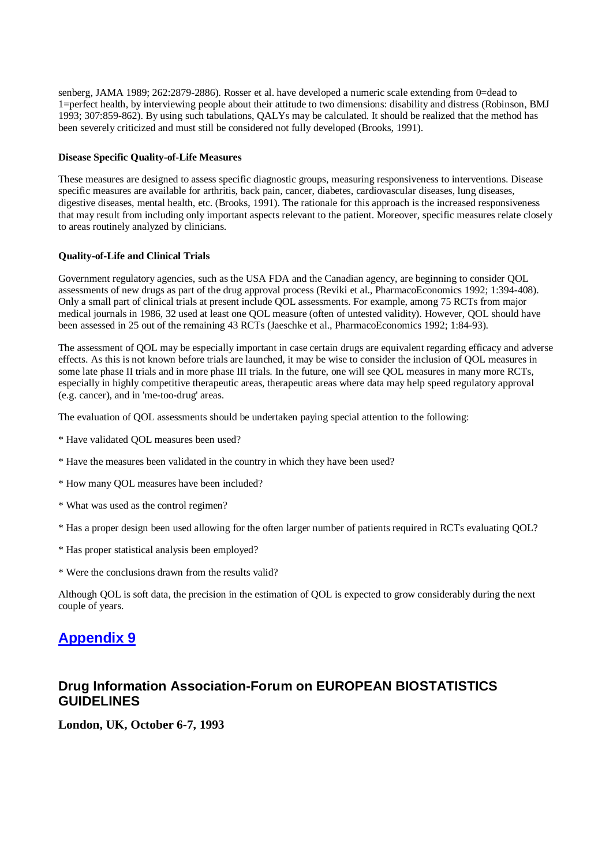senberg, JAMA 1989; 262:2879-2886). Rosser et al. have developed a numeric scale extending from 0=dead to 1=perfect health, by interviewing people about their attitude to two dimensions: disability and distress (Robinson, BMJ 1993; 307:859-862). By using such tabulations, QALYs may be calculated. It should be realized that the method has been severely criticized and must still be considered not fully developed (Brooks, 1991).

#### **Disease Specific Quality-of-Life Measures**

These measures are designed to assess specific diagnostic groups, measuring responsiveness to interventions. Disease specific measures are available for arthritis, back pain, cancer, diabetes, cardiovascular diseases, lung diseases, digestive diseases, mental health, etc. (Brooks, 1991). The rationale for this approach is the increased responsiveness that may result from including only important aspects relevant to the patient. Moreover, specific measures relate closely to areas routinely analyzed by clinicians.

#### **Quality-of-Life and Clinical Trials**

Government regulatory agencies, such as the USA FDA and the Canadian agency, are beginning to consider QOL assessments of new drugs as part of the drug approval process (Reviki et al., PharmacoEconomics 1992; 1:394-408). Only a small part of clinical trials at present include QOL assessments. For example, among 75 RCTs from major medical journals in 1986, 32 used at least one QOL measure (often of untested validity). However, QOL should have been assessed in 25 out of the remaining 43 RCTs (Jaeschke et al., PharmacoEconomics 1992; 1:84-93).

The assessment of QOL may be especially important in case certain drugs are equivalent regarding efficacy and adverse effects. As this is not known before trials are launched, it may be wise to consider the inclusion of QOL measures in some late phase II trials and in more phase III trials. In the future, one will see QOL measures in many more RCTs, especially in highly competitive therapeutic areas, therapeutic areas where data may help speed regulatory approval (e.g. cancer), and in 'me-too-drug' areas.

The evaluation of QOL assessments should be undertaken paying special attention to the following:

- \* Have validated QOL measures been used?
- \* Have the measures been validated in the country in which they have been used?
- \* How many QOL measures have been included?
- \* What was used as the control regimen?
- \* Has a proper design been used allowing for the often larger number of patients required in RCTs evaluating QOL?
- \* Has proper statistical analysis been employed?
- \* Were the conclusions drawn from the results valid?

Although QOL is soft data, the precision in the estimation of QOL is expected to grow considerably during the next couple of years.

### **Appendix 9**

### **Drug Information Association-Forum on EUROPEAN BIOSTATISTICS GUIDELINES**

**London, UK, October 6-7, 1993**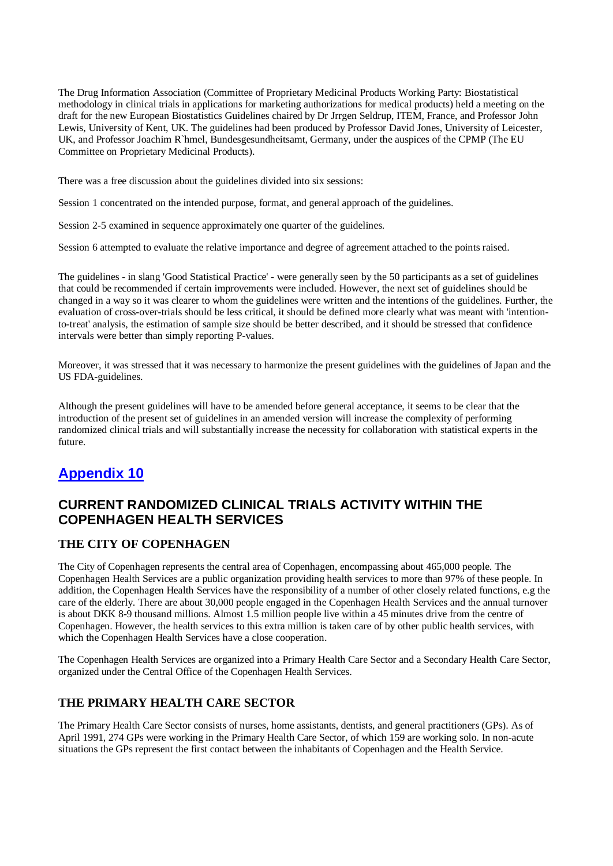The Drug Information Association (Committee of Proprietary Medicinal Products Working Party: Biostatistical methodology in clinical trials in applications for marketing authorizations for medical products) held a meeting on the draft for the new European Biostatistics Guidelines chaired by Dr Jrrgen Seldrup, ITEM, France, and Professor John Lewis, University of Kent, UK. The guidelines had been produced by Professor David Jones, University of Leicester, UK, and Professor Joachim R`hmel, Bundesgesundheitsamt, Germany, under the auspices of the CPMP (The EU Committee on Proprietary Medicinal Products).

There was a free discussion about the guidelines divided into six sessions:

Session 1 concentrated on the intended purpose, format, and general approach of the guidelines.

Session 2-5 examined in sequence approximately one quarter of the guidelines.

Session 6 attempted to evaluate the relative importance and degree of agreement attached to the points raised.

The guidelines - in slang 'Good Statistical Practice' - were generally seen by the 50 participants as a set of guidelines that could be recommended if certain improvements were included. However, the next set of guidelines should be changed in a way so it was clearer to whom the guidelines were written and the intentions of the guidelines. Further, the evaluation of cross-over-trials should be less critical, it should be defined more clearly what was meant with 'intentionto-treat' analysis, the estimation of sample size should be better described, and it should be stressed that confidence intervals were better than simply reporting P-values.

Moreover, it was stressed that it was necessary to harmonize the present guidelines with the guidelines of Japan and the US FDA-guidelines.

Although the present guidelines will have to be amended before general acceptance, it seems to be clear that the introduction of the present set of guidelines in an amended version will increase the complexity of performing randomized clinical trials and will substantially increase the necessity for collaboration with statistical experts in the future.

# **Appendix 10**

### **CURRENT RANDOMIZED CLINICAL TRIALS ACTIVITY WITHIN THE COPENHAGEN HEALTH SERVICES**

### **THE CITY OF COPENHAGEN**

The City of Copenhagen represents the central area of Copenhagen, encompassing about 465,000 people. The Copenhagen Health Services are a public organization providing health services to more than 97% of these people. In addition, the Copenhagen Health Services have the responsibility of a number of other closely related functions, e.g the care of the elderly. There are about 30,000 people engaged in the Copenhagen Health Services and the annual turnover is about DKK 8-9 thousand millions. Almost 1.5 million people live within a 45 minutes drive from the centre of Copenhagen. However, the health services to this extra million is taken care of by other public health services, with which the Copenhagen Health Services have a close cooperation.

The Copenhagen Health Services are organized into a Primary Health Care Sector and a Secondary Health Care Sector, organized under the Central Office of the Copenhagen Health Services.

### **THE PRIMARY HEALTH CARE SECTOR**

The Primary Health Care Sector consists of nurses, home assistants, dentists, and general practitioners (GPs). As of April 1991, 274 GPs were working in the Primary Health Care Sector, of which 159 are working solo. In non-acute situations the GPs represent the first contact between the inhabitants of Copenhagen and the Health Service.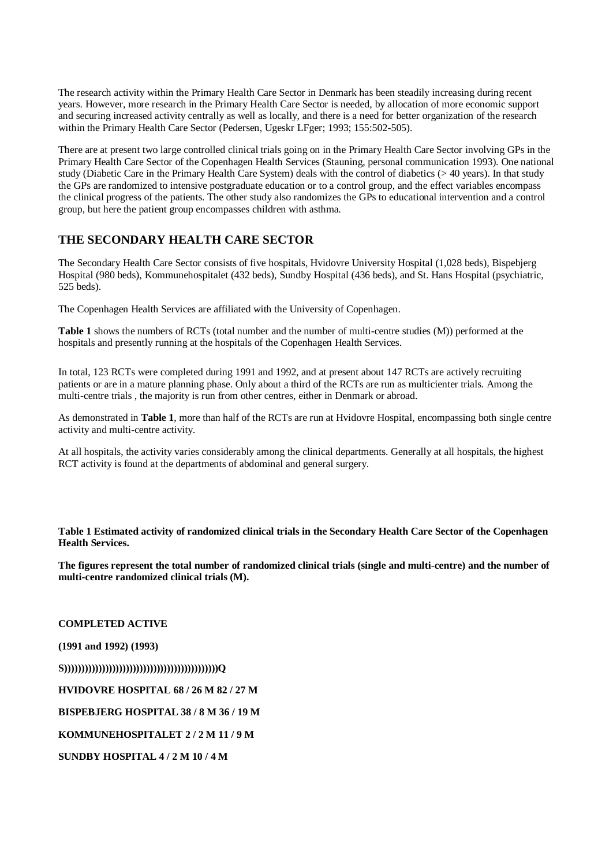The research activity within the Primary Health Care Sector in Denmark has been steadily increasing during recent years. However, more research in the Primary Health Care Sector is needed, by allocation of more economic support and securing increased activity centrally as well as locally, and there is a need for better organization of the research within the Primary Health Care Sector (Pedersen, Ugeskr LFger; 1993; 155:502-505).

There are at present two large controlled clinical trials going on in the Primary Health Care Sector involving GPs in the Primary Health Care Sector of the Copenhagen Health Services (Stauning, personal communication 1993). One national study (Diabetic Care in the Primary Health Care System) deals with the control of diabetics (> 40 years). In that study the GPs are randomized to intensive postgraduate education or to a control group, and the effect variables encompass the clinical progress of the patients. The other study also randomizes the GPs to educational intervention and a control group, but here the patient group encompasses children with asthma.

### **THE SECONDARY HEALTH CARE SECTOR**

The Secondary Health Care Sector consists of five hospitals, Hvidovre University Hospital (1,028 beds), Bispebjerg Hospital (980 beds), Kommunehospitalet (432 beds), Sundby Hospital (436 beds), and St. Hans Hospital (psychiatric, 525 beds).

The Copenhagen Health Services are affiliated with the University of Copenhagen.

**Table 1** shows the numbers of RCTs (total number and the number of multi-centre studies (M)) performed at the hospitals and presently running at the hospitals of the Copenhagen Health Services.

In total, 123 RCTs were completed during 1991 and 1992, and at present about 147 RCTs are actively recruiting patients or are in a mature planning phase. Only about a third of the RCTs are run as multicienter trials. Among the multi-centre trials , the majority is run from other centres, either in Denmark or abroad.

As demonstrated in **Table 1**, more than half of the RCTs are run at Hvidovre Hospital, encompassing both single centre activity and multi-centre activity.

At all hospitals, the activity varies considerably among the clinical departments. Generally at all hospitals, the highest RCT activity is found at the departments of abdominal and general surgery.

Table 1 Estimated activity of randomized clinical trials in the Secondary Health Care Sector of the Copenhagen **Health Services.**

The figures represent the total number of randomized clinical trials (single and multi-centre) and the number of **multi-centre randomized clinical trials (M).**

**COMPLETED ACTIVE**

**(1991 and 1992) (1993)**

**S)))))))))))))))))))))))))))))))))))))))))))))Q** 

**HVIDOVRE HOSPITAL 68 / 26 M 82 / 27 M**

**BISPEBJERG HOSPITAL 38 / 8 M 36 / 19 M**

**KOMMUNEHOSPITALET 2 / 2 M 11 / 9 M**

**SUNDBY HOSPITAL 4 / 2 M 10 / 4 M**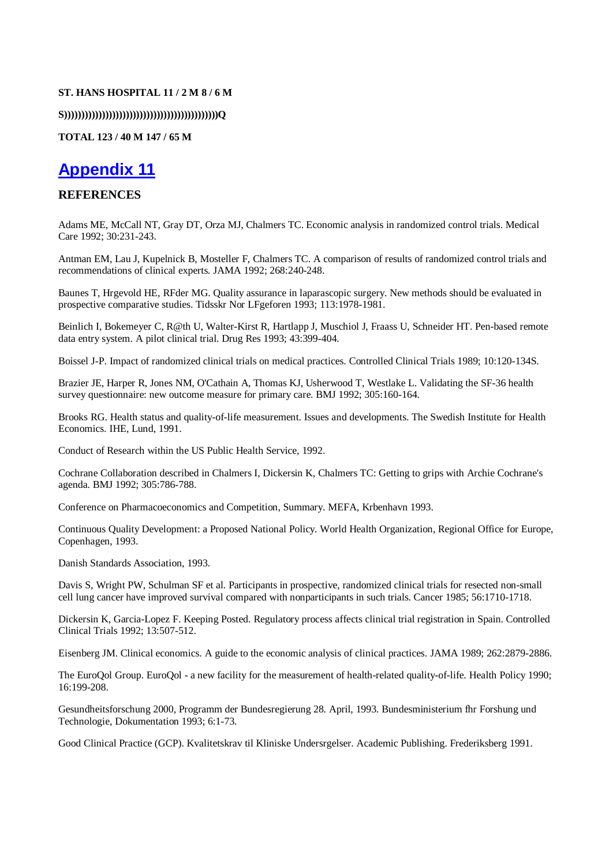#### **ST. HANS HOSPITAL 11 / 2 M 8 / 6 M**

**S)))))))))))))))))))))))))))))))))))))))))))))Q** 

#### **TOTAL 123 / 40 M 147 / 65 M**

# **Appendix 11**

### **REFERENCES**

Adams ME, McCall NT, Gray DT, Orza MJ, Chalmers TC. Economic analysis in randomized control trials. Medical Care 1992; 30:231-243.

Antman EM, Lau J, Kupelnick B, Mosteller F, Chalmers TC. A comparison of results of randomized control trials and recommendations of clinical experts. JAMA 1992; 268:240-248.

Baunes T, Hrgevold HE, RFder MG. Quality assurance in laparascopic surgery. New methods should be evaluated in prospective comparative studies. Tidsskr Nor LFgeforen 1993; 113:1978-1981.

Beinlich I, Bokemeyer C, R@th U, Walter-Kirst R, Hartlapp J, Muschiol J, Fraass U, Schneider HT. Pen-based remote data entry system. A pilot clinical trial. Drug Res 1993; 43:399-404.

Boissel J-P. Impact of randomized clinical trials on medical practices. Controlled Clinical Trials 1989; 10:120-134S.

Brazier JE, Harper R, Jones NM, O'Cathain A, Thomas KJ, Usherwood T, Westlake L. Validating the SF-36 health survey questionnaire: new outcome measure for primary care. BMJ 1992; 305:160-164.

Brooks RG. Health status and quality-of-life measurement. Issues and developments. The Swedish Institute for Health Economics. IHE, Lund, 1991.

Conduct of Research within the US Public Health Service, 1992.

Cochrane Collaboration described in Chalmers I, Dickersin K, Chalmers TC: Getting to grips with Archie Cochrane's agenda. BMJ 1992; 305:786-788.

Conference on Pharmacoeconomics and Competition, Summary. MEFA, Krbenhavn 1993.

Continuous Quality Development: a Proposed National Policy. World Health Organization, Regional Office for Europe, Copenhagen, 1993.

Danish Standards Association, 1993.

Davis S, Wright PW, Schulman SF et al. Participants in prospective, randomized clinical trials for resected non-small cell lung cancer have improved survival compared with nonparticipants in such trials. Cancer 1985; 56:1710-1718.

Dickersin K, Garcia-Lopez F. Keeping Posted. Regulatory process affects clinical trial registration in Spain. Controlled Clinical Trials 1992; 13:507-512.

Eisenberg JM. Clinical economics. A guide to the economic analysis of clinical practices. JAMA 1989; 262:2879-2886.

The EuroQol Group. EuroQol - a new facility for the measurement of health-related quality-of-life. Health Policy 1990; 16:199-208.

Gesundheitsforschung 2000, Programm der Bundesregierung 28. April, 1993. Bundesministerium fhr Forshung und Technologie, Dokumentation 1993; 6:1-73.

Good Clinical Practice (GCP). Kvalitetskrav til Kliniske Undersrgelser. Academic Publishing. Frederiksberg 1991.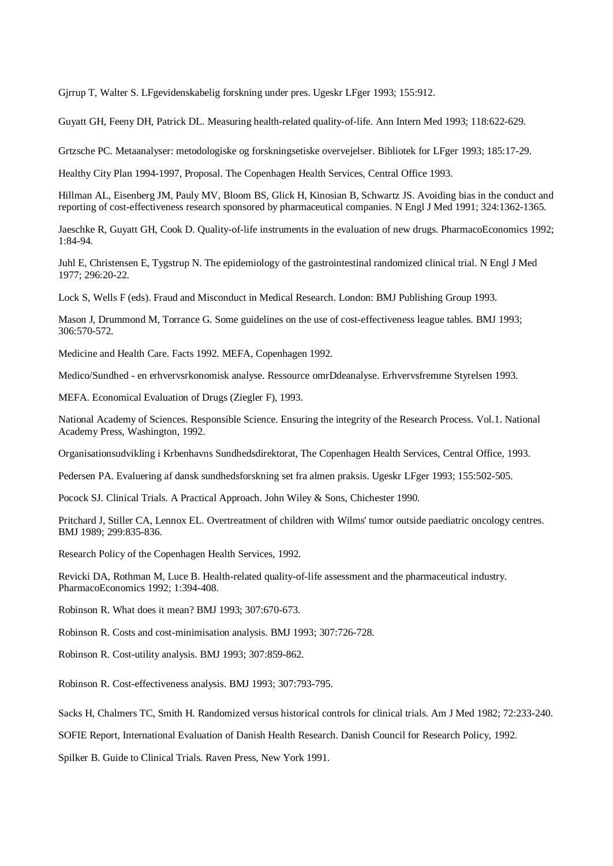Gjrrup T, Walter S. LFgevidenskabelig forskning under pres. Ugeskr LFger 1993; 155:912.

Guyatt GH, Feeny DH, Patrick DL. Measuring health-related quality-of-life. Ann Intern Med 1993; 118:622-629.

Grtzsche PC. Metaanalyser: metodologiske og forskningsetiske overvejelser. Bibliotek for LFger 1993; 185:17-29.

Healthy City Plan 1994-1997, Proposal. The Copenhagen Health Services, Central Office 1993.

Hillman AL, Eisenberg JM, Pauly MV, Bloom BS, Glick H, Kinosian B, Schwartz JS. Avoiding bias in the conduct and reporting of cost-effectiveness research sponsored by pharmaceutical companies. N Engl J Med 1991; 324:1362-1365.

Jaeschke R, Guyatt GH, Cook D. Quality-of-life instruments in the evaluation of new drugs. PharmacoEconomics 1992; 1:84-94.

Juhl E, Christensen E, Tygstrup N. The epidemiology of the gastrointestinal randomized clinical trial. N Engl J Med 1977; 296:20-22.

Lock S, Wells F (eds). Fraud and Misconduct in Medical Research. London: BMJ Publishing Group 1993.

Mason J, Drummond M, Torrance G. Some guidelines on the use of cost-effectiveness league tables. BMJ 1993; 306:570-572.

Medicine and Health Care. Facts 1992. MEFA, Copenhagen 1992.

Medico/Sundhed - en erhvervsrkonomisk analyse. Ressource omrDdeanalyse. Erhvervsfremme Styrelsen 1993.

MEFA. Economical Evaluation of Drugs (Ziegler F), 1993.

National Academy of Sciences. Responsible Science. Ensuring the integrity of the Research Process. Vol.1. National Academy Press, Washington, 1992.

Organisationsudvikling i Krbenhavns Sundhedsdirektorat, The Copenhagen Health Services, Central Office, 1993.

Pedersen PA. Evaluering af dansk sundhedsforskning set fra almen praksis. Ugeskr LFger 1993; 155:502-505.

Pocock SJ. Clinical Trials. A Practical Approach. John Wiley & Sons, Chichester 1990.

Pritchard J, Stiller CA, Lennox EL. Overtreatment of children with Wilms' tumor outside paediatric oncology centres. BMJ 1989; 299:835-836.

Research Policy of the Copenhagen Health Services, 1992.

Revicki DA, Rothman M, Luce B. Health-related quality-of-life assessment and the pharmaceutical industry. PharmacoEconomics 1992; 1:394-408.

Robinson R. What does it mean? BMJ 1993; 307:670-673.

Robinson R. Costs and cost-minimisation analysis. BMJ 1993; 307:726-728.

Robinson R. Cost-utility analysis. BMJ 1993; 307:859-862.

Robinson R. Cost-effectiveness analysis. BMJ 1993; 307:793-795.

Sacks H, Chalmers TC, Smith H. Randomized versus historical controls for clinical trials. Am J Med 1982; 72:233-240.

SOFIE Report, International Evaluation of Danish Health Research. Danish Council for Research Policy, 1992.

Spilker B. Guide to Clinical Trials. Raven Press, New York 1991.